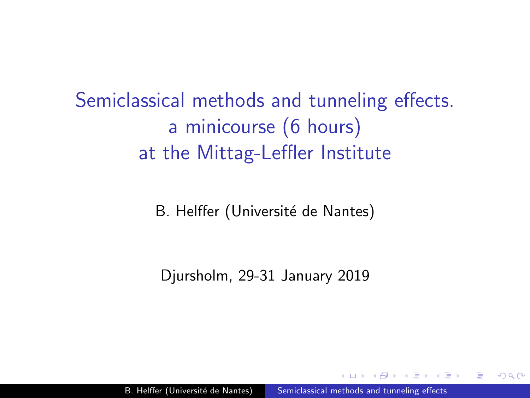<span id="page-0-0"></span>Semiclassical methods and tunneling effects. a minicourse (6 hours) at the Mittag-Leffler Institute

B. Helffer (Université de Nantes)

Djursholm, 29-31 January 2019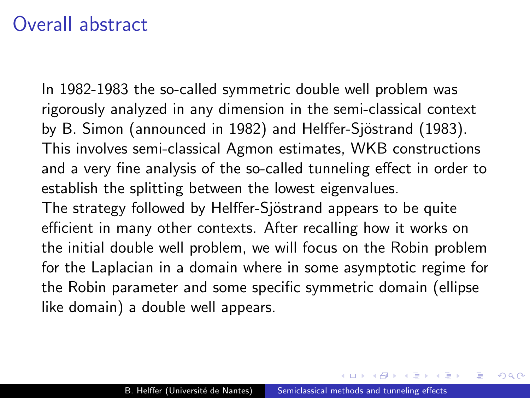### Overall abstract

In 1982-1983 the so-called symmetric double well problem was rigorously analyzed in any dimension in the semi-classical context by B. Simon (announced in 1982) and Helffer-Sjöstrand (1983). This involves semi-classical Agmon estimates, WKB constructions and a very fine analysis of the so-called tunneling effect in order to establish the splitting between the lowest eigenvalues. The strategy followed by Helffer-Sjöstrand appears to be quite efficient in many other contexts. After recalling how it works on the initial double well problem, we will focus on the Robin problem for the Laplacian in a domain where in some asymptotic regime for the Robin parameter and some specific symmetric domain (ellipse like domain) a double well appears.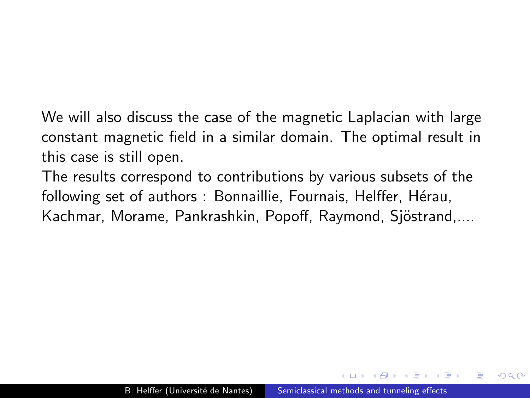We will also discuss the case of the magnetic Laplacian with large constant magnetic field in a similar domain. The optimal result in this case is still open.

The results correspond to contributions by various subsets of the following set of authors : Bonnaillie, Fournais, Helffer, Hérau, Kachmar, Morame, Pankrashkin, Popoff, Raymond, Sjöstrand,....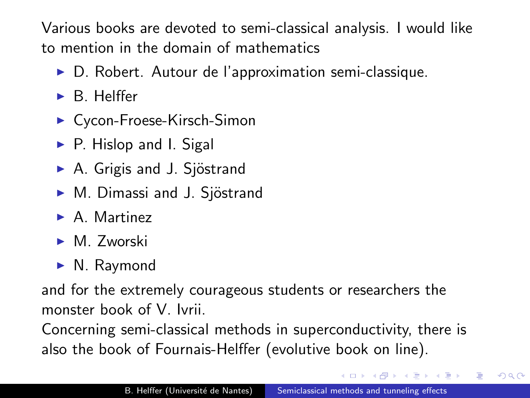Various books are devoted to semi-classical analysis. I would like to mention in the domain of mathematics

- ▶ D. Robert. Autour de l'approximation semi-classique.
- $\triangleright$  B. Helffer
- ► Cycon-Froese-Kirsch-Simon
- $\triangleright$  P. Hislop and I. Sigal
- $\triangleright$  A. Grigis and J. Sjöstrand
- ► M. Dimassi and J. Sjöstrand
- $\blacktriangleright$  A. Martinez
- $\blacktriangleright$  M. Zworski
- $\blacktriangleright$  N. Raymond

and for the extremely courageous students or researchers the monster book of V. Ivrii.

Concerning semi-classical methods in superconductivity, there is also the book of Fournais-Helffer (evolutive book on line).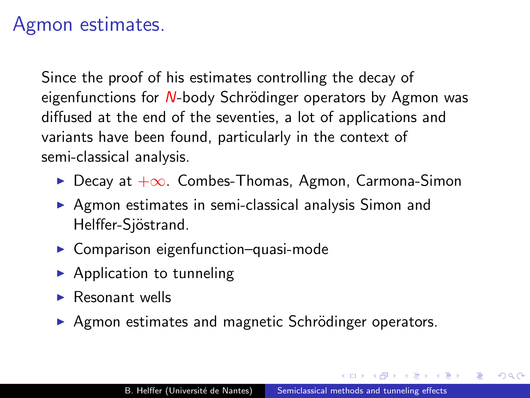# Agmon estimates.

Since the proof of his estimates controlling the decay of eigenfunctions for  $N$ -body Schrödinger operators by Agmon was diffused at the end of the seventies, a lot of applications and variants have been found, particularly in the context of semi-classical analysis.

- $\triangleright$  Decay at  $+\infty$ . Combes-Thomas, Agmon, Carmona-Simon
- $\triangleright$  Agmon estimates in semi-classical analysis Simon and Helffer-Sjöstrand.
- $\triangleright$  Comparison eigenfunction–quasi-mode
- $\blacktriangleright$  Application to tunneling
- $\blacktriangleright$  Resonant wells
- ▶ Agmon estimates and magnetic Schrödinger operators.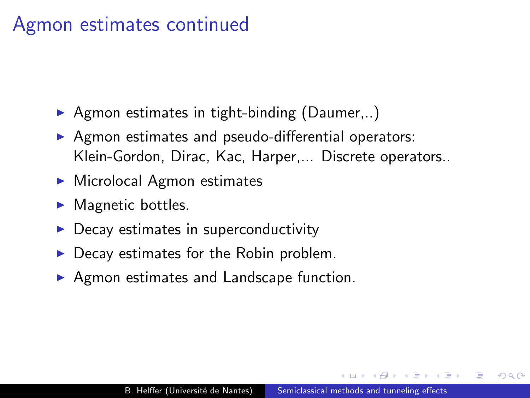# Agmon estimates continued

- $\triangleright$  Agmon estimates in tight-binding (Daumer,..)
- $\triangleright$  Agmon estimates and pseudo-differential operators: Klein-Gordon, Dirac, Kac, Harper,... Discrete operators..
- $\blacktriangleright$  Microlocal Agmon estimates
- $\blacktriangleright$  Magnetic bottles.
- Decay estimates in superconductivity
- Decay estimates for the Robin problem.
- $\triangleright$  Agmon estimates and Landscape function.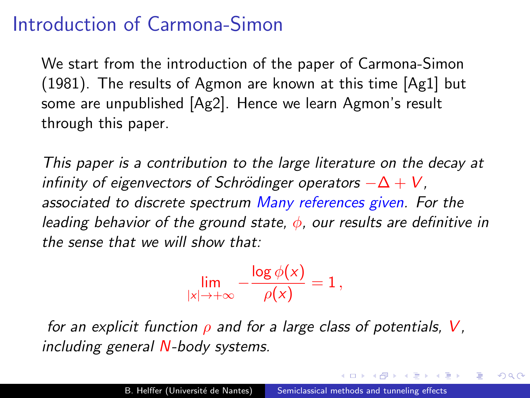# Introduction of Carmona-Simon

We start from the introduction of the paper of Carmona-Simon (1981). The results of Agmon are known at this time [\[Ag1\]](#page-177-0) but some are unpublished [\[Ag2\]](#page-177-1). Hence we learn Agmon's result through this paper.

This paper is a contribution to the large literature on the decay at infinity of eigenvectors of Schrödinger operators  $-\Delta + V$ . associated to discrete spectrum Many references given. For the leading behavior of the ground state,  $\phi$ , our results are definitive in the sense that we will show that:

$$
\lim_{|x|\to+\infty}-\frac{\log\phi(x)}{\rho(x)}=1\,,
$$

for an explicit function  $\rho$  and for a large class of potentials, V, including general N-body systems.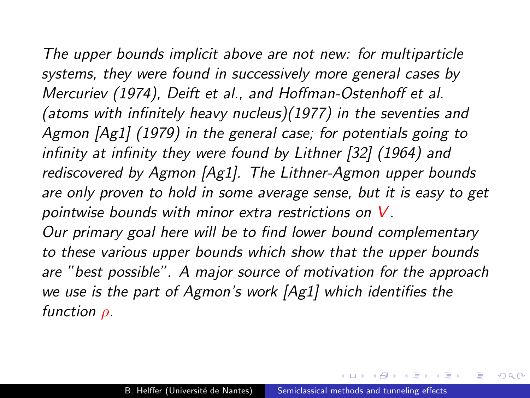The upper bounds implicit above are not new: for multiparticle systems, they were found in successively more general cases by Mercuriev (1974), Deift et al., and Hoffman-Ostenhoff et al. (atoms with infinitely heavy nucleus)(1977) in the seventies and Agmon [\[Ag1\]](#page-177-0) (1979) in the general case; for potentials going to infinity at infinity they were found by Lithner [\[32\]](#page-187-0) (1964) and rediscovered by Agmon [\[Ag1\]](#page-177-0). The Lithner-Agmon upper bounds are only proven to hold in some average sense, but it is easy to get pointwise bounds with minor extra restrictions on V. Our primary goal here will be to find lower bound complementary to these various upper bounds which show that the upper bounds are "best possible". A major source of motivation for the approach we use is the part of Agmon's work [\[Ag1\]](#page-177-0) which identifies the function  $\rho$ .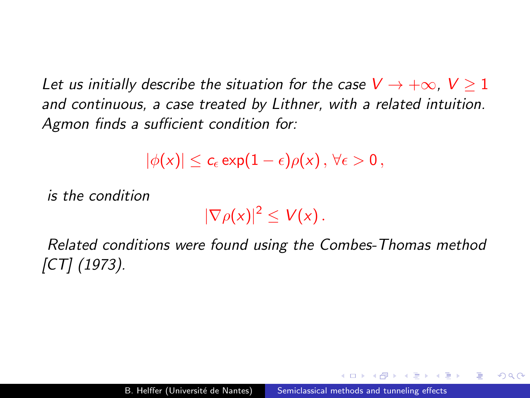Let us initially describe the situation for the case  $V\rightarrow +\infty,~V\geq 1$ and continuous, a case treated by Lithner, with a related intuition. Agmon finds a sufficient condition for:

$$
|\phi(x)|\leq c_\epsilon \exp(1-\epsilon)\rho(x)\,,\,\forall \epsilon>0\,,
$$

is the condition

 $|\nabla \rho(x)|^2 \leq V(x)$ .

Related conditions were found using the Combes-Thomas method [\[CT\]](#page-179-0) (1973).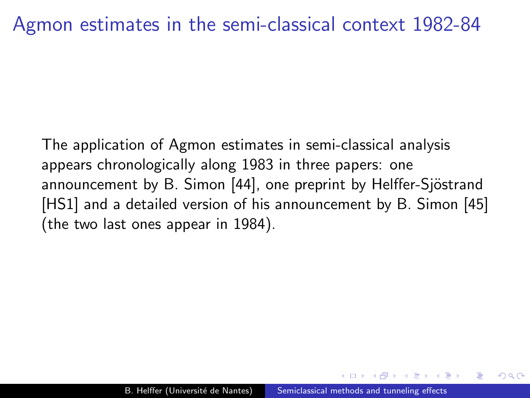#### Agmon estimates in the semi-classical context 1982-84

The application of Agmon estimates in semi-classical analysis appears chronologically along 1983 in three papers: one announcement by B. Simon [\[44\]](#page-190-0), one preprint by Helffer-Sjöstrand [\[HS1\]](#page-184-0) and a detailed version of his announcement by B. Simon [\[45\]](#page-190-1) (the two last ones appear in 1984).

 $\Omega$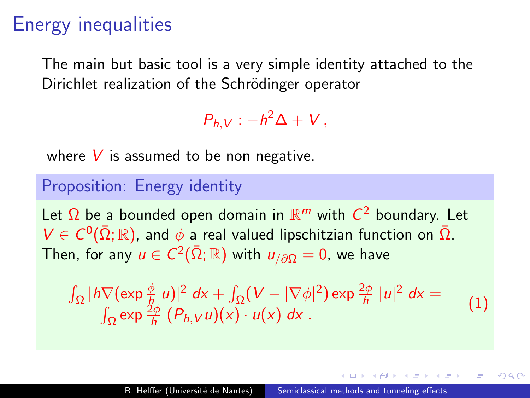# Energy inequalities

The main but basic tool is a very simple identity attached to the Dirichlet realization of the Schrödinger operator

 $P_{h,V}$  :  $-h^2\Delta + V$ ,

where  $V$  is assumed to be non negative.

#### Proposition: Energy identity

Let  $\Omega$  be a bounded open domain in  $\mathbb{R}^m$  with  $C^2$  boundary. Let  $V \in C^0(\bar{\Omega}; \mathbb{R})$ , and  $\phi$  a real valued lipschitzian function on  $\bar{\Omega}$ . Then, for any  $u\in C^2(\bar\Omega;\mathbb{R})$  with  $u_{/\partial\Omega}=0$ , we have

$$
\int_{\Omega} |\hbar \nabla (\exp \frac{\phi}{\hbar} u)|^2 dx + \int_{\Omega} (V - |\nabla \phi|^2) \exp \frac{2\phi}{\hbar} |u|^2 dx =
$$
  

$$
\int_{\Omega} \exp \frac{2\phi}{\hbar} (P_{h,V}u)(x) \cdot u(x) dx.
$$
 (1)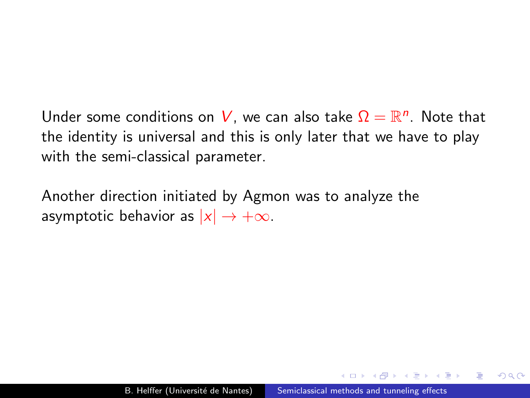Under some conditions on  $V$ , we can also take  $\Omega = \mathbb{R}^n$ . Note that the identity is universal and this is only later that we have to play with the semi-classical parameter.

Another direction initiated by Agmon was to analyze the asymptotic behavior as  $|x| \to +\infty$ .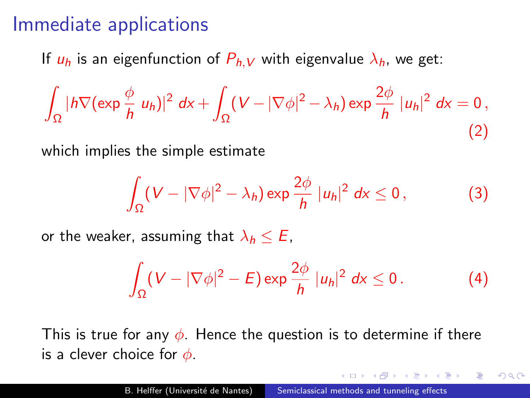### Immediate applications

If  $u_h$  is an eigenfunction of  $P_{h,V}$  with eigenvalue  $\lambda_h$ , we get:

$$
\int_{\Omega} |h \nabla (\exp \frac{\phi}{h} u_h)|^2 dx + \int_{\Omega} (V - |\nabla \phi|^2 - \lambda_h) \exp \frac{2\phi}{h} |u_h|^2 dx = 0,
$$
\n(2)

which implies the simple estimate

$$
\int_{\Omega} (V - |\nabla \phi|^2 - \lambda_h) \exp \frac{2\phi}{h} |u_h|^2 dx \le 0,
$$
 (3)

or the weaker, assuming that  $\lambda_h \leq E$ ,

$$
\int_{\Omega} (V - |\nabla \phi|^2 - E) \exp \frac{2\phi}{h} |u_h|^2 dx \le 0.
$$
 (4)

つくい

This is true for any  $\phi$ . Hence the question is to determine if there is a clever choice for  $\phi$ .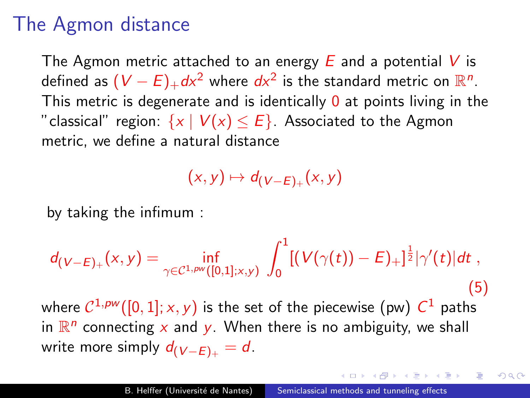# The Agmon distance

The Agmon metric attached to an energy  $E$  and a potential V is defined as  $(V-E)_+d\overline{X}^2$  where  $d\overline{x}^2$  is the standard metric on  $\mathbb{R}^n.$ This metric is degenerate and is identically  $\theta$  at points living in the "classical" region:  $\{x \mid V(x) \leq E\}$ . Associated to the Agmon metric, we define a natural distance

 $(x, y) \mapsto d_{(V-E)_+}(x, y)$ 

by taking the infimum :

$$
d_{(V-E)_+}(x,y) = \inf_{\gamma \in \mathcal{C}^{1,pw}([0,1];x,y)} \int_0^1 [(V(\gamma(t))-E)_+]^{\frac{1}{2}} |\gamma'(t)| dt,
$$
  
where  $\mathcal{C}^{1,pw}([0,1];x,y)$  is the set of the piecewise (pw)  $C^1$  paths  
in  $\mathbb{R}^n$  connecting x and y. When there is no ambiguity, we shall  
write more simply  $d_{(V-E)_+} = d$ .

 $\Omega$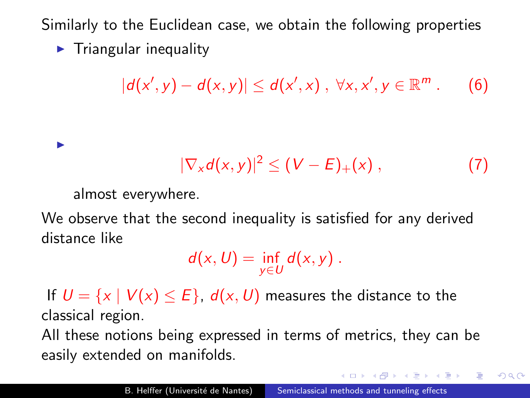Similarly to the Euclidean case, we obtain the following properties

 $\blacktriangleright$  Triangular inequality

$$
|d(x',y)-d(x,y)|\leq d(x',x),\ \forall x,x',y\in\mathbb{R}^m.
$$
 (6)

$$
|\nabla_x d(x,y)|^2 \leq (V-E)_+(x) , \qquad (7)
$$

 $QQ$ 

almost everywhere.

I

We observe that the second inequality is satisfied for any derived distance like

$$
d(x, U) = \inf_{y \in U} d(x, y).
$$

If  $U = \{x \mid V(x) \leq E\}$ ,  $d(x, U)$  measures the distance to the classical region.

All these notions being expressed in terms of metrics, they can be easily extended on manifolds.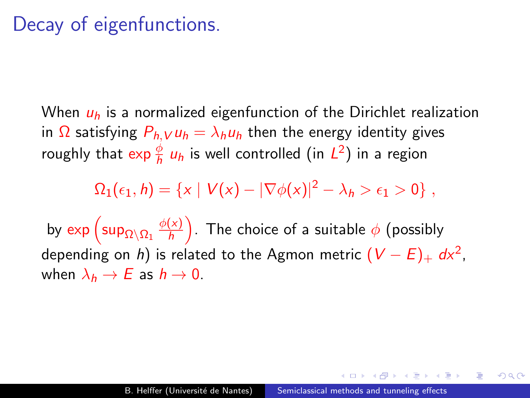## Decay of eigenfunctions.

When  $u_h$  is a normalized eigenfunction of the Dirichlet realization in  $\Omega$  satisfying  $P_{h,V} u_h = \lambda_h u_h$  then the energy identity gives roughly that  $\exp \frac{\phi}{h} u_h$  is well controlled (in  $L^2$ ) in a region

 $\Omega_1(\epsilon_1, h) = \{x \mid V(x) - |\nabla \phi(x)|^2 - \lambda_h > \epsilon_1 > 0\},$ 

by  $\exp\left(\sup_{\Omega\setminus\Omega_1}\frac{\phi(x)}{h}\right)$  $\frac{(\chi)}{h}$ ). The choice of a suitable  $\phi$  (possibly depending on  $h)$  is related to the Agmon metric  $(\mathcal{\mathcal{V}}-\mathcal{E})_+$  dx $^2$ , when  $\lambda_h \to E$  as  $h \to 0$ .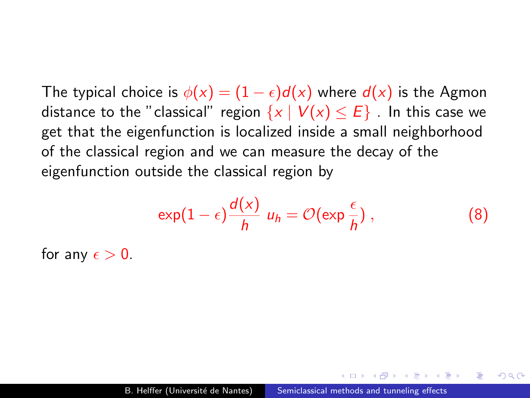The typical choice is  $\phi(x) = (1 - \epsilon) d(x)$  where  $d(x)$  is the Agmon distance to the "classical" region  $\{x \mid V(x) \leq E\}$ . In this case we get that the eigenfunction is localized inside a small neighborhood of the classical region and we can measure the decay of the eigenfunction outside the classical region by

$$
\exp(1-\epsilon)\frac{d(x)}{h} u_h = \mathcal{O}(\exp\frac{\epsilon}{h}), \qquad (8)
$$

 $\Omega$ 

for any  $\epsilon > 0$ .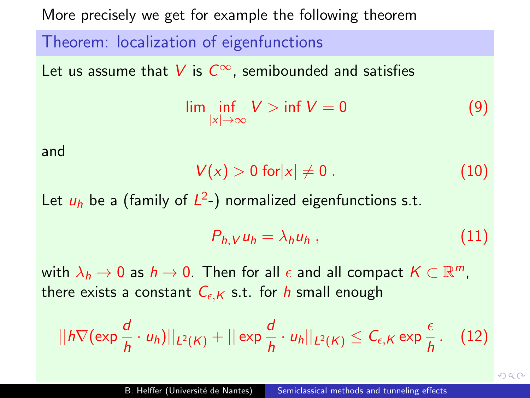More precisely we get for example the following theorem

Theorem: localization of eigenfunctions  
Let us assume that V is 
$$
C^{\infty}
$$
, semibounded and satisfies  

$$
\lim_{|x| \to \infty} \inf V > \inf V = 0
$$
 (9)  
and

$$
V(x) > 0 \text{ for } |x| \neq 0. \tag{10}
$$

Let  $u_h$  be a (family of  $L^2$ -) normalized eigenfunctions s.t.

$$
P_{h,V}u_h = \lambda_h u_h , \qquad (11)
$$

with  $\lambda_h \to 0$  as  $h \to 0$ . Then for all  $\epsilon$  and all compact  $K \subset \mathbb{R}^m$ , there exists a constant  $C_{\epsilon,K}$  s.t. for h small enough

$$
||h\nabla(\exp\frac{d}{h}\cdot u_h)||_{L^2(K)}+||\exp\frac{d}{h}\cdot u_h||_{L^2(K)}\leq C_{\epsilon,K}\exp\frac{\epsilon}{h}.\quad (12)
$$

 $QQ$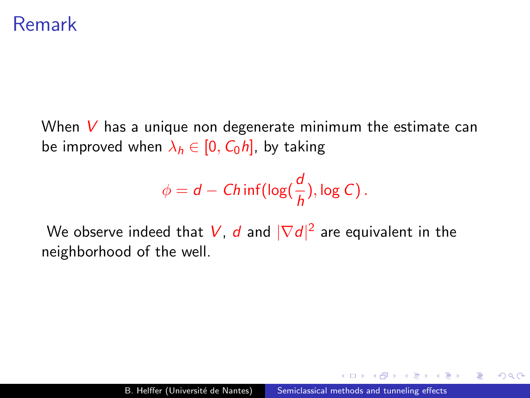#### Remark

When  $V$  has a unique non degenerate minimum the estimate can be improved when  $\lambda_h \in [0, C_0 h]$ , by taking

$$
\phi = d - Ch\inf(\log(\frac{d}{h}), \log C).
$$

We observe indeed that  $V$ ,  $d$  and  $|\nabla d|^2$  are equivalent in the neighborhood of the well.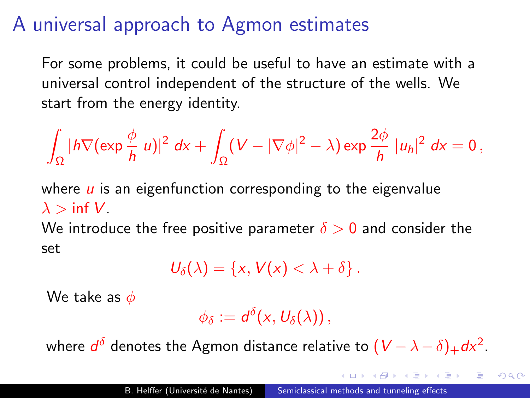## A universal approach to Agmon estimates

For some problems, it could be useful to have an estimate with a universal control independent of the structure of the wells. We start from the energy identity.

$$
\int_{\Omega}|h\nabla(\exp\frac{\phi}{h}|u)|^2\;dx+\int_{\Omega}(V-|\nabla\phi|^2-\lambda)\exp\frac{2\phi}{h}\;|u_h|^2\;dx=0\,,
$$

where  $\mu$  is an eigenfunction corresponding to the eigenvalue  $\lambda > \inf V$ .

We introduce the free positive parameter  $\delta > 0$  and consider the set

$$
U_{\delta}(\lambda)=\left\{x, V(x)<\lambda+\delta\right\}.
$$

We take as  $\phi$ 

$$
\phi_{\delta}:=d^{\delta}(x,U_{\delta}(\lambda)),
$$

where  $d^\delta$  denotes the Agmon distance relative to  $(V-\lambda-\delta)_+d\mathsf{x}^2.$ 

 $QQ$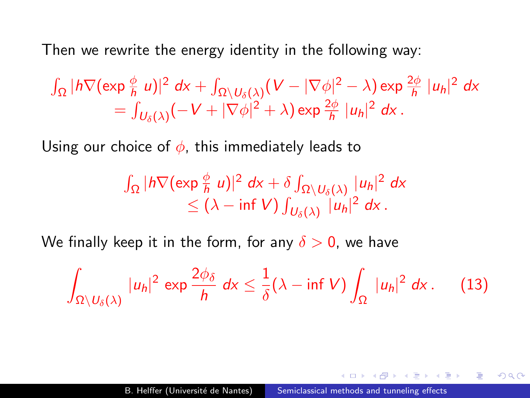Then we rewrite the energy identity in the following way:

$$
\int_{\Omega} |h \nabla (\exp \frac{\phi}{h} u)|^2 dx + \int_{\Omega \setminus U_{\delta}(\lambda)} (V - |\nabla \phi|^2 - \lambda) \exp \frac{2\phi}{h} |u_h|^2 dx
$$
  
= 
$$
\int_{U_{\delta}(\lambda)} (-V + |\nabla \phi|^2 + \lambda) \exp \frac{2\phi}{h} |u_h|^2 dx.
$$

Using our choice of  $\phi$ , this immediately leads to

$$
\int_{\Omega} |h \nabla (\exp \frac{\phi}{h} u)|^2 dx + \delta \int_{\Omega \setminus U_{\delta}(\lambda)} |u_h|^2 dx
$$
  
\n
$$
\leq (\lambda - \inf V) \int_{U_{\delta}(\lambda)} |u_h|^2 dx.
$$

We finally keep it in the form, for any  $\delta > 0$ , we have

$$
\int_{\Omega\setminus U_{\delta}(\lambda)}|u_{h}|^{2}\,\exp\frac{2\phi_{\delta}}{h}\,dx\leq \frac{1}{\delta}(\lambda-\inf V)\int_{\Omega}|u_{h}|^{2}\,dx\,. \tag{13}
$$

何 ▶ ( 三 ) ( 三 )

 $\equiv$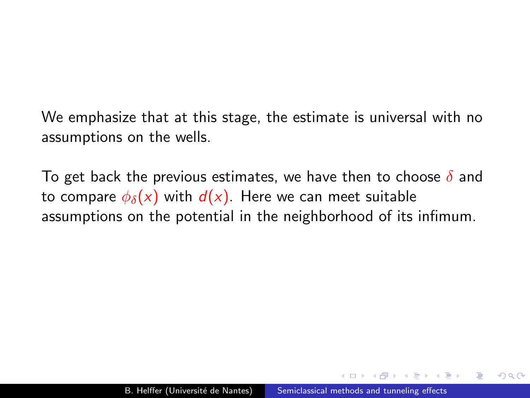We emphasize that at this stage, the estimate is universal with no assumptions on the wells.

To get back the previous estimates, we have then to choose  $\delta$  and to compare  $\phi_{\delta}(x)$  with  $d(x)$ . Here we can meet suitable assumptions on the potential in the neighborhood of its infimum.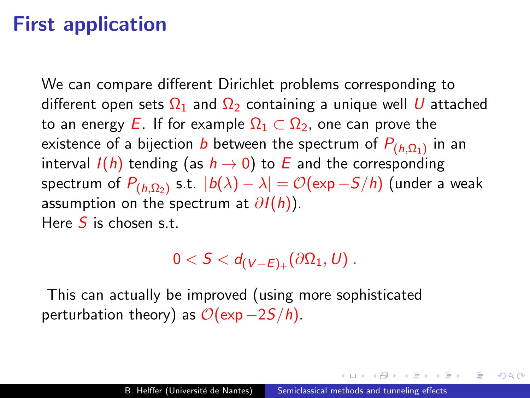# First application

We can compare different Dirichlet problems corresponding to different open sets  $\Omega_1$  and  $\Omega_2$  containing a unique well U attached to an energy E. If for example  $\Omega_1 \subset \Omega_2$ , one can prove the existence of a bijection  $b$  between the spectrum of  $P_{(h,\Omega_1)}$  in an interval  $I(h)$  tending (as  $h \rightarrow 0$ ) to E and the corresponding spectrum of  $P_{(h,\Omega_2)}$  s.t.  $\,|b(\lambda)-\lambda|=\mathcal{O}(\exp{-S/h})$  (under a weak assumption on the spectrum at  $\partial I(h)$ ). Here  $S$  is chosen s.t.

#### $0 < \mathcal{S} < d_{(\mathcal{V}-E)_+}(\partial \Omega_1, \textit{U})$  .

This can actually be improved (using more sophisticated perturbation theory) as  $\mathcal{O}(\exp-2S/h)$ .

桐 トライモ トライモ トラ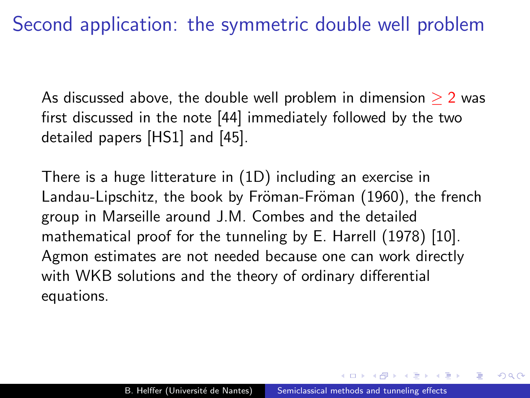Second application: the symmetric double well problem

As discussed above, the double well problem in dimension  $\geq 2$  was first discussed in the note [\[44\]](#page-190-0) immediately followed by the two detailed papers [\[HS1\]](#page-184-0) and [\[45\]](#page-190-1).

There is a huge litterature in (1D) including an exercise in Landau-Lipschitz, the book by Fröman-Fröman (1960), the french group in Marseille around J.M. Combes and the detailed mathematical proof for the tunneling by E. Harrell (1978) [\[10\]](#page-181-0). Agmon estimates are not needed because one can work directly with WKB solutions and the theory of ordinary differential equations.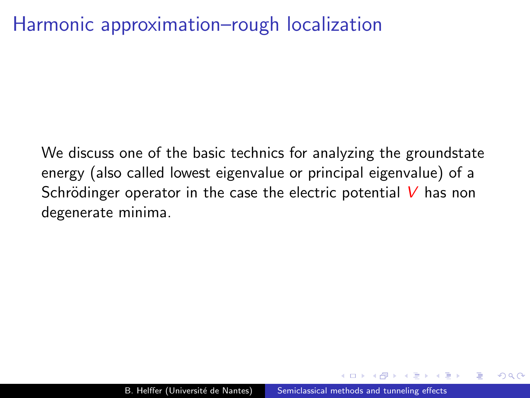# Harmonic approximation–rough localization

We discuss one of the basic technics for analyzing the groundstate energy (also called lowest eigenvalue or principal eigenvalue) of a Schrödinger operator in the case the electric potential  $V$  has non degenerate minima.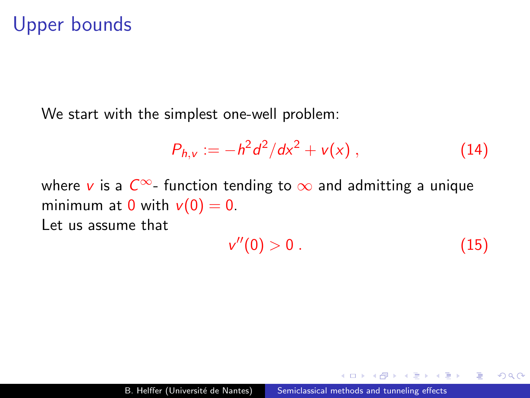### Upper bounds

We start with the simplest one-well problem:

$$
P_{h,v} := -h^2 d^2/dx^2 + v(x) , \qquad (14)
$$

where v is a  $C^{\infty}$ - function tending to  $\infty$  and admitting a unique minimum at 0 with  $v(0) = 0$ . Let us assume that

$$
v''(0) > 0. \tag{15}
$$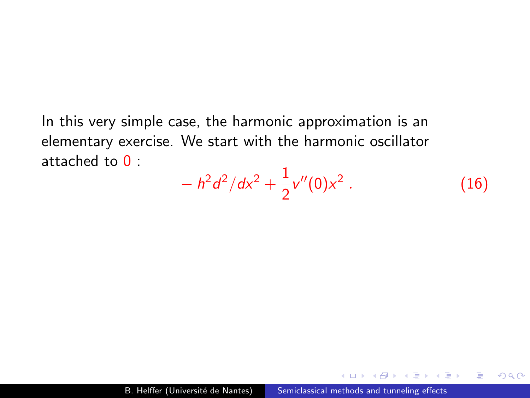In this very simple case, the harmonic approximation is an elementary exercise. We start with the harmonic oscillator attached to  $0<sup>1</sup>$ 

$$
- h2 d2/dx2 + \frac{1}{2}v''(0)x2.
$$
 (16)

 $2990$ 

э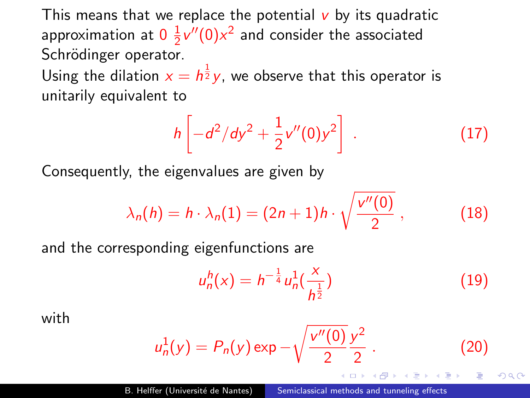This means that we replace the potential  $\bf{v}$  by its quadratic approximation at  $0\,\frac{1}{2}$  $\frac{1}{2}v''(0)x^2$  and consider the associated Schrödinger operator.

Using the dilation  $x = h^{\frac{1}{2}}y$ , we observe that this operator is unitarily equivalent to

$$
h\left[-d^2/dy^2 + \frac{1}{2}v''(0)y^2\right] \ . \tag{17}
$$

Consequently, the eigenvalues are given by

$$
\lambda_n(h) = h \cdot \lambda_n(1) = (2n+1)h \cdot \sqrt{\frac{v''(0)}{2}}\,,\tag{18}
$$

and the corresponding eigenfunctions are

$$
u_n^h(x) = h^{-\frac{1}{4}} u_n^1(\frac{x}{h^{\frac{1}{2}}})
$$
 (19)

つくい

with

$$
u_n^1(y) = P_n(y) \exp(-\sqrt{\frac{v''(0)}{2}} \frac{y^2}{2}).
$$
 (20)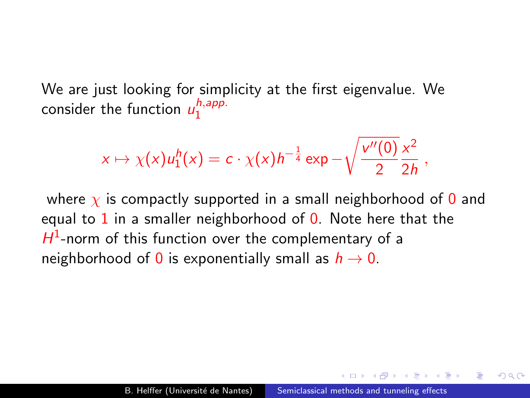We are just looking for simplicity at the first eigenvalue. We consider the function  $u_1^{h,app.}$ 1

$$
x\mapsto \chi(x)u_1^h(x)=c\cdot \chi(x)h^{-\frac{1}{4}}\exp -\sqrt{\frac{v''(0)}{2}}\frac{x^2}{2h},
$$

where  $\chi$  is compactly supported in a small neighborhood of 0 and equal to  $1$  in a smaller neighborhood of  $0$ . Note here that the  $H^1$ -norm of this function over the complementary of a neighborhood of 0 is exponentially small as  $h \to 0$ .

 $\Omega$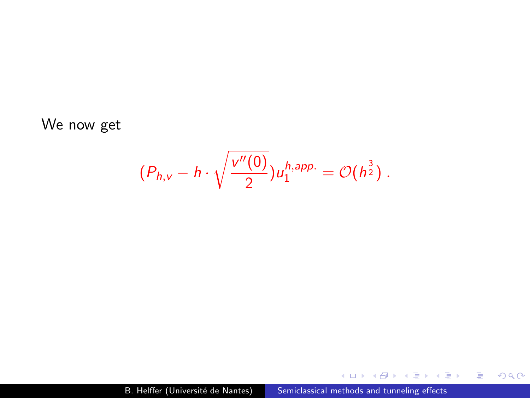We now get

$$
(P_{h,v}-h\cdot\sqrt{\frac{v''(0)}{2}})u_1^{h,app.}=\mathcal{O}(h^{\frac{3}{2}})\ .
$$

イロト イ部 ト イ君 ト イ君 ト

目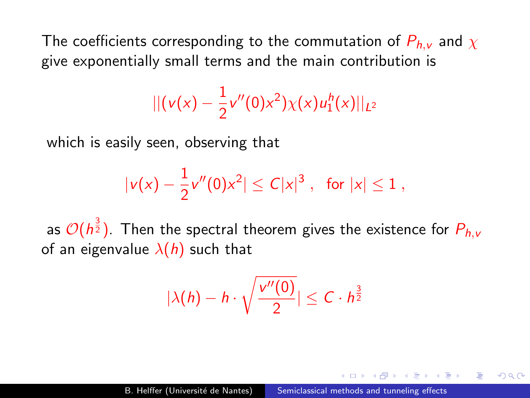The coefficients corresponding to the commutation of  $P_{h,v}$  and  $\chi$ give exponentially small terms and the main contribution is

$$
|| (v(x) - \frac{1}{2}v''(0)x^2)\chi(x)u_1^h(x)||_{L^2}
$$

which is easily seen, observing that

$$
|v(x) - \frac{1}{2}v''(0)x^2| \leq C|x|^3 , \text{ for } |x| \leq 1 ,
$$

as  $\mathcal{O}(h^{\frac{3}{2}}).$  Then the spectral theorem gives the existence for  $P_{h,\nu}$ of an eigenvalue  $\lambda(h)$  such that

$$
|\lambda(h)-h\cdot\sqrt{\frac{v''(0)}{2}}|\leq C\cdot h^{\frac{3}{2}}
$$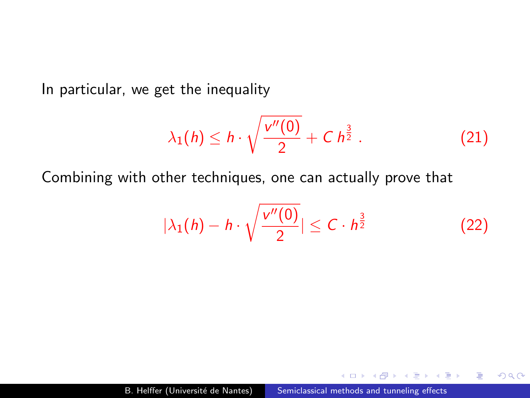<span id="page-31-0"></span>In particular, we get the inequality

$$
\lambda_1(h) \leq h \cdot \sqrt{\frac{v''(0)}{2}} + C h^{\frac{3}{2}} . \tag{21}
$$

Combining with other techniques, one can actually prove that

$$
|\lambda_1(h) - h \cdot \sqrt{\frac{v''(0)}{2}}| \leq C \cdot h^{\frac{3}{2}} \tag{22}
$$

 $QQ$ 

э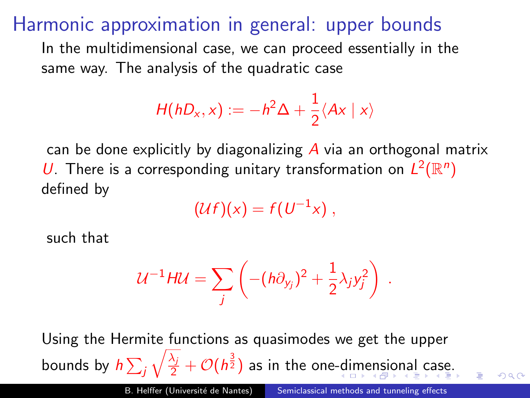#### <span id="page-32-0"></span>Harmonic approximation in general: upper bounds

In the multidimensional case, we can proceed essentially in the same way. The analysis of the quadratic case

$$
H(hD_x,x):=-h^2\Delta+\frac{1}{2}\langle Ax|x\rangle
$$

can be done explicitly by diagonalizing  $\overline{A}$  via an orthogonal matrix U. There is a corresponding unitary transformation on  $L^2(\mathbb{R}^n)$ defined by

$$
(\mathcal{U}f)(x) = f(U^{-1}x) ,
$$

such that

$$
\mathcal{U}^{-1}H\mathcal{U}=\sum_j\left(-(h\partial_{y_j})^2+\frac{1}{2}\lambda_jy_j^2\right)\ .
$$

Using the Hermite functions as quasimodes we get the upper bounds by  $h\sum_j$  $\sqrt{\frac{\lambda_j}{2}} + \mathcal{O}(h^{\frac{3}{2}})$  as in the one[-di](#page-31-0)[me](#page-33-0)[n](#page-31-0)[si](#page-32-0)[o](#page-33-0)[nal](#page-0-0) [c](#page-191-0)[ase](#page-0-0)[.](#page-191-0)

 $\Omega$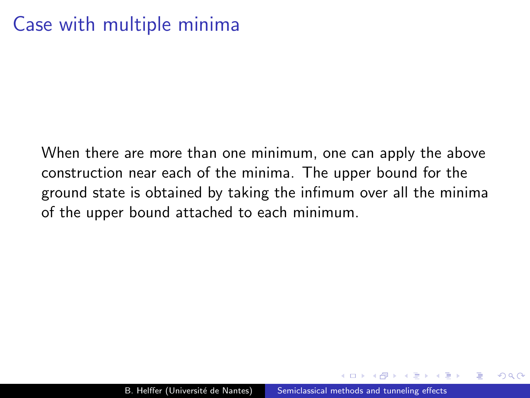# <span id="page-33-0"></span>Case with multiple minima

When there are more than one minimum, one can apply the above construction near each of the minima. The upper bound for the ground state is obtained by taking the infimum over all the minima of the upper bound attached to each minimum.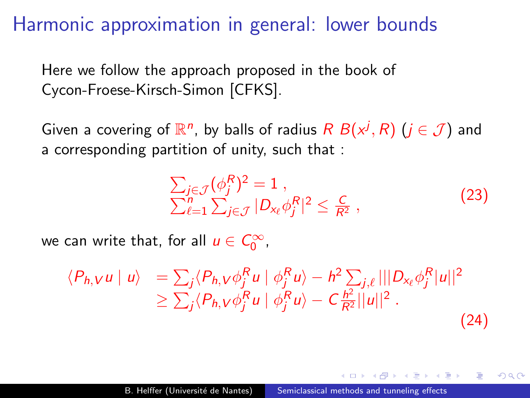Harmonic approximation in general: lower bounds

Here we follow the approach proposed in the book of Cycon-Froese-Kirsch-Simon [CFKS].

Given a covering of  $\mathbb{R}^n$ , by balls of radius  $R B(x^j, R)$   $(j \in \mathcal{J})$  and a corresponding partition of unity, such that :

$$
\sum_{j\in\mathcal{J}} (\phi_j^R)^2 = 1 ,
$$
\n
$$
\sum_{\ell=1}^n \sum_{j\in\mathcal{J}} |D_{\mathsf{x}_{\ell}} \phi_j^R|^2 \leq \frac{C}{R^2} ,
$$
\n(23)

つくい

we can write that, for all  $u \in C_0^{\infty}$ ,

$$
\langle P_{h,V} u \mid u \rangle = \sum_j \langle P_{h,V} \phi_j^R u \mid \phi_j^R u \rangle - \hbar^2 \sum_{j,\ell} |||D_{x_\ell} \phi_j^R |u||^2
$$
  
\n
$$
\geq \sum_j \langle P_{h,V} \phi_j^R u \mid \phi_j^R u \rangle - C \frac{\hbar^2}{R^2} ||u||^2.
$$
\n(24)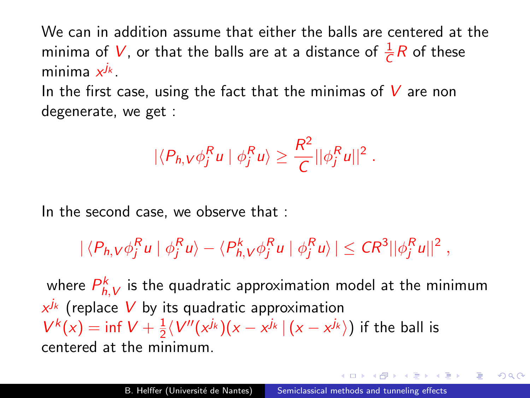We can in addition assume that either the balls are centered at the minima of  $V$ , or that the balls are at a distance of  $\frac{1}{C}R$  of these minima  $x^{j_k}$ .

In the first case, using the fact that the minimas of  $V$  are non degenerate, we get :

$$
|\langle P_{h,V}\phi_j^Ru | \phi_j^Ru \rangle \geq \frac{R^2}{C} ||\phi_j^Ru||^2.
$$

In the second case, we observe that :

$$
|\langle P_{h,V}\phi_j^Ru | \phi_j^Ru \rangle - \langle P_{h,V}^k \phi_j^Ru | \phi_j^Ru \rangle| \leq CR^3 ||\phi_j^Ru||^2,
$$

where  $P_{h,\boldsymbol{V}}^{k}$  is the quadratic approximation model at the minimum  $x^{j_k}$  (replace  $V$  by its quadratic approximation  $V^{k}(x) = \inf V + \frac{1}{2}$  $\frac{1}{2}\langle V''(x^{j_k})(x-x^{j_k}\,|\,(x-x^{j_k})\rangle$  if the ball is centered at the minimum.

 $\Omega$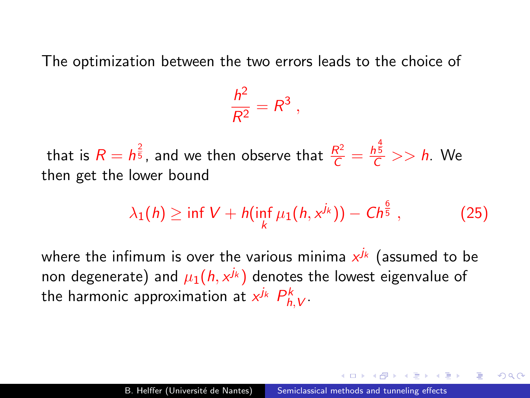The optimization between the two errors leads to the choice of

$$
\frac{h^2}{R^2}=R^3\ ,
$$

that is  $R=\mathbb{h}^{\frac{2}{5}},$  and we then observe that  $\frac{R^2}{C}=\frac{\mathbb{h}^{\frac{4}{5}}}{C}>>\mathbb{h}.$  We then get the lower bound

$$
\lambda_1(h) \geq \inf V + h(\inf_k \mu_1(h, x^{j_k})) - Ch^{\frac{6}{5}}, \qquad (25)
$$

where the infimum is over the various minima  $x^{j_k}$  (assumed to be non degenerate) and  $\mu_1(h,x^{j_k})$  denotes the lowest eigenvalue of the harmonic approximation at  $x^{j_k}$   $P^k_{h,V}$ .

つくい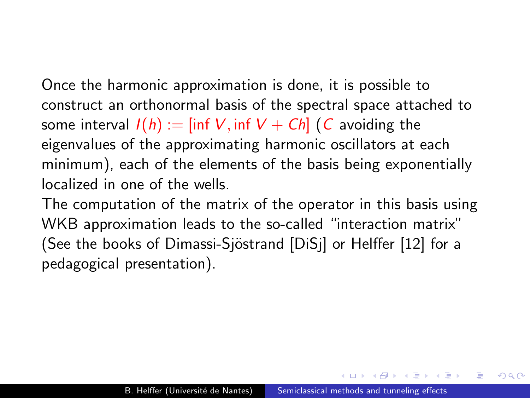<span id="page-37-0"></span>Once the harmonic approximation is done, it is possible to construct an orthonormal basis of the spectral space attached to some interval  $I(h) := \text{inf } V$ , inf  $V + Ch$  (C avoiding the eigenvalues of the approximating harmonic oscillators at each minimum), each of the elements of the basis being exponentially localized in one of the wells.

The computation of the matrix of the operator in this basis using WKB approximation leads to the so-called "interaction matrix" (See the books of Dimassi-Sjöstrand [\[DiSj\]](#page-180-0) or Helffer [\[12\]](#page-182-0) for a pedagogical presentation).

 $\Omega$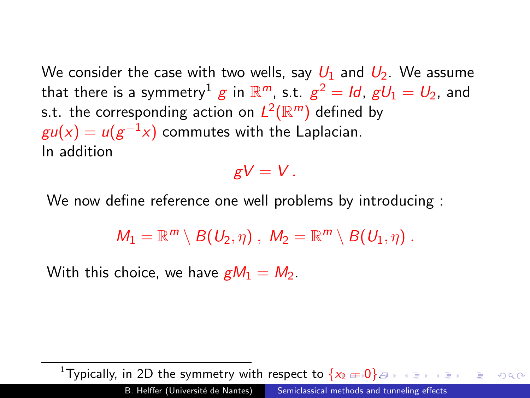<span id="page-38-0"></span>We consider the case with two wells, say  $U_1$  and  $U_2$ . We assume that there is a symmetry $^1$   $g$  in  $\mathbb{R}^m$ , s.t.  $g^2=$   $ld$ ,  $gU_1=$   $U_2$ , and s.t. the corresponding action on  $L^2(\mathbb{R}^m)$  defined by  $\mathit{gu}(x) = \mathit{u}(\mathit{g}^{-1}x)$  commutes with the Laplacian. In addition

 $gV = V$ .

We now define reference one well problems by introducing :

 $M_1 = \mathbb{R}^m \setminus B(U_2, \eta)$ ,  $M_2 = \mathbb{R}^m \setminus B(U_1, \eta)$ .

With this choice, we have  $gM_1 = M_2$ .

<sup>1</sup>Typically, in 2D the symmetry with respect to  $\{x_2 = 0\}$  $\{x_2 = 0\}$  $\{x_2 = 0\}$  $\{x_2 = 0\}$  $\{x_2 = 0\}$  $\{x_2 = 0\}$  $QQ$ B. Helffer (Université de Nantes) [Semiclassical methods and tunneling effects](#page-0-0)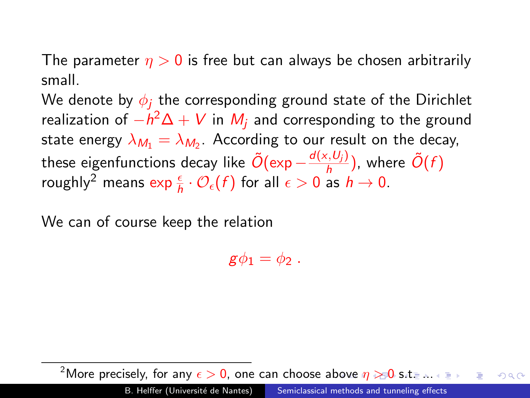<span id="page-39-0"></span>The parameter  $n > 0$  is free but can always be chosen arbitrarily small.

We denote by  $\phi_i$  the corresponding ground state of the Dirichlet realization of  $-h^2\Delta+V$  in  $M_j$  and corresponding to the ground state energy  $\lambda_{\mathcal{M}_1} = \lambda_{\mathcal{M}_2}.$  According to our result on the decay, these eigenfunctions decay like  $\tilde{O}(\exp{-\frac{d(x,U_j)}{h}})$  $\frac{\partial \langle G, U_j \rangle}{\partial h}$ ), where  $\tilde{O}(f)$ roughly $^2$  means  $\exp\frac{\epsilon}{h}\cdot\mathcal{O}_\epsilon(f)$  for all  $\epsilon>0$  as  $h\to 0.$ 

We can of course keep the relation

 $\mathbf{g}\phi_1 = \phi_2$ .

<sup>2</sup>Moreprecisely, for any  $\epsilon > 0$  $\epsilon > 0$  $\epsilon > 0$  $\epsilon > 0$ , one can choose a[bov](#page-38-0)e  $\eta \gg 0$  [s.t.](#page-0-0) [...](#page-191-0)  $QQ$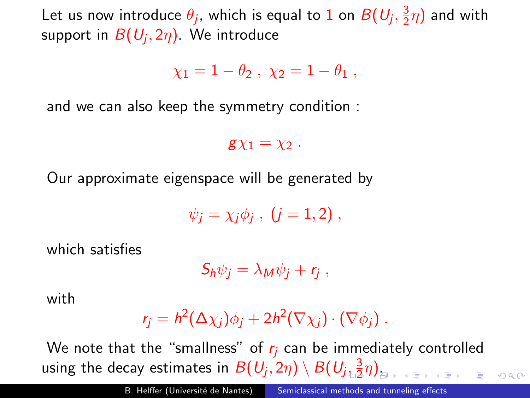<span id="page-40-0"></span>Let us now introduce  $\theta_j$ , which is equal to 1 on  $B(U_j,\frac{3}{2})$  $(\frac{3}{2}\eta)$  and with support in  $B(U_j,2\eta).$  We introduce

 $\gamma_1 = 1 - \theta_2$ ,  $\gamma_2 = 1 - \theta_1$ .

and we can also keep the symmetry condition :

 $\mathbf{g} \chi_1 = \chi_2$ .

Our approximate eigenspace will be generated by

$$
\psi_j=\chi_j\phi_j\;,\;(j=1,2)\;,
$$

which satisfies

$$
S_h\psi_j=\lambda_M\psi_j+r_j\;,
$$

with

$$
r_j = h^2(\Delta \chi_j)\phi_j + 2h^2(\nabla \chi_j) \cdot (\nabla \phi_j).
$$

We note that the "smallness" of  $r_i$  can be immediately controlled using the decay estimates in  $B(U_j,2\eta) \setminus B(U_j, \frac{3}{2})$  $B(U_j,2\eta) \setminus B(U_j, \frac{3}{2})$  $B(U_j,2\eta) \setminus B(U_j, \frac{3}{2})$  $\frac{3}{2}\eta$  $\frac{3}{2}\eta$  $\frac{3}{2}\eta$ [\)](#page-39-0)[.](#page-40-0)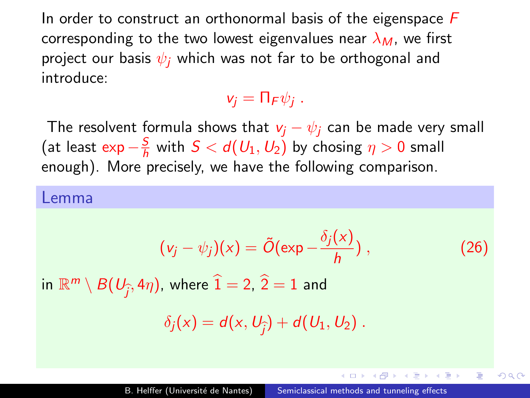<span id="page-41-0"></span>In order to construct an orthonormal basis of the eigenspace  $F$ corresponding to the two lowest eigenvalues near  $\lambda_M$ , we first project our basis  $\psi_i$ , which was not far to be orthogonal and introduce:

#### $v_j = \prod_F \psi_j$ .

The resolvent formula shows that  $v_i - \psi_i$  can be made very small (at least exp  $-\frac{S}{h}$  $\frac{S}{h}$  with  $S < d(U_1, U_2)$  by chosing  $\eta > 0$  small enough). More precisely, we have the following comparison.

#### Lemma

<span id="page-41-1"></span>
$$
(\nu_j - \psi_j)(x) = \tilde{O}(\exp{-\frac{\delta_j(x)}{h}}) ,
$$

 $(26)$ 

 $200$ 

 $\langle \bigcap \mathbb{P} \rangle$   $\rightarrow$   $\langle \bigcap \mathbb{P} \rangle$   $\rightarrow$   $\langle \bigcap \mathbb{P} \rangle$ 

in  $\mathbb{R}^m\setminus B(U_{\widehat{f}},4\eta),$  where  $\widehat{1}=$  2,  $\widehat{2}=1$  and

$$
\delta_j(x)=d(x,U_{\widehat{j}})+d(U_1,U_2).
$$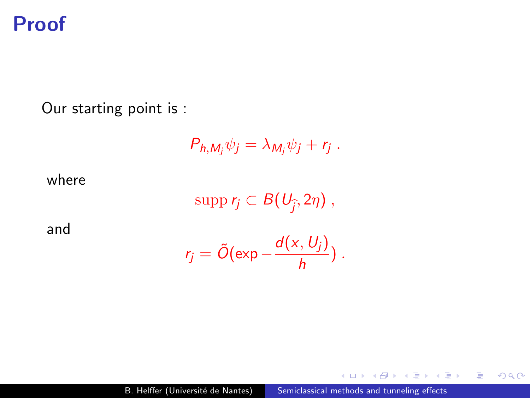### Proof

Our starting point is :

$$
P_{h,M_j}\psi_j=\lambda_{M_j}\psi_j+r_j.
$$

where

 $\text{supp } r_j \subset B(U_{\widehat{j}}, 2\eta)$ ,

and

$$
r_j = \tilde{O}(\exp{-\frac{d(x, U_j)}{h}}) .
$$

 $4.17$ 

点

 $\mathbb{R}^d \times \mathbb{R}^d \xrightarrow{\mathbb{R}^d} \mathbb{R}^d \times \mathbb{R}^d \xrightarrow{\mathbb{R}^d} \mathbb{R}^d$ 

目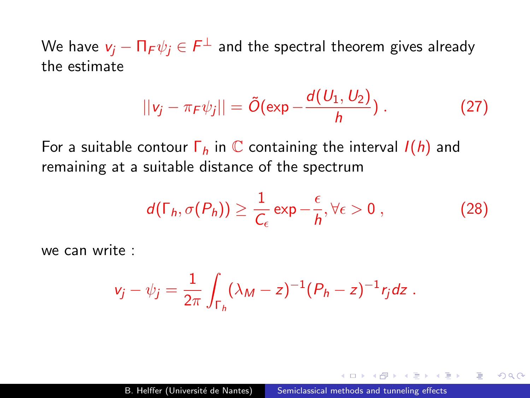We have  $\mathsf{v}_j - \mathsf{\Pi_F} \psi_j \in \mathsf{F}^\perp$  and the spectral theorem gives already the estimate

$$
||v_j - \pi_F \psi_j|| = \tilde{O}(\exp{-\frac{d(U_1, U_2)}{h}}). \tag{27}
$$

For a suitable contour  $\Gamma_h$  in  $\mathbb C$  containing the interval  $I(h)$  and remaining at a suitable distance of the spectrum

<span id="page-43-0"></span>
$$
d(\Gamma_h, \sigma(P_h)) \geq \frac{1}{C_{\epsilon}} \exp{-\frac{\epsilon}{h}}, \forall \epsilon > 0 , \qquad (28)
$$

 $200$ 

we can write :

$$
v_j - \psi_j = \frac{1}{2\pi} \int_{\Gamma_h} (\lambda_M - z)^{-1} (P_h - z)^{-1} r_j dz.
$$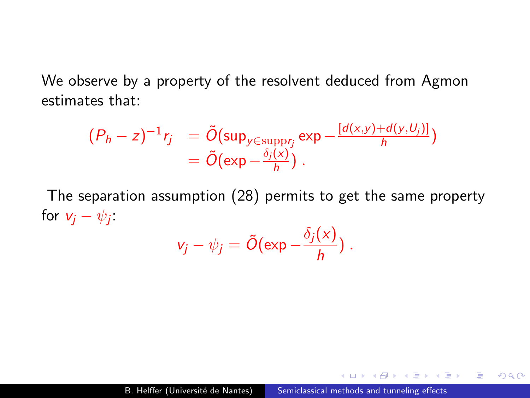We observe by a property of the resolvent deduced from Agmon estimates that:

$$
\begin{array}{lll} (P_h - z)^{-1} r_j &= \tilde{O}(\sup_{y \in \text{supp} r_j} \exp -\frac{[d(x, y) + d(y, U_j)]}{h}) \\ &= \tilde{O}(\exp -\frac{\delta_j(x)}{h}) \ .\end{array}
$$

The separation assumption [\(28\)](#page-43-0) permits to get the same property for  $v_j - \psi_j$ :  $\sim$   $\sim$   $\sim$ 

$$
v_j - \psi_j = \tilde{O}(\exp{-\frac{\delta_j(x)}{h}}) .
$$

э

 $\Omega$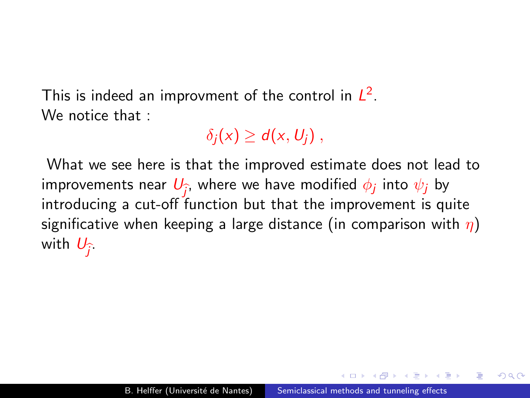This is indeed an improvment of the control in  $L^2$ . We notice that :

 $\delta_i(x) \geq d(x, U_i)$ ,

What we see here is that the improved estimate does not lead to improvements near  $U_{\widehat{j}}$ , where we have modified  $\phi_j$  into  $\psi_j$  by introducing a cut off function but that the improvement is an introducing a cut-off function but that the improvement is quite significative when keeping a large distance (in comparison with  $\eta$ ) with  $U_{\widehat{j}}$ .

つくい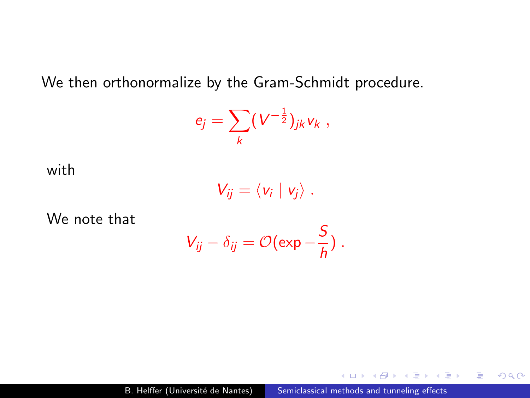We then orthonormalize by the Gram-Schmidt procedure.

$$
e_j=\sum_k (V^{-\frac{1}{2}})_{jk}v_k,
$$

with

$$
V_{ij}=\langle v_i\mid v_j\rangle.
$$

We note that

$$
V_{ij}-\delta_{ij}=\mathcal{O}(\exp{-\frac{S}{h}})\ .
$$

 $\sim$   $\sim$ 

 $\mathbf{A} \equiv \mathbf{B} \quad \mathbf{A} \equiv \mathbf{B}$ 

 $\mathbf{h}$ 

E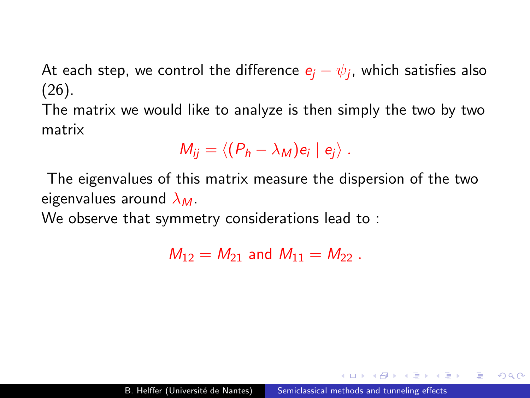At each step, we control the difference  $e_j-\psi_j$ , which satisfies also [\(26\)](#page-41-1).

The matrix we would like to analyze is then simply the two by two matrix

$$
M_{ij} = \langle (P_h - \lambda_M) e_i \mid e_j \rangle.
$$

The eigenvalues of this matrix measure the dispersion of the two eigenvalues around  $\lambda_M$ .

We observe that symmetry considerations lead to :

 $M_{12} = M_{21}$  and  $M_{11} = M_{22}$ .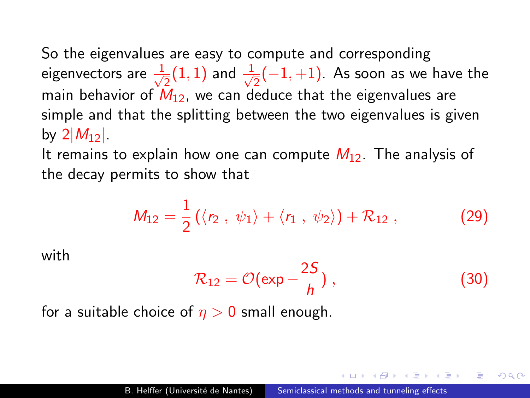So the eigenvalues are easy to compute and corresponding eigenvectors are  $\frac{1}{\sqrt{2}}$  $\frac{1}{2}(1,1)$  and  $\frac{1}{\sqrt{2}}$  $\frac{1}{2}(-1,+1)$ . As soon as we have the main behavior of  $M_{12}$ , we can deduce that the eigenvalues are simple and that the splitting between the two eigenvalues is given by  $2|M_{12}|$ .

It remains to explain how one can compute  $M_{12}$ . The analysis of the decay permits to show that

$$
M_{12} = \frac{1}{2} (\langle r_2, \psi_1 \rangle + \langle r_1, \psi_2 \rangle) + \mathcal{R}_{12}, \tag{29}
$$

with

$$
\mathcal{R}_{12} = \mathcal{O}(\exp{-\frac{2S}{h}}) , \qquad (30)
$$

つくい

for a suitable choice of  $\eta > 0$  small enough.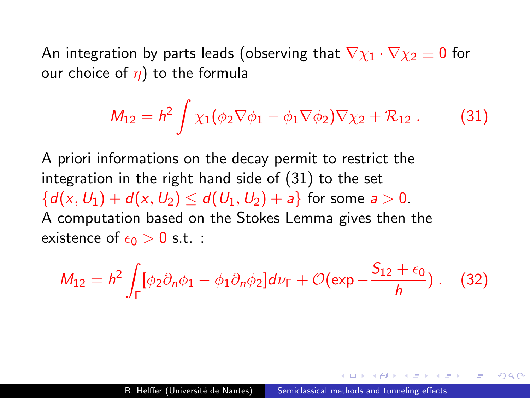An integration by parts leads (observing that  $\nabla \chi_1 \cdot \nabla \chi_2 \equiv 0$  for our choice of  $\eta$ ) to the formula

<span id="page-49-0"></span>
$$
M_{12} = h^2 \int \chi_1(\phi_2 \nabla \phi_1 - \phi_1 \nabla \phi_2) \nabla \chi_2 + \mathcal{R}_{12} . \tag{31}
$$

A priori informations on the decay permit to restrict the integration in the right hand side of [\(31\)](#page-49-0) to the set  ${d(x, U_1) + d(x, U_2) \le d(U_1, U_2) + a}$  for some  $a > 0$ . A computation based on the Stokes Lemma gives then the existence of  $\epsilon_0 > 0$  s.t. :

$$
M_{12}=h^2\int_{\Gamma}[\phi_2\partial_n\phi_1-\phi_1\partial_n\phi_2]d\nu_{\Gamma}+\mathcal{O}(\exp{-\frac{S_{12}+\epsilon_0}{h}})\ .\quad (32)
$$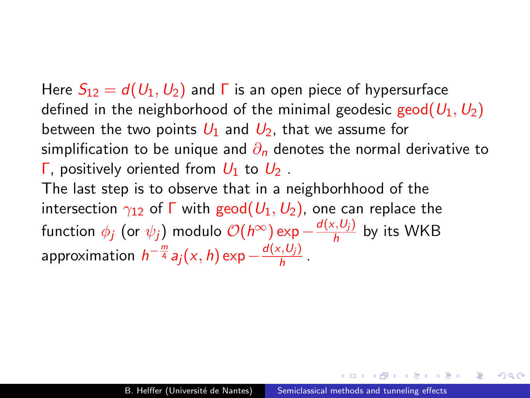Here  $S_{12} = d(U_1, U_2)$  and  $\Gamma$  is an open piece of hypersurface defined in the neighborhood of the minimal geodesic geod( $U_1, U_2$ ) between the two points  $U_1$  and  $U_2$ , that we assume for simplification to be unique and  $\partial_n$  denotes the normal derivative to Γ, positively oriented from  $U_1$  to  $U_2$ . The last step is to observe that in a neighborhhood of the intersection  $\gamma_{12}$  of  $\Gamma$  with geod $(U_1, U_2)$ , one can replace the function  $\phi_j$  (or  $\psi_j)$  modulo  $\mathcal{O}(h^\infty)$ exp — $\frac{d({\sf x},U_j)}{h}$  $\frac{\partial \langle \mathbf{v}_j \rangle}{h}$  by its WKB approximation  $\,h^{-\frac{m}{4}} a_j(x,h) \exp{ - \frac{d(x,U_j)}{h} }$  $\frac{\left(0,0\right)}{h}$ .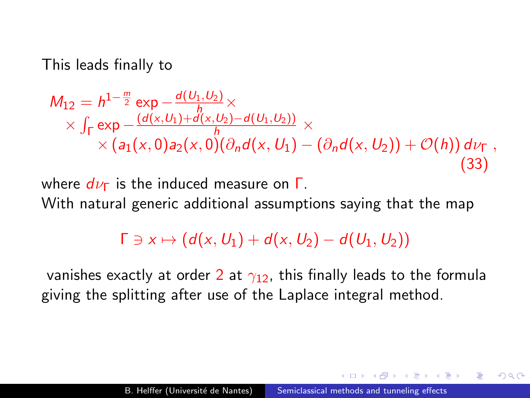This leads finally to

$$
M_{12} = h^{1-\frac{m}{2}} \exp \frac{-d(U_1, U_2)}{h} \times \times \int_{\Gamma} \exp \frac{-(d(x, U_1) + d(x, U_2) - d(U_1, U_2))}{h} \times \times (a_1(x, 0) a_2(x, 0) (\partial_n d(x, U_1) - (\partial_n d(x, U_2)) + \mathcal{O}(h)) d\nu_{\Gamma},
$$
\n(33)

where  $d\nu$ <sub>Γ</sub> is the induced measure on  $\Gamma$ . With natural generic additional assumptions saying that the map

### $\Gamma \ni x \mapsto (d(x,U_1) + d(x,U_2) - d(U_1,U_2))$

vanishes exactly at order 2 at  $\gamma_{12}$ , this finally leads to the formula giving the splitting after use of the Laplace integral method.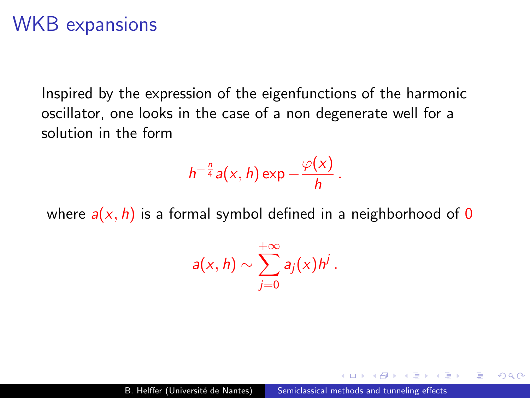### WKB expansions

Inspired by the expression of the eigenfunctions of the harmonic oscillator, one looks in the case of a non degenerate well for a solution in the form

$$
h^{-\frac{n}{4}}a(x, h) \exp -\frac{\varphi(x)}{h}.
$$

where  $a(x, h)$  is a formal symbol defined in a neighborhood of 0

$$
a(x,h)\sim \sum_{j=0}^{+\infty}a_j(x)h^j.
$$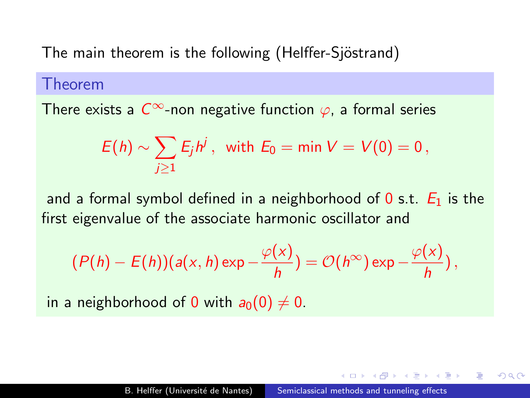The main theorem is the following (Helffer-Sjöstrand)

#### Theorem

There exists a  $C^{\infty}$ -non negative function  $\varphi$ , a formal series

$$
E(h) \sim \sum_{j\geq 1} E_j h^j, \text{ with } E_0 = \min V = V(0) = 0,
$$

and a formal symbol defined in a neighborhood of 0 s.t.  $E_1$  is the first eigenvalue of the associate harmonic oscillator and

$$
(P(h) - E(h))(a(x, h) \exp \frac{-\varphi(x)}{h}) = \mathcal{O}(h^{\infty}) \exp \frac{-\varphi(x)}{h}),
$$

in a neighborhood of 0 with  $a_0(0) \neq 0$ .

つくい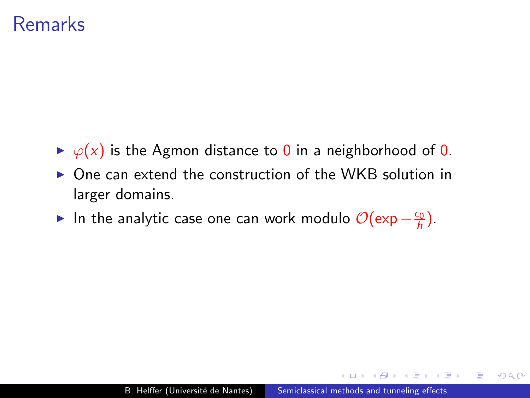### Remarks

- $\rightarrow \varphi(x)$  is the Agmon distance to 0 in a neighborhood of 0.
- $\triangleright$  One can extend the construction of the WKB solution in larger domains.
- ► In the analytic case one can work modulo  $\mathcal{O}(\exp{-\frac{\epsilon_0}{h}})$ .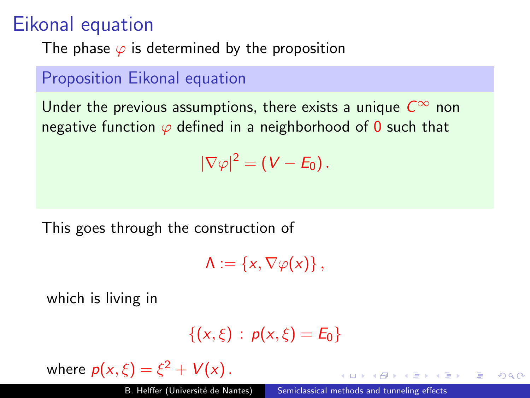## Eikonal equation

The phase  $\varphi$  is determined by the proposition

### Proposition Eikonal equation

Under the previous assumptions, there exists a unique  $C^{\infty}$  non negative function  $\varphi$  defined in a neighborhood of 0 such that

 $|\nabla \varphi|^2 = (V - E_0).$ 

This goes through the construction of

 $\Lambda := \{x, \nabla \varphi(x)\}\,$ 

which is living in

$$
\{(x,\xi)\,:\,p(x,\xi)=E_0\}
$$

where  $p(x,\xi) = \xi^2 + V(x)$ .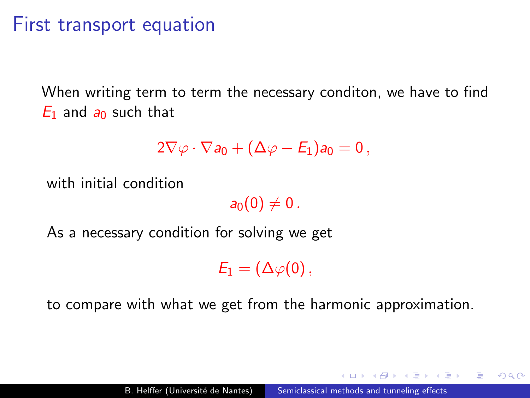### First transport equation

When writing term to term the necessary conditon, we have to find  $E_1$  and  $a_0$  such that

$$
2\nabla\varphi\cdot\nabla a_0+(\Delta\varphi-E_1)a_0=0\,,
$$

with initial condition

 $a_0(0) \neq 0$ .

As a necessary condition for solving we get

 $E_1 = (\Delta \varphi(0)),$ 

to compare with what we get from the harmonic approximation.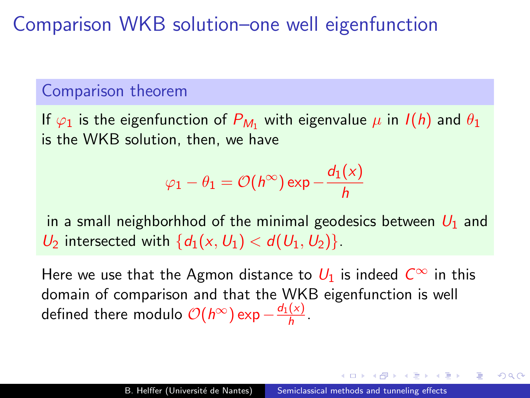Comparison WKB solution–one well eigenfunction

### Comparison theorem

If  $\varphi_1$  is the eigenfunction of  $P_{M_1}$  with eigenvalue  $\mu$  in  $I(h)$  and  $\theta_1$ is the WKB solution, then, we have

$$
\varphi_1 - \theta_1 = \mathcal{O}(h^\infty) \exp{-\frac{d_1(x)}{h}}
$$

in a small neighborhhod of the minimal geodesics between  $U_1$  and  $U_2$  intersected with  $\{d_1(x,U_1) < d(U_1,U_2)\}.$ 

Here we use that the Agmon distance to  $U_1$  is indeed  $C^{\infty}$  in this domain of comparison and that the WKB eigenfunction is well defined there modulo  $\mathcal{O}(h^{\infty})$  exp  $-\frac{d_1(x)}{h}$  $\frac{(x)}{h}$ .

つくい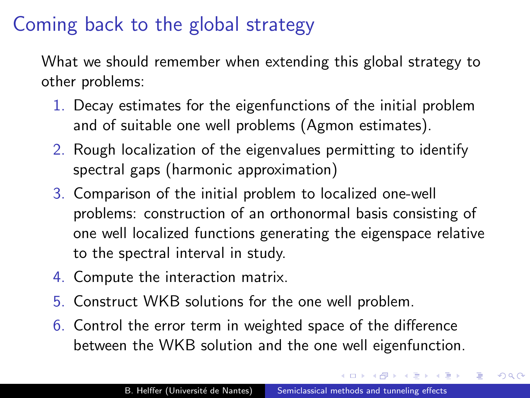## Coming back to the global strategy

What we should remember when extending this global strategy to other problems:

- 1. Decay estimates for the eigenfunctions of the initial problem and of suitable one well problems (Agmon estimates).
- 2. Rough localization of the eigenvalues permitting to identify spectral gaps (harmonic approximation)
- 3. Comparison of the initial problem to localized one-well problems: construction of an orthonormal basis consisting of one well localized functions generating the eigenspace relative to the spectral interval in study.
- 4. Compute the interaction matrix.
- 5. Construct WKB solutions for the one well problem.
- 6. Control the error term in weighted space of the difference between the WKB solution and the one well eigenfunction.

**CALCE AND A TENNIS**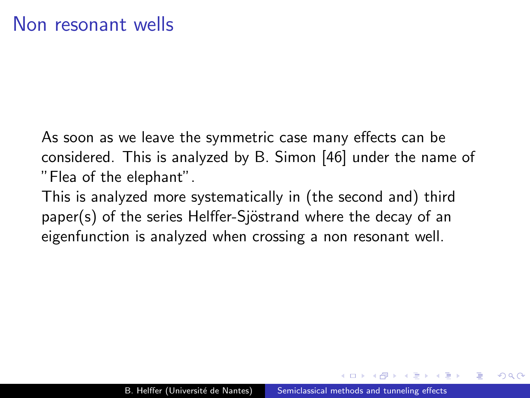As soon as we leave the symmetric case many effects can be considered. This is analyzed by B. Simon [\[46\]](#page-190-0) under the name of "Flea of the elephant".

This is analyzed more systematically in (the second and) third paper(s) of the series Helffer-Sjöstrand where the decay of an eigenfunction is analyzed when crossing a non resonant well.

 $\Omega$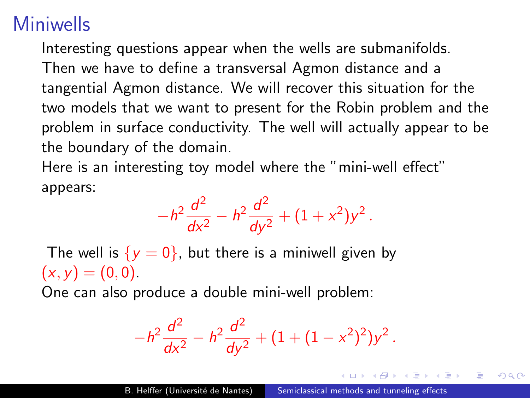# Miniwells

Interesting questions appear when the wells are submanifolds. Then we have to define a transversal Agmon distance and a tangential Agmon distance. We will recover this situation for the two models that we want to present for the Robin problem and the problem in surface conductivity. The well will actually appear to be the boundary of the domain.

Here is an interesting toy model where the "mini-well effect" appears:

$$
-h^2\frac{d^2}{dx^2} - h^2\frac{d^2}{dy^2} + (1+x^2)y^2.
$$

The well is  $\{y = 0\}$ , but there is a miniwell given by  $(x, y) = (0, 0).$ 

One can also produce a double mini-well problem:

$$
-h^2\frac{d^2}{dx^2}-h^2\frac{d^2}{dy^2}+(1+(1-x^2)^2)y^2.
$$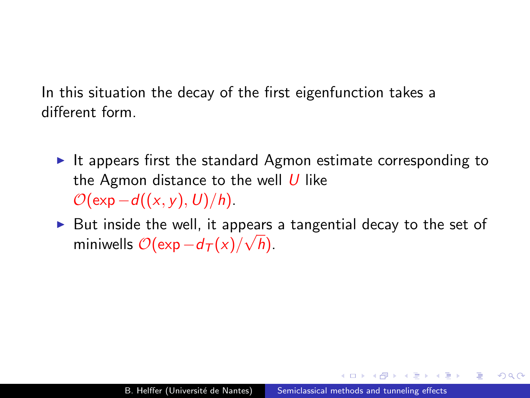In this situation the decay of the first eigenfunction takes a different form.

- It appears first the standard Agmon estimate corresponding to the Agmon distance to the well  $U$  like  $\mathcal{O}(\exp-d((x, y), U)/h)$ .
- ► But inside the well, it appears a tangential decay to the set of miniwells  $\mathcal{O}(\exp-d_\mathcal{T}(x)/\sqrt{h})$ .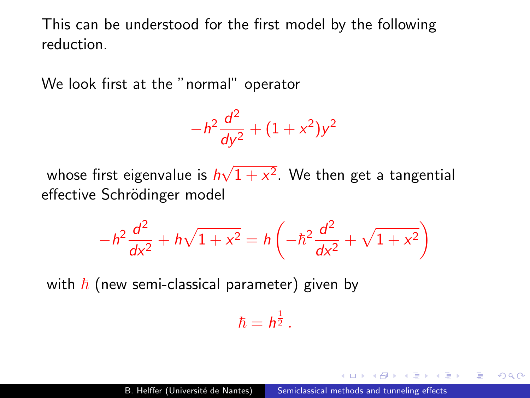This can be understood for the first model by the following reduction.

We look first at the "normal" operator

$$
-h^2 \frac{d^2}{dy^2} + (1+x^2)y^2
$$

whose first eigenvalue is *h* √  $1 + x^2$ . We then get a tangential effective Schrödinger model

$$
-h^2 \frac{d^2}{dx^2} + h\sqrt{1+x^2} = h\left(-\hbar^2 \frac{d^2}{dx^2} + \sqrt{1+x^2}\right)
$$

with  $\hbar$  (new semi-classical parameter) given by

 $\hbar = h^{\frac{1}{2}}$  .

つくい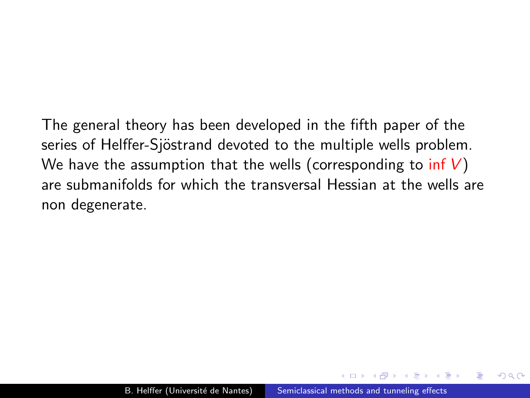The general theory has been developed in the fifth paper of the series of Helffer-Sjöstrand devoted to the multiple wells problem. We have the assumption that the wells (corresponding to  $inf V$ ) are submanifolds for which the transversal Hessian at the wells are non degenerate.

 $\Omega$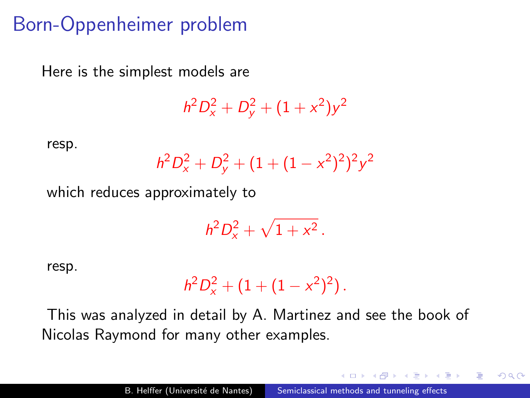### Born-Oppenheimer problem

Here is the simplest models are

 $h^2D_x^2+D_y^2+(1+x^2)y^2$ 

resp.

$$
h^2 D_x^2 + D_y^2 + (1 + (1 - x^2)^2)^2 y^2
$$

which reduces approximately to

$$
h^2D_x^2+\sqrt{1+x^2}\,.
$$

resp.

$$
h^2D_x^2+(1+(1-x^2)^2).
$$

This was analyzed in detail by A. Martinez and see the book of Nicolas Raymond for many other examples.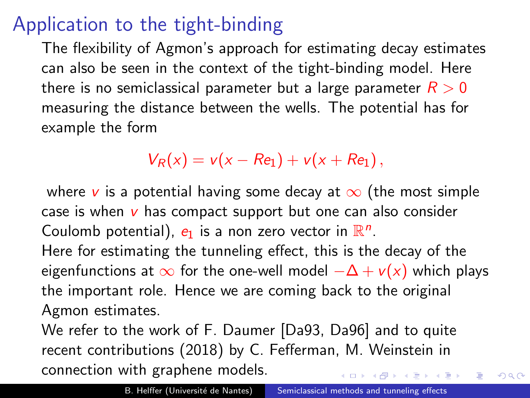# Application to the tight-binding

The flexibility of Agmon's approach for estimating decay estimates can also be seen in the context of the tight-binding model. Here there is no semiclassical parameter but a large parameter  $R > 0$ measuring the distance between the wells. The potential has for example the form

 $V_R(x) = v(x - Re_1) + v(x + Re_1),$ 

where v is a potential having some decay at  $\infty$  (the most simple case is when  $v$  has compact support but one can also consider Coulomb potential),  $e_1$  is a non zero vector in  $\mathbb{R}^n$ .

Here for estimating the tunneling effect, this is the decay of the eigenfunctions at  $\infty$  for the one-well model  $-\Delta + v(x)$  which plays the important role. Hence we are coming back to the original Agmon estimates.

We refer to the work of F. Daumer [\[Da93,](#page-179-0) [Da96\]](#page-180-1) and to quite recent contributions (2018) by C. Fefferman, M. Weinstein in connection with graphene models.

 $QQ$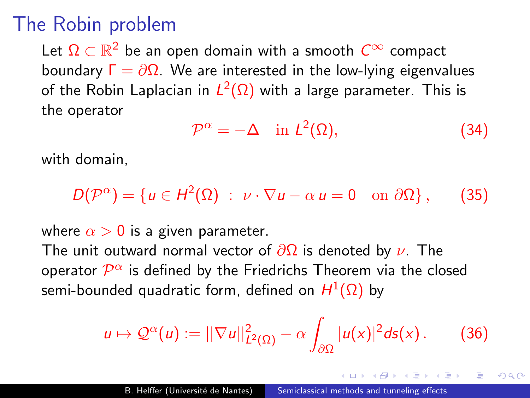# The Robin problem

Let  $\Omega \subset \mathbb{R}^2$  be an open domain with a smooth  $C^\infty$  compact boundary  $\Gamma = \partial \Omega$ . We are interested in the low-lying eigenvalues of the Robin Laplacian in  $L^2(\Omega)$  with a large parameter. This is the operator

$$
\mathcal{P}^{\alpha} = -\Delta \quad \text{in } L^{2}(\Omega), \tag{34}
$$

つくい

with domain,

 $D(\mathcal{P}^{\alpha}) = \{u \in H^2(\Omega) : \nu \cdot \nabla u - \alpha u = 0 \text{ on } \partial\Omega\},$  (35)

where  $\alpha > 0$  is a given parameter.

The unit outward normal vector of  $\partial\Omega$  is denoted by  $\nu$ . The operator  $\overline{\mathcal{P}^{\alpha}}$  is defined by the Friedrichs Theorem via the closed semi-bounded quadratic form, defined on  $H^1(\Omega)$  by

$$
u\mapsto \mathcal{Q}^{\alpha}(u):=||\nabla u||^2_{L^2(\Omega)}-\alpha\int_{\partial\Omega}|u(x)|^2d\mathsf{s}(x). \qquad (36)
$$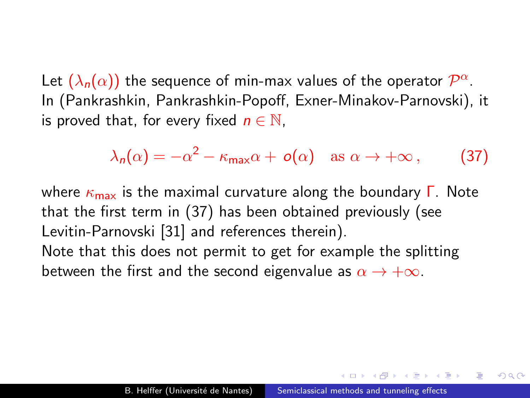Let  $(\lambda_n(\alpha))$  the sequence of min-max values of the operator  $\mathcal{P}^{\alpha}$ . In (Pankrashkin, Pankrashkin-Popoff, Exner-Minakov-Parnovski), it is proved that, for every fixed  $n \in \mathbb{N}$ ,

<span id="page-67-0"></span>
$$
\lambda_n(\alpha) = -\alpha^2 - \kappa_{\max}\alpha + o(\alpha) \quad \text{as } \alpha \to +\infty \,, \tag{37}
$$

where  $\kappa_{\text{max}}$  is the maximal curvature along the boundary  $\Gamma$ . Note that the first term in [\(37\)](#page-67-0) has been obtained previously (see Levitin-Parnovski [\[31\]](#page-186-0) and references therein). Note that this does not permit to get for example the splitting between the first and the second eigenvalue as  $\alpha \to +\infty$ .

 $\Omega$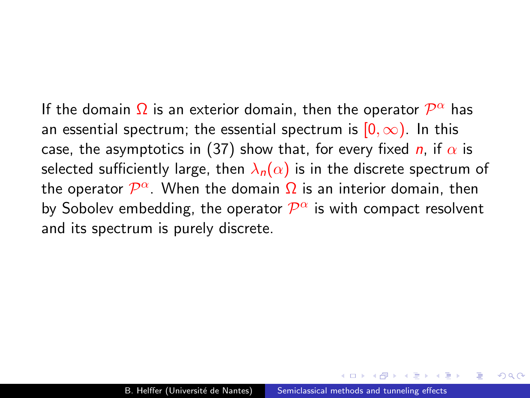If the domain  $\Omega$  is an exterior domain, then the operator  $\mathcal{P}^{\alpha}$  has an essential spectrum; the essential spectrum is  $[0, \infty)$ . In this case, the asymptotics in [\(37\)](#page-67-0) show that, for every fixed *n*, if  $\alpha$  is selected sufficiently large, then  $\lambda_n(\alpha)$  is in the discrete spectrum of the operator  $\mathcal{P}^{\alpha}.$  When the domain  $\Omega$  is an interior domain, then by Sobolev embedding, the operator  $\mathcal{P}^{\alpha}$  is with compact resolvent and its spectrum is purely discrete.

 $\Omega$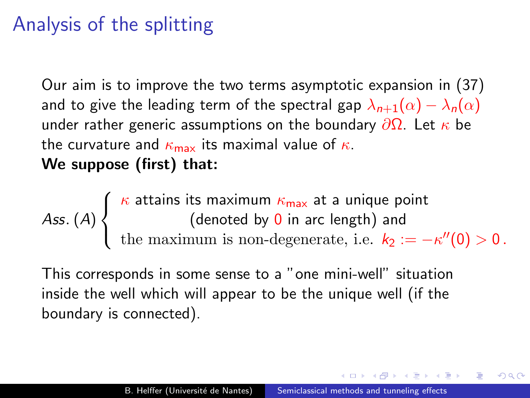# Analysis of the splitting

Our aim is to improve the two terms asymptotic expansion in [\(37\)](#page-67-0) and to give the leading term of the spectral gap  $\lambda_{n+1}(\alpha) - \lambda_n(\alpha)$ under rather generic assumptions on the boundary  $\partial\Omega$ . Let  $\kappa$  be the curvature and  $\kappa_{\text{max}}$  its maximal value of  $\kappa$ . We suppose (first) that:

Ass. (A)  $\sqrt{ }$  $\left\langle \mathbf{r}_{i}\right\rangle =\left\langle \mathbf{r}_{i}\right\rangle \left\langle \mathbf{r}_{i}\right\rangle \left\langle \mathbf{r}_{i}\right\rangle \left\langle \mathbf{r}_{i}\right\rangle \left\langle \mathbf{r}_{i}\right\rangle \left\langle \mathbf{r}_{i}\right\rangle \left\langle \mathbf{r}_{i}\right\rangle \left\langle \mathbf{r}_{i}\right\rangle \left\langle \mathbf{r}_{i}\right\rangle \left\langle \mathbf{r}_{i}\right\rangle \left\langle \mathbf{r}_{i}\right\rangle \left\langle \mathbf{r}_{i}\right\rangle \left\langle \mathbf{r}_{i}\right\rangle \left\langle \mathbf{r$  $\mathcal{L}$  $\kappa$  attains its maximum  $\kappa_{\sf max}$  at a unique point (denoted by 0 in arc length) and the maximum is non-degenerate, i.e.  $k_2 := -\kappa''(0) > 0$ .

This corresponds in some sense to a "one mini-well" situation inside the well which will appear to be the unique well (if the boundary is connected).

つくい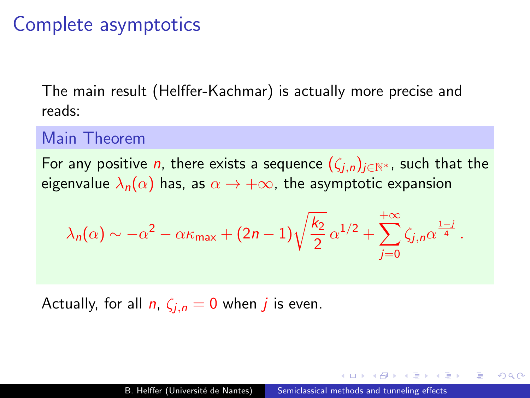### Complete asymptotics

The main result (Helffer-Kachmar) is actually more precise and reads:

#### Main Theorem

For any positive *n*, there exists a sequence  $(\zeta_{i,n})_{i\in\mathbb{N}^*}$ , such that the eigenvalue  $\lambda_n(\alpha)$  has, as  $\alpha \to +\infty$ , the asymptotic expansion

$$
\lambda_n(\alpha) \sim -\alpha^2 - \alpha \kappa_{\max} + (2n-1)\sqrt{\frac{k_2}{2}} \,\alpha^{1/2} + \sum_{j=0}^{+\infty} \zeta_{j,n} \alpha^{\frac{1-j}{4}}.
$$

Actually, for all  $n, \zeta_{i,n} = 0$  when j is even.

つくい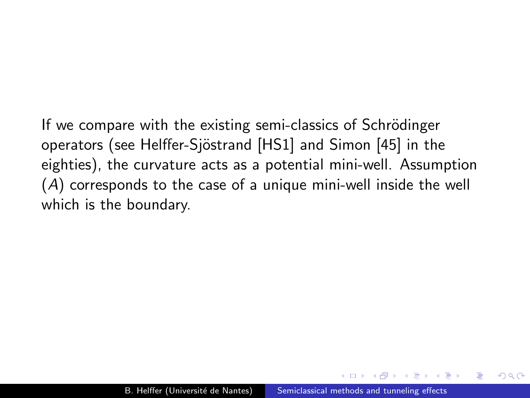If we compare with the existing semi-classics of Schrödinger operators (see Helffer-Sjöstrand [\[HS1\]](#page-184-0) and Simon [\[45\]](#page-190-1) in the eighties), the curvature acts as a potential mini-well. Assumption (A) corresponds to the case of a unique mini-well inside the well which is the boundary.

 $\Omega$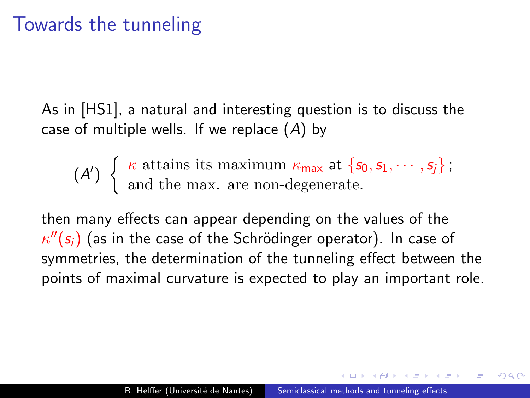## Towards the tunneling

As in [\[HS1\]](#page-184-0), a natural and interesting question is to discuss the case of multiple wells. If we replace (A) by

 $(A')\left\{\begin{array}{l}\kappa \text{ attains its maximum } \kappa_{\text{max}} \text{ at } \{s_0, s_1, \cdots, s_j\};\end{array}\right\}$ and the max. are non-degenerate.

then many effects can appear depending on the values of the  $\kappa^{\prime\prime}(s_{i})$  (as in the case of the Schrödinger operator). In case of symmetries, the determination of the tunneling effect between the points of maximal curvature is expected to play an important role.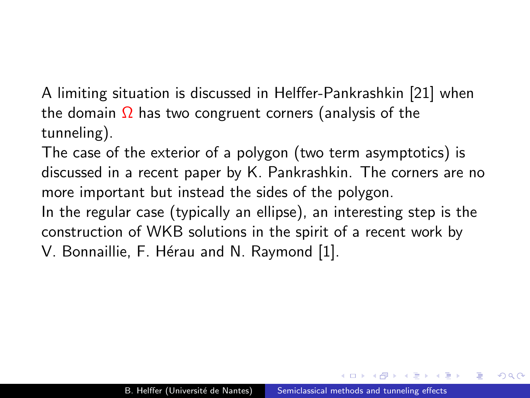A limiting situation is discussed in Helffer-Pankrashkin [\[21\]](#page-184-1) when the domain  $\Omega$  has two congruent corners (analysis of the tunneling).

The case of the exterior of a polygon (two term asymptotics) is discussed in a recent paper by K. Pankrashkin. The corners are no more important but instead the sides of the polygon. In the regular case (typically an ellipse), an interesting step is the construction of WKB solutions in the spirit of a recent work by

V. Bonnaillie, F. Hérau and N. Raymond [\[1\]](#page-177-0).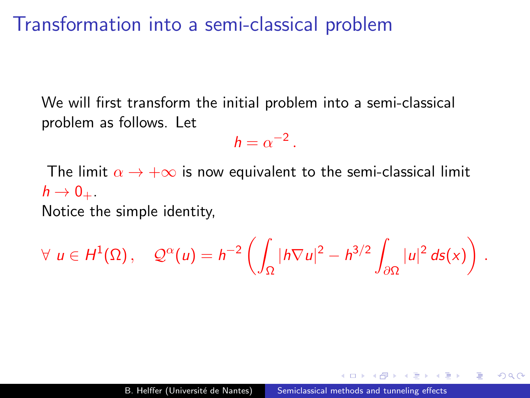## Transformation into a semi-classical problem

We will first transform the initial problem into a semi-classical problem as follows. Let

$$
h=\alpha^{-2}.
$$

The limit  $\alpha \to +\infty$  is now equivalent to the semi-classical limit  $h \rightarrow 0_{+}$ . Notice the simple identity,

 $\forall u \in H^1(\Omega)$ ,  $\mathcal{Q}^{\alpha}(u) = h^{-2} \left( \begin{array}{c} 1 \end{array} \right)$ Ω  $|h\nabla u|^2 - h^{3/2}$ ∂Ω  $|u|^2 ds(x)$ .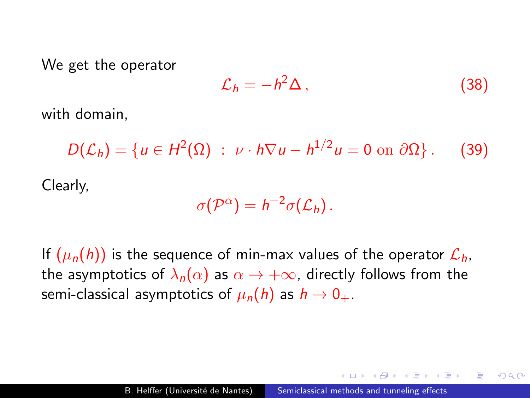We get the operator

$$
\mathcal{L}_h = -h^2 \Delta \,, \tag{38}
$$

 $200$ 

with domain,

$$
D(\mathcal{L}_h) = \{ u \in H^2(\Omega) : \nu \cdot h \nabla u - h^{1/2} u = 0 \text{ on } \partial \Omega \}.
$$
 (39)  
Clearly,

$$
\sigma(\mathcal{P}^{\alpha})=h^{-2}\sigma(\mathcal{L}_h).
$$

If  $(\mu_n(h))$  is the sequence of min-max values of the operator  $\mathcal{L}_h$ , the asymptotics of  $\lambda_n(\alpha)$  as  $\alpha \to +\infty$ , directly follows from the semi-classical asymptotics of  $\mu_n(h)$  as  $h \to 0_+$ .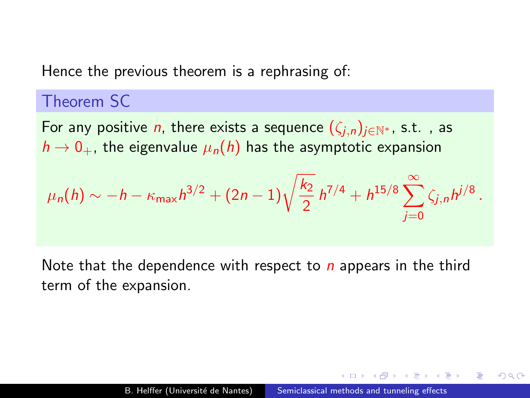Hence the previous theorem is a rephrasing of:

### Theorem SC

For any positive *n*, there exists a sequence  $(\zeta_{i,n})_{i\in\mathbb{N}^*}$ , s.t., as  $h \rightarrow 0_+$ , the eigenvalue  $\mu_n(h)$  has the asymptotic expansion

$$
\mu_n(h) \sim -h - \kappa_{\max} h^{3/2} + (2n-1) \sqrt{\frac{k_2}{2}} h^{7/4} + h^{15/8} \sum_{j=0}^{\infty} \zeta_{j,n} h^{j/8}.
$$

Note that the dependence with respect to  $n$  appears in the third term of the expansion.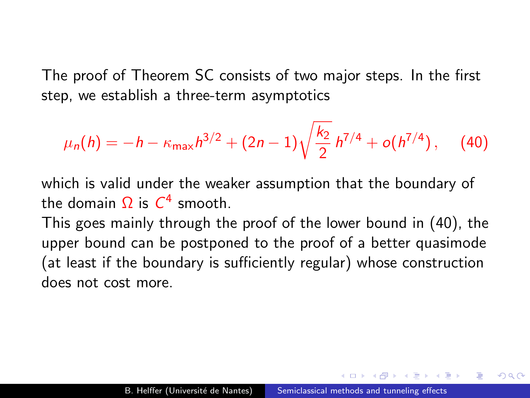The proof of Theorem SC consists of two major steps. In the first step, we establish a three-term asymptotics

<span id="page-77-0"></span>
$$
\mu_n(h) = -h - \kappa_{\max} h^{3/2} + (2n-1) \sqrt{\frac{k_2}{2}} h^{7/4} + o(h^{7/4}), \quad (40)
$$

which is valid under the weaker assumption that the boundary of the domain  $\Omega$  is  $C^4$  smooth.

This goes mainly through the proof of the lower bound in [\(40\)](#page-77-0), the upper bound can be postponed to the proof of a better quasimode (at least if the boundary is sufficiently regular) whose construction does not cost more.

 $\Omega$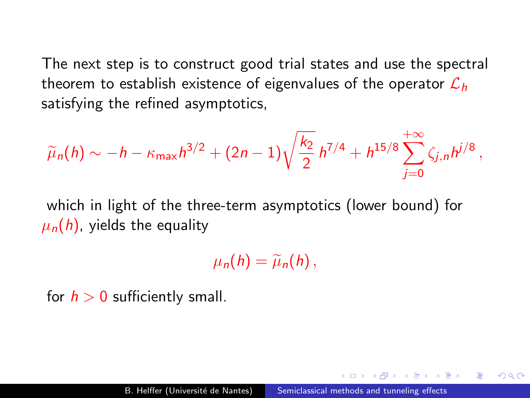The next step is to construct good trial states and use the spectral theorem to establish existence of eigenvalues of the operator  $\mathcal{L}_h$ satisfying the refined asymptotics,

$$
\widetilde{\mu}_n(h) \sim -h - \kappa_{\max} h^{3/2} + (2n-1) \sqrt{\frac{k_2}{2}} h^{7/4} + h^{15/8} \sum_{j=0}^{+\infty} \zeta_{j,n} h^{j/8},
$$

which in light of the three-term asymptotics (lower bound) for  $\mu_n(h)$ , yields the equality

 $\mu_n(h) = \widetilde{\mu}_n(h)$ ,

for  $h > 0$  sufficiently small.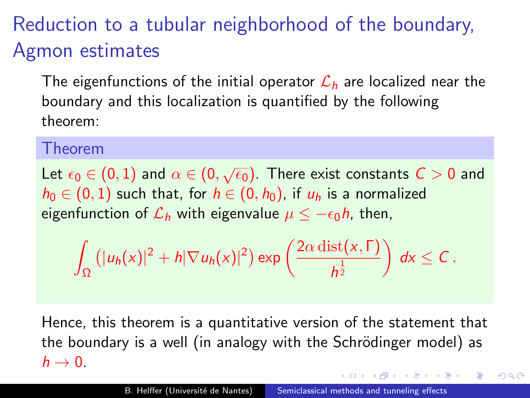# Reduction to a tubular neighborhood of the boundary, Agmon estimates

The eigenfunctions of the initial operator  $\mathcal{L}_h$  are localized near the boundary and this localization is quantified by the following theorem:

### Theorem

Let  $\epsilon_0 \in (0,1)$  and  $\alpha \in (0,\sqrt{\epsilon_0})$ . There exist constants  $C>0$  and  $h_0 \in (0, 1)$  such that, for  $h \in (0, h_0)$ , if  $u_h$  is a normalized eigenfunction of  $\mathcal{L}_h$  with eigenvalue  $\mu \leq -\epsilon_0 h$ , then,

$$
\int_{\Omega} \left( |u_h(x)|^2 + h |\nabla u_h(x)|^2 \right) \exp \left( \frac{2 \alpha \operatorname{dist}(x, \Gamma)}{h^{\frac{1}{2}}} \right) dx \leq C.
$$

Hence, this theorem is a quantitative version of the statement that the boundary is a well (in analogy with the Schrödinger model) as  $h \rightarrow 0$ .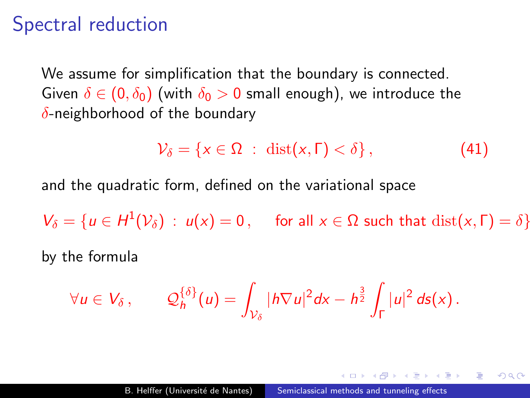## Spectral reduction

We assume for simplification that the boundary is connected. Given  $\delta \in (0, \delta_0)$  (with  $\delta_0 > 0$  small enough), we introduce the  $\delta$ -neighborhood of the boundary

$$
\mathcal{V}_{\delta} = \{ x \in \Omega \; : \; \text{dist}(x, \Gamma) < \delta \}, \tag{41}
$$

and the quadratic form, defined on the variational space

 $V_{\delta} = \{u \in H^1(\mathcal{V}_{\delta}) : u(x) = 0, \text{ for all } x \in \Omega \text{ such that } \text{dist}(x, \Gamma) = \delta\}$ by the formula

$$
\forall u \in V_{\delta}, \qquad \mathcal{Q}_{h}^{\{\delta\}}(u) = \int_{\mathcal{V}_{\delta}} |h \nabla u|^2 dx - h^{\frac{3}{2}} \int_{\Gamma} |u|^2 ds(x).
$$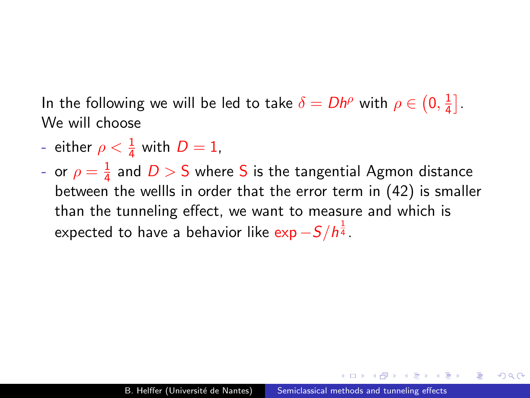In the following we will be led to take  $\delta = Dh^\rho$  with  $\rho \in (0, \frac{1}{4})$  $\frac{1}{4}$ . We will choose

- either  $\rho < \frac{1}{4}$  with  $D = 1$ ,
- or  $\rho=\frac{1}{4}$  $\frac{1}{4}$  and  $D > S$  where  $S$  is the tangential Agmon distance between the wellls in order that the error term in [\(42\)](#page-82-0) is smaller than the tunneling effect, we want to measure and which is expected to have a behavior like  $\exp{-S/\hbar^{\frac{1}{4}}}.$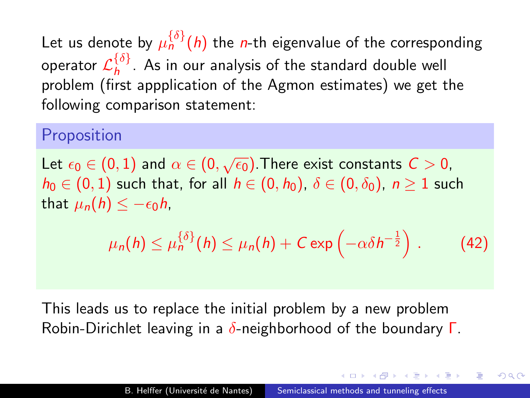Let us denote by  $\mu_n^{\{\delta\}}(h)$  the *n*-th eigenvalue of the corresponding operator  $\mathcal{L}_{h}^{\{\delta\}}$  $\int_h^{\nu_f}$ . As in our analysis of the standard double well problem (first appplication of the Agmon estimates) we get the following comparison statement:

### Proposition

Let  $\epsilon_0 \in (0,1)$  and  $\alpha \in (0,\sqrt{\epsilon_0}).$  There exist constants  $C>0,$  $h_0 \in (0,1)$  such that, for all  $h \in (0, h_0)$ ,  $\delta \in (0, \delta_0)$ ,  $n \ge 1$  such that  $\mu_n(h) \leq -\epsilon_0 h$ ,

<span id="page-82-0"></span>
$$
\mu_n(h) \leq \mu_n^{\{\delta\}}(h) \leq \mu_n(h) + C \exp\left(-\alpha \delta h^{-\frac{1}{2}}\right).
$$
 (42)

This leads us to replace the initial problem by a new problem Robin-Dirichlet leaving in a  $\delta$ -neighborhood of the boundary  $\Gamma$ .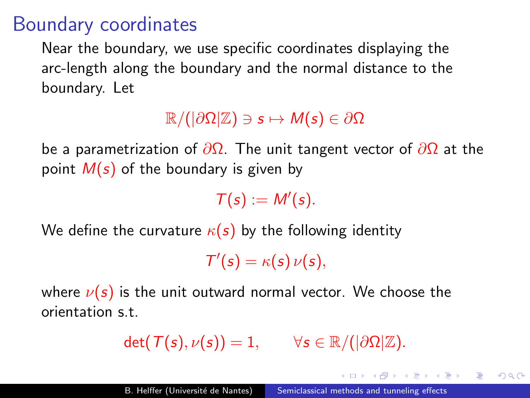## Boundary coordinates

Near the boundary, we use specific coordinates displaying the arc-length along the boundary and the normal distance to the boundary. Let

### $\mathbb{R}/(|\partial\Omega|\mathbb{Z})\ni s\mapsto M(s)\in\partial\Omega$

be a parametrization of  $\partial \Omega$ . The unit tangent vector of  $\partial \Omega$  at the point  $M(s)$  of the boundary is given by

 $T(s) := M'(s)$ .

We define the curvature  $\kappa(s)$  by the following identity

 $T'(s) = \kappa(s) \nu(s),$ 

where  $\nu(s)$  is the unit outward normal vector. We choose the orientation s.t.

$$
\det(\mathcal{T}(s),\nu(s))=1, \qquad \forall s\in \mathbb{R}/(|\partial\Omega|\mathbb{Z}).
$$

in the state of the state of the state of the state of the state of the state of the state of the state of the

 $\Omega$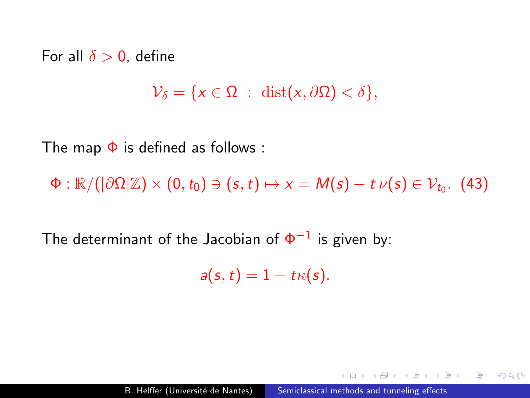For all  $\delta > 0$ , define

$$
\mathcal{V}_{\delta} = \{x \in \Omega : \ \mathrm{dist}(x, \partial \Omega) < \delta\},\
$$

The map  $\Phi$  is defined as follows :

 $\Phi: \mathbb{R}/(|\partial\Omega|\mathbb{Z})\times(0,t_0)\ni(s,t)\mapsto x=M(s)-t$   $\nu(s)\in \mathcal{V}_{t_0}.$  (43)

The determinant of the Jacobian of  $\Phi^{-1}$  is given by:

$$
a(s,t)=1-t\kappa(s).
$$

 $2990$ 

曲

**ALCOHOL:**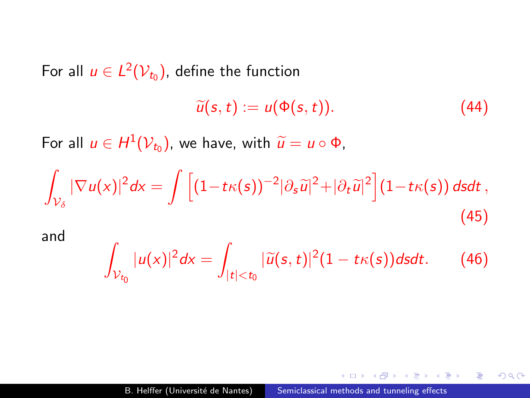For all  $u \in L^2(\mathcal{V}_{t_0}),$  define the function

$$
\widetilde{u}(s,t) := u(\Phi(s,t)). \tag{44}
$$

 $QQ$ 

э

For all  $u \in H^1(\mathcal{V}_{t_0})$ , we have, with  $\widetilde{u} = u \circ \Phi$ ,

$$
\int_{\mathcal{V}_{\delta}} |\nabla u(x)|^2 dx = \int \left[ (1 - t\kappa(s))^{-2} |\partial_s \widetilde{u}|^2 + |\partial_t \widetilde{u}|^2 \right] (1 - t\kappa(s)) \, ds dt \,, \tag{45}
$$

and

$$
\int_{\mathcal{V}_{t_0}}|u(x)|^2dx=\int_{|t|
$$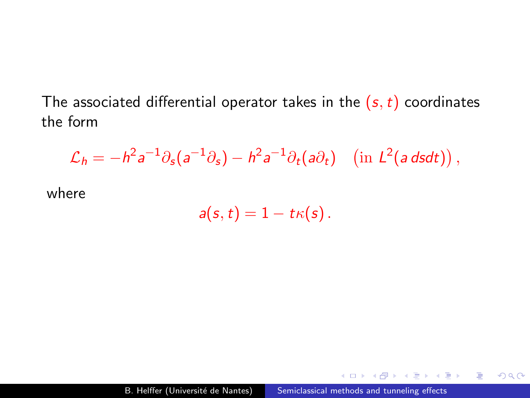The associated differential operator takes in the  $(s, t)$  coordinates the form

$$
\mathcal{L}_h = -h^2 a^{-1} \partial_s (a^{-1} \partial_s) - h^2 a^{-1} \partial_t (a \partial_t) \quad \text{(in } L^2(a \, ds dt)\text{)},
$$

where

$$
a(s,t)=1-t\kappa(s).
$$

 $299$ 

G.  $\sim$ э  $\sim$ 重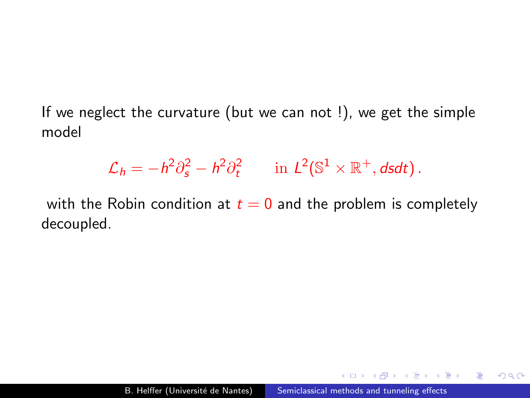If we neglect the curvature (but we can not !), we get the simple model

$$
\mathcal{L}_h = -h^2 \partial_s^2 - h^2 \partial_t^2 \qquad \text{in } L^2(\mathbb{S}^1 \times \mathbb{R}^+, ds dt) \, .
$$

with the Robin condition at  $t = 0$  and the problem is completely decoupled.

 $2990$ 

э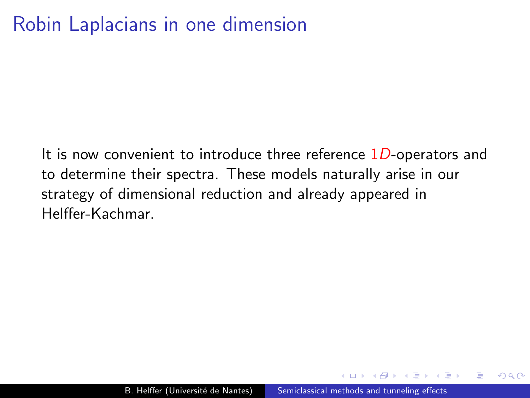# Robin Laplacians in one dimension

It is now convenient to introduce three reference  $1D$ -operators and to determine their spectra. These models naturally arise in our strategy of dimensional reduction and already appeared in Helffer-Kachmar.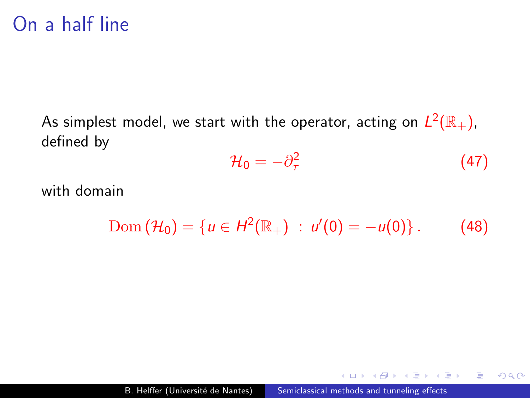## On a half line

As simplest model, we start with the operator, acting on  $L^2(\mathbb{R}_+),$ defined by

$$
\mathcal{H}_0 = -\partial_\tau^2 \tag{47}
$$

 $2990$ 

э

化重复 化重变

with domain

$$
Dom (\mathcal{H}_0) = \{u \in H^2(\mathbb{R}_+) : u'(0) = -u(0)\}.
$$
 (48)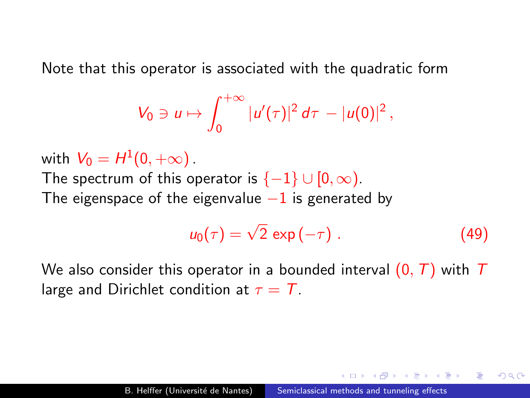Note that this operator is associated with the quadratic form

$$
V_0 \ni u \mapsto \int_0^{+\infty} |u'(\tau)|^2 d\tau - |u(0)|^2,
$$

with  $V_0=H^1(0,+\infty)$  . The spectrum of this operator is  $\{-1\} \cup [0,\infty)$ . The eigenspace of the eigenvalue  $-1$  is generated by

$$
u_0(\tau) = \sqrt{2} \, \exp(-\tau) \, . \tag{49}
$$

つくい

We also consider this operator in a bounded interval  $(0, T)$  with T large and Dirichlet condition at  $\tau = T$ .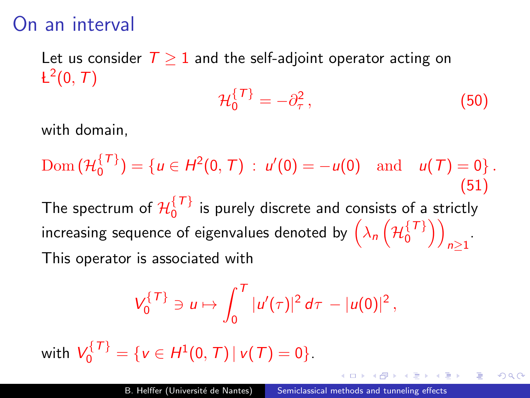## On an interval

Let us consider  $T \geq 1$  and the self-adjoint operator acting on  $\mathsf{L}^2(0,\,T)$ 

$$
\mathcal{H}_0^{\{T\}} = -\partial_\tau^2\,,\tag{50}
$$

 $\Omega$ 

with domain,

 $\mathrm{Dom}\,(\mathcal{H}_0^{\{\mathcal{T}\}})$  $\binom{\{V\}}{0}$  = { $u \in H^2(0, T)$  :  $u'(0) = -u(0)$  and  $u(T) = 0$ }. (51) The spectrum of  $\mathcal{H}^{\{\mathcal{T}\}}_0$  $\frac{1}{2}$  is purely discrete and consists of a strictly increasing sequence of eigenvalues denoted by  $\Big(\lambda_{n}\Big(\mathcal{H}_{0}^{\lbrace\mathcal{T}\rbrace}\Big)$  $\begin{pmatrix} 7 \ 7 \ 0 \end{pmatrix}$  $n \geq 1$ This operator is associated with

$$
V_0^{\{T\}} \ni u \mapsto \int_0^T |u'(\tau)|^2 d\tau - |u(0)|^2,
$$

with  $V_0^{\{T\}} = \{v \in H^1(0, T) | v(T) = 0\}.$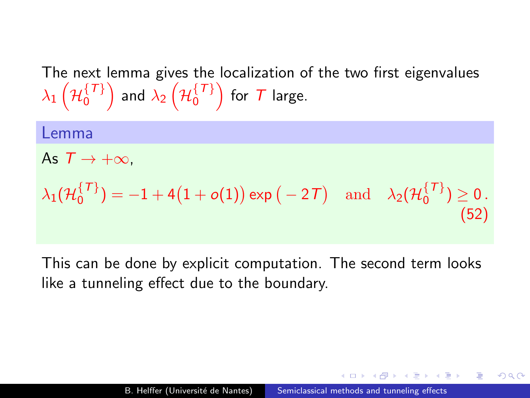The next lemma gives the localization of the two first eigenvalues  $\lambda_1\left( \mathcal{H}_0^{\{\mathcal{T}\}} \right)$  $\left\{\tau\right\} \brace{0}$  and  $\lambda_2\left( \mathcal{H}_0^{\{\mathcal{T}\}}\right)$  $\{ \{ \tau \} \\ 0 \}$  for  $\tau$  large.

Lemma As  $T \rightarrow +\infty$ .  $\lambda_1({\mathcal H}_0^{\{T\}})$  $\mathcal{O}_0^{\{T\}}=-1+4\big(1+o(1)\big)\exp\big(-2\mathcal{T}\big)\quad\text{and}\quad \lambda_2(\mathcal{H}_0^{\{T\}})$  $\binom{1}{0}$   $\geq 0$ . (52)

This can be done by explicit computation. The second term looks like a tunneling effect due to the boundary.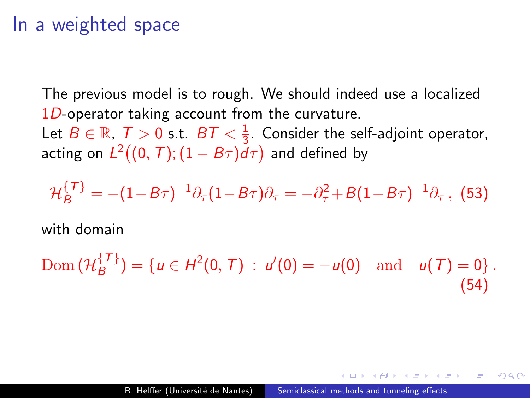### In a weighted space

The previous model is to rough. We should indeed use a localized  $1D$ -operator taking account from the curvature.

Let  $B\in\mathbb{R},\,\, \mathcal{T} > 0$  s.t.  $\,\, B\mathcal{T} < \frac{1}{3}$  $\frac{1}{3}$ . Consider the self-adjoint operator, acting on  $L^2((0,\,T);(1-B\tau)d\tau)$  and defined by

$$
\mathcal{H}_{B}^{\{T\}} = -(1 - B\tau)^{-1} \partial_{\tau} (1 - B\tau) \partial_{\tau} = -\partial_{\tau}^{2} + B(1 - B\tau)^{-1} \partial_{\tau}, \tag{53}
$$

with domain

Dom 
$$
(\mathcal{H}_B^{\{T\}})
$$
 = { $u \in H^2(0, T)$  :  $u'(0) = -u(0)$  and  $u(T) = 0$  }. (54)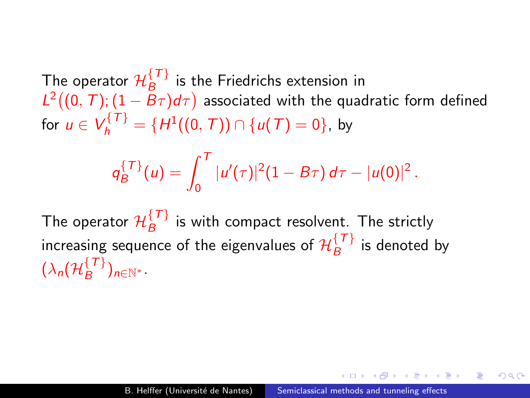The operator  $\mathcal{H}_{B}^{\lbrace T \rbrace}$  is the Friedrichs extension in  $L^2((0, T); (1 - B_{\tau})d_{\tau})$  associated with the quadratic form defined for  $u \in V_h^{\{T\}} = \{H^1((0, T)) \cap \{u(T) = 0\}$ , by

$$
q_B^{\{T\}}(u)=\int_0^T|u'(\tau)|^2(1-B\tau)\,d\tau-|u(0)|^2.
$$

The operator  $\mathcal{H}_{B}^{\{\mathcal{T}\}}$  $\frac{1}{B}$  is with compact resolvent. The strictly increasing sequence of the eigenvalues of  $\mathcal{H}_{B}^{\{\mathcal{T}\}}$  $B^{\{f, f\}}$  is denoted by  $(\lambda_{\textit{n}}(\mathcal{H}_{B}^{\{\mathcal{T}\}}$  $\binom{1}{B}$ n∈N<sup>\*</sup>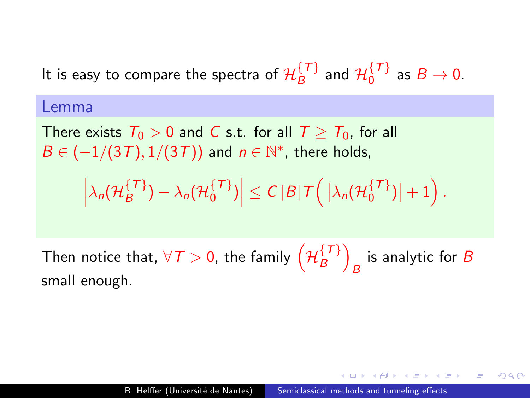It is easy to compare the spectra of  $\mathcal{H}_{B}^{\{\mathcal{T}\}}$  $\mathcal{H}_{B}^{\{\mathcal{T}\}}$  and  $\mathcal{H}_{0}^{\{\mathcal{T}\}}$  $\int_0^1 f$  as  $B \to 0$ .

#### Lemma

There exists  $T_0 > 0$  and C s.t. for all  $T > T_0$ , for all  $B\in \left(\frac{-1}{3T},\frac{1}{3T}\right)$  and  $n\in \mathbb{N}^*$ , there holds,

$$
\left|\lambda_n(\mathcal{H}_{B}^{\{T\}})-\lambda_n(\mathcal{H}_{0}^{\{T\}})\right|\leq C\left|B\right|\mathcal{T}\left(\left|\lambda_n(\mathcal{H}_{0}^{\{T\}})\right|+1\right)
$$

.

つくい

Then notice that,  $\forall \mathcal{T} > 0$ , the family  $\left( \mathcal{H}_{B}^{\{\mathcal{T}\}}\right)$  $\binom{\{\mathcal{T}\}}{B}$ is analytic for  $B$ small enough.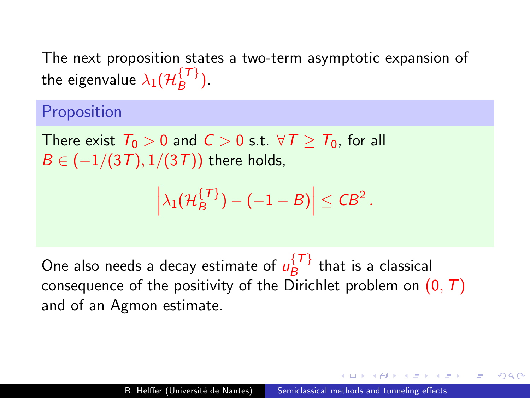The next proposition states a two-term asymptotic expansion of the eigenvalue  $\lambda_1(\mathcal{H}_{B}^{\{T\}})$  $\binom{1}{B}$ 

### Proposition

There exist  $T_0 > 0$  and  $C > 0$  s.t.  $\forall T > T_0$ , for all  $B \in (-1/(3T), 1/(3T))$  there holds,

$$
\left|\lambda_1(\mathcal{H}_B^{\{T\}}) - (-1 - B)\right| \leq C B^2.
$$

One also needs a decay estimate of  $u_R^{\{T\}}$  $B^{\{f, f\}}$  that is a classical consequence of the positivity of the Dirichlet problem on  $(0, T)$ and of an Agmon estimate.

つくへ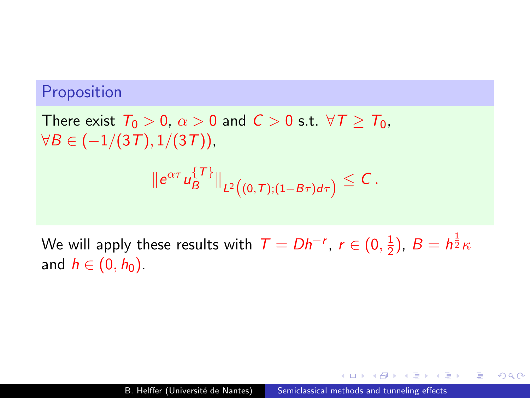### Proposition

There exist  $T_0 > 0$ ,  $\alpha > 0$  and  $C > 0$  s.t.  $\forall T \geq T_0$ ,  $\forall B \in (-1/(3T), 1/(3T))$ 

$$
\|e^{\alpha\tau}u_B^{\{\mathcal{T}\}}\|_{L^2\big((0,\mathcal{T});(1-B\tau)d\tau\big)}\leq C\,.
$$

We will apply these results with  $\mathcal{T}=Dh^{-r},\ r\in(0,\frac{1}{2})$  $(\frac{1}{2})$ ,  $B = h^{\frac{1}{2}} \kappa$ and  $h \in (0, h_0)$ .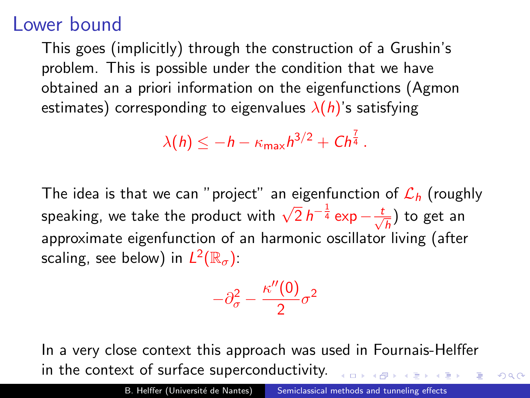## Lower bound

This goes (implicitly) through the construction of a Grushin's problem. This is possible under the condition that we have obtained an a priori information on the eigenfunctions (Agmon estimates) corresponding to eigenvalues  $\lambda(h)$ 's satisfying

$$
\lambda(h) \leq -h - \kappa_{\max} h^{3/2} + Ch^{\frac{7}{4}}.
$$

The idea is that we can "project" an eigenfunction of  $\mathcal{L}_h$  (roughly speaking, we take the product with  $\sqrt{2} h^{-\frac{1}{4}} \exp{-\frac{t}{\sqrt{2}}}$  $\frac{1}{\overline{h}}$ ) to get an approximate eigenfunction of an harmonic oscillator living (after scaling, see below) in  $L^2(\mathbb{R}_{\sigma})$ :

$$
-\partial_{\sigma}^2 - \frac{\kappa''(0)}{2}\sigma^2
$$

In a very close context this approach was used in Fournais-Helffer in the context of surface superconductivity.

 $QQ$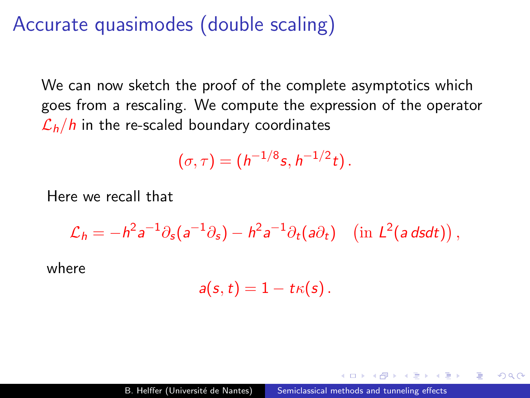## Accurate quasimodes (double scaling)

We can now sketch the proof of the complete asymptotics which goes from a rescaling. We compute the expression of the operator  $\mathcal{L}_h/h$  in the re-scaled boundary coordinates

$$
(\sigma,\tau)=(h^{-1/8}s,h^{-1/2}t).
$$

Here we recall that

$$
\mathcal{L}_h = -h^2 a^{-1} \partial_s (a^{-1} \partial_s) - h^2 a^{-1} \partial_t (a \partial_t) \quad \left( \text{in } L^2(a \, ds dt) \right),
$$

where

$$
a(s,t)=1-t\kappa(s).
$$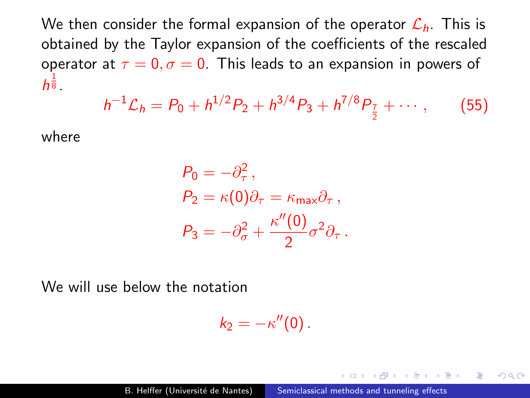We then consider the formal expansion of the operator  $\mathcal{L}_h$ . This is obtained by the Taylor expansion of the coefficients of the rescaled operator at  $\tau = 0$ ,  $\sigma = 0$ . This leads to an expansion in powers of  $h^{\frac{1}{8}}$ .

$$
h^{-1}\mathcal{L}_h = P_0 + h^{1/2}P_2 + h^{3/4}P_3 + h^{7/8}P_{\frac{7}{2}} + \cdots, \qquad (55)
$$

where

$$
P_0 = -\partial_{\tau}^2,
$$
  
\n
$$
P_2 = \kappa(0)\partial_{\tau} = \kappa_{\text{max}}\partial_{\tau},
$$
  
\n
$$
P_3 = -\partial_{\sigma}^2 + \frac{\kappa''(0)}{2}\sigma^2\partial_{\tau}.
$$

We will use below the notation

$$
k_2=-\kappa''(0).
$$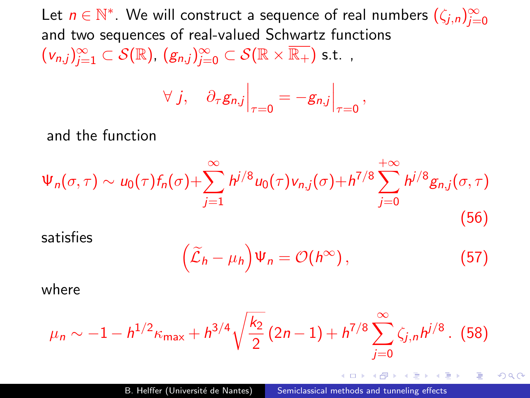Let  $n\in\mathbb{N}^*.$  We will construct a sequence of real numbers  $(\zeta_{j,n})_{j=0}^\infty$ and two sequences of real-valued Schwartz functions  $(v_{n,j})_{j=1}^{\infty}\subset\mathcal{S}(\mathbb{R}),~(g_{n,j})_{j=0}^{\infty}\subset\mathcal{S}(\mathbb{R}\times\overline{\mathbb{R}_+})$  s.t.,

$$
\forall j, \quad \partial_{\tau} g_{n,j}\Big|_{\tau=0} = -g_{n,j}\Big|_{\tau=0},
$$

and the function

$$
\Psi_n(\sigma,\tau) \sim u_0(\tau) f_n(\sigma) + \sum_{j=1}^{\infty} h^{j/8} u_0(\tau) v_{n,j}(\sigma) + h^{7/8} \sum_{j=0}^{+\infty} h^{j/8} g_{n,j}(\sigma,\tau)
$$
\n(56)

satisfies

$$
\left(\widetilde{\mathcal{L}}_h-\mu_h\right)\Psi_n=\mathcal{O}(h^{\infty}),\qquad(57)
$$

- 4 国家 4 国家 -

э

 $\Omega$ 

where

$$
\mu_n \sim -1 - h^{1/2} \kappa_{\text{max}} + h^{3/4} \sqrt{\frac{k_2}{2}} (2n-1) + h^{7/8} \sum_{j=0}^{\infty} \zeta_{j,n} h^{j/8}.
$$
 (58)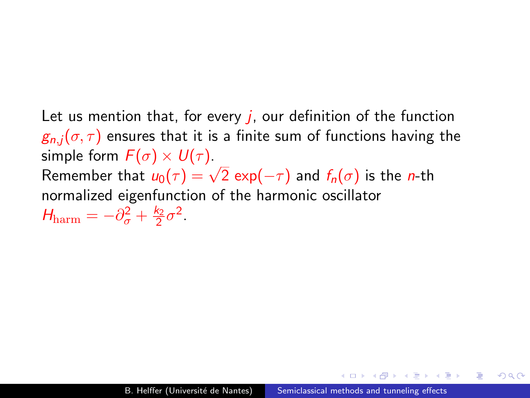Let us mention that, for every  $j$ , our definition of the function  $g_{n,i}(\sigma,\tau)$  ensures that it is a finite sum of functions having the simple form  $F(\sigma) \times U(\tau)$ . simple form  $r(\sigma) \times o(\tau)$ .<br>Remember that  $u_0(\tau) = \sqrt{2} \exp(-\tau)$  and  $f_n(\sigma)$  is the *n*-th normalized eigenfunction of the harmonic oscillator  $H_{\text{harm}} = -\partial_{\sigma}^2 + \frac{k_2}{2}\sigma^2.$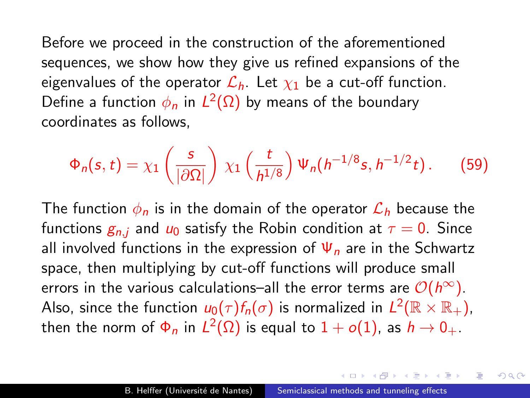Before we proceed in the construction of the aforementioned sequences, we show how they give us refined expansions of the eigenvalues of the operator  $\mathcal{L}_h$ . Let  $\chi_1$  be a cut-off function. Define a function  $\phi_n$  in  $L^2(\Omega)$  by means of the boundary coordinates as follows,

$$
\Phi_n(s,t) = \chi_1\left(\frac{s}{|\partial\Omega|}\right)\,\chi_1\left(\frac{t}{h^{1/8}}\right)\Psi_n(h^{-1/8}s,h^{-1/2}t)\,. \tag{59}
$$

The function  $\phi_n$  is in the domain of the operator  $\mathcal{L}_h$  because the functions  $g_{n,i}$  and  $u_0$  satisfy the Robin condition at  $\tau = 0$ . Since all involved functions in the expression of  $\Psi_n$  are in the Schwartz space, then multiplying by cut-off functions will produce small errors in the various calculations–all the error terms are  $\mathcal{O}(h^{\infty})$ . Also, since the function  $\mu_0(\tau)f_n(\sigma)$  is normalized in  $L^2(\mathbb{R}\times\mathbb{R}_+),$ then the norm of  $\Phi_n$  in  $L^2(\Omega)$  is equal to  $1+o(1)$ , as  $h\to 0_+.$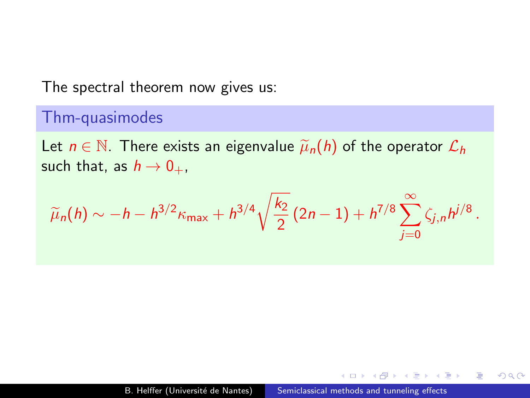### The spectral theorem now gives us:

### Thm-quasimodes

Let  $n \in \mathbb{N}$ . There exists an eigenvalue  $\tilde{\mu}_n(h)$  of the operator  $\mathcal{L}_h$ such that, as  $h \to 0_+$ ,

$$
\widetilde{\mu}_n(h) \sim -h - h^{3/2} \kappa_{\text{max}} + h^{3/4} \sqrt{\frac{k_2}{2}} (2n-1) + h^{7/8} \sum_{j=0}^{\infty} \zeta_{j,n} h^{j/8}.
$$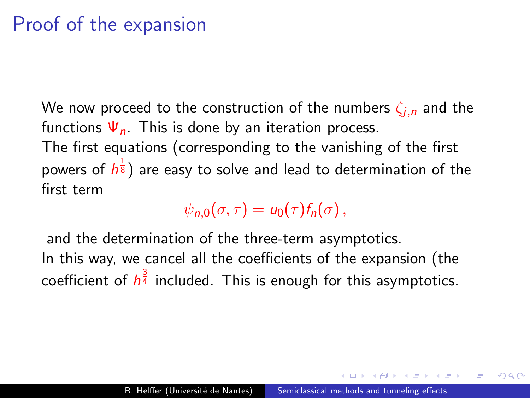# Proof of the expansion

We now proceed to the construction of the numbers  $\zeta_{i,n}$  and the functions  $\Psi_n$ . This is done by an iteration process. The first equations (corresponding to the vanishing of the first powers of  $h^{\frac{1}{8}})$  are easy to solve and lead to determination of the first term

 $\psi_{n,0}(\sigma,\tau) = u_0(\tau) f_n(\sigma)$ ,

and the determination of the three-term asymptotics. In this way, we cancel all the coefficients of the expansion (the coefficient of  $h^{\frac{3}{4}}$  included. This is enough for this asymptotics.

 $\Omega$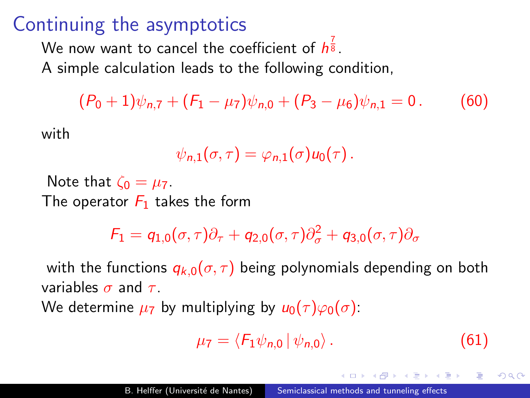## Continuing the asymptotics

We now want to cancel the coefficient of  $h^{\frac{7}{8}}$ .

A simple calculation leads to the following condition,

<span id="page-106-0"></span> $(P_0 + 1)\psi_{n,7} + (F_1 - \mu_7)\psi_{n,0} + (P_3 - \mu_6)\psi_{n,1} = 0$ . (60)

with

$$
\psi_{n,1}(\sigma,\tau)=\varphi_{n,1}(\sigma)u_0(\tau).
$$

Note that  $\zeta_0 = \mu_7$ . The operator  $F_1$  takes the form

 $\mathcal{F}_1 = q_{1,0}(\sigma,\tau)\partial_{\tau} + q_{2,0}(\sigma,\tau)\partial_{\sigma}^2 + q_{3,0}(\sigma,\tau)\partial_{\sigma}$ 

with the functions  $q_{k,0}(\sigma,\tau)$  being polynomials depending on both variables  $\sigma$  and  $\tau$ .

We determine  $\mu_7$  by multiplying by  $u_0(\tau)\varphi_0(\sigma)$ :

$$
\mu_7 = \langle F_1 \psi_{n,0} | \psi_{n,0} \rangle. \tag{61}
$$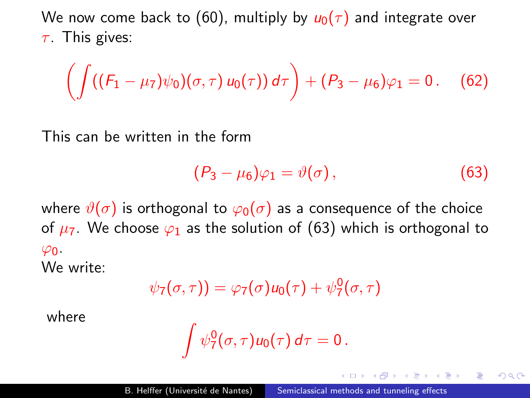We now come back to [\(60\)](#page-106-0), multiply by  $u_0(\tau)$  and integrate over  $\tau$ . This gives:

$$
\left(\int ((F_1 - \mu_7)\psi_0)(\sigma,\tau) u_0(\tau)) d\tau\right) + (P_3 - \mu_6)\varphi_1 = 0. \quad (62)
$$

This can be written in the form

<span id="page-107-0"></span>
$$
(\mathsf{P}_3-\mu_6)\varphi_1=\vartheta(\sigma)\,,\qquad \qquad (63)
$$

 $200$ 

where  $\vartheta(\sigma)$  is orthogonal to  $\varphi_0(\sigma)$  as a consequence of the choice of  $\mu_7$ . We choose  $\varphi_1$  as the solution of [\(63\)](#page-107-0) which is orthogonal to  $\varphi_0$ .

We write:

$$
\psi_7(\sigma,\tau))=\varphi_7(\sigma)u_0(\tau)+\psi_7^0(\sigma,\tau)
$$

where

$$
\int \psi_7^0(\sigma,\tau)u_0(\tau)\,d\tau=0\,.
$$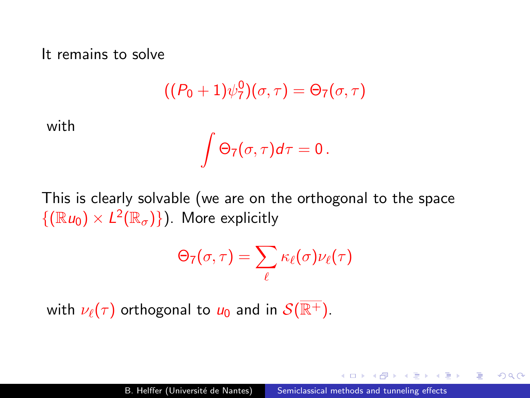It remains to solve

$$
((P_0+1)\psi_7^0)(\sigma,\tau)=\Theta_7(\sigma,\tau)
$$

with

$$
\int \Theta_7(\sigma,\tau)d\tau=0\,.
$$

This is clearly solvable (we are on the orthogonal to the space  $\{(\mathbb{R} u_0) \times L^2(\mathbb{R}_{\sigma})\}\)$ . More explicitly

$$
\Theta_7(\sigma,\tau)=\sum_{\ell}\kappa_{\ell}(\sigma)\nu_{\ell}(\tau)
$$

with  $\nu_{\ell}(\tau)$  orthogonal to  $u_0$  and in  $S(\overline{\mathbb{R}^+})$ .

IJ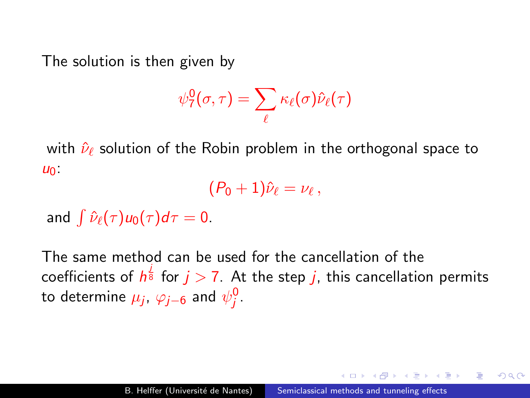The solution is then given by

$$
\psi_7^0(\sigma,\tau)=\sum_\ell \kappa_\ell(\sigma)\hat{\nu}_\ell(\tau)
$$

with  $\hat{\nu}_{\ell}$  solution of the Robin problem in the orthogonal space to  $U_0$ :

 $(P_0 + 1)\hat\nu_\ell = \nu_\ell\,,$ 

and  $\int \hat{\nu}_{\ell}(\tau)u_0(\tau)d\tau = 0$ .

The same method can be used for the cancellation of the coefficients of  $h^{\frac{j}{8}}$  for  $j>7$ . At the step  $j$ , this cancellation permits to determine  $\mu_j$ ,  $\varphi_{j-6}$  and  $\psi_j^0$ .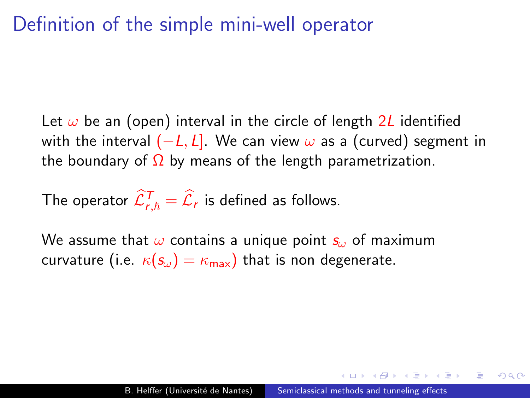### Definition of the simple mini-well operator

Let  $\omega$  be an (open) interval in the circle of length 2L identified with the interval  $(-L, L]$ . We can view  $\omega$  as a (curved) segment in the boundary of  $\Omega$  by means of the length parametrization.

The operator  $\widehat{\mathcal{L}}_{r,\hbar}^T = \widehat{\mathcal{L}}_r$  is defined as follows.

We assume that  $\omega$  contains a unique point  $s_{\omega}$  of maximum curvature (i.e.  $\kappa(\mathbf{s}_{\omega}) = \kappa_{\text{max}}$ ) that is non degenerate.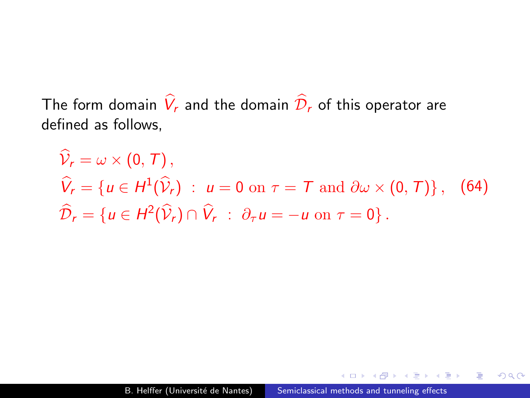The form domain  $\hat{V}_r$  and the domain  $\hat{D}_r$  of this operator are defined as follows,

$$
\widehat{V}_r = \omega \times (0, T),
$$
  
\n
$$
\widehat{V}_r = \{u \in H^1(\widehat{V}_r) : u = 0 \text{ on } \tau = T \text{ and } \partial \omega \times (0, T)\}, \quad (64)
$$
  
\n
$$
\widehat{D}_r = \{u \in H^2(\widehat{V}_r) \cap \widehat{V}_r : \partial_\tau u = -u \text{ on } \tau = 0\}.
$$

 $299$ 

э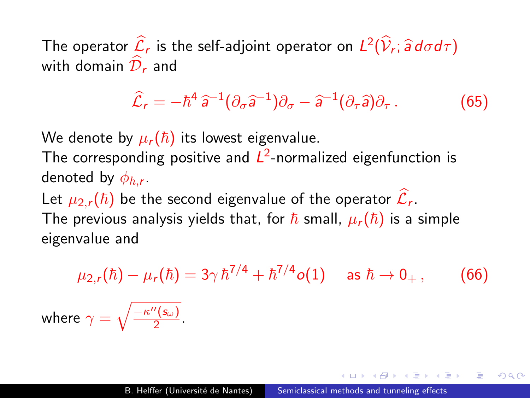The operator  $\mathcal{L}_r$  is the self-adjoint operator on  $L^2(\mathcal{V}_r; \widehat{\mathsf{a}} \, d\sigma d\tau)$ with domain  $\mathcal{D}_r$  and

$$
\widehat{\mathcal{L}}_r = -\hbar^4 \,\widehat{a}^{-1} (\partial_\sigma \widehat{a}^{-1}) \partial_\sigma - \widehat{a}^{-1} (\partial_\tau \widehat{a}) \partial_\tau \,. \tag{65}
$$

We denote by  $\mu_r(\hbar)$  its lowest eigenvalue.

The corresponding positive and  $L^2$ -normalized eigenfunction is denoted by  $\phi_{\hbar,\bm{r}}.$ 

Let  $\mu_{2,r}(\hbar)$  be the second eigenvalue of the operator  $\hat{\mathcal{L}}_r$ . The previous analysis yields that, for  $\hbar$  small,  $\mu_r(\hbar)$  is a simple eigenvalue and

$$
\mu_{2,r}(\hbar) - \mu_r(\hbar) = 3\gamma \hbar^{7/4} + \hbar^{7/4} o(1) \quad \text{ as } \hbar \to 0_+, \qquad (66)
$$
  
where  $\gamma = \sqrt{\frac{-\kappa''(s_\omega)}{2}}$ .

 $\Omega$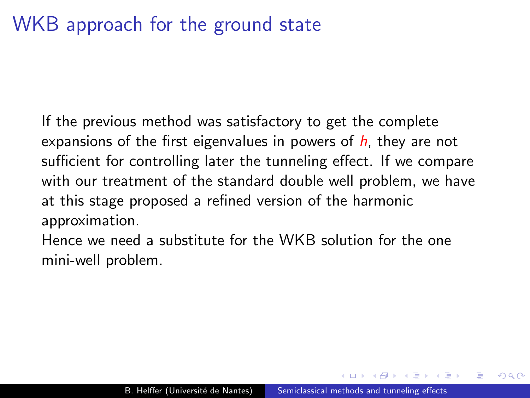# WKB approach for the ground state

If the previous method was satisfactory to get the complete expansions of the first eigenvalues in powers of  $h$ , they are not sufficient for controlling later the tunneling effect. If we compare with our treatment of the standard double well problem, we have at this stage proposed a refined version of the harmonic approximation.

Hence we need a substitute for the WKB solution for the one mini-well problem.

 $\Omega$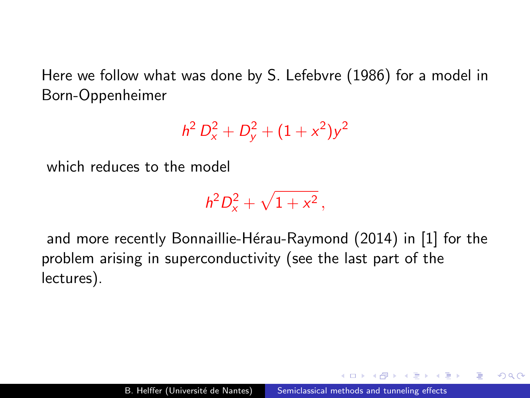Here we follow what was done by S. Lefebvre (1986) for a model in Born-Oppenheimer

 $h^2 D_x^2 + D_y^2 + (1 + x^2)y^2$ 

which reduces to the model

 $h^2D_x^2 + \sqrt{1+x^2}$ ,

and more recently Bonnaillie-Hérau-Raymond (2014) in [\[1\]](#page-177-0) for the problem arising in superconductivity (see the last part of the lectures).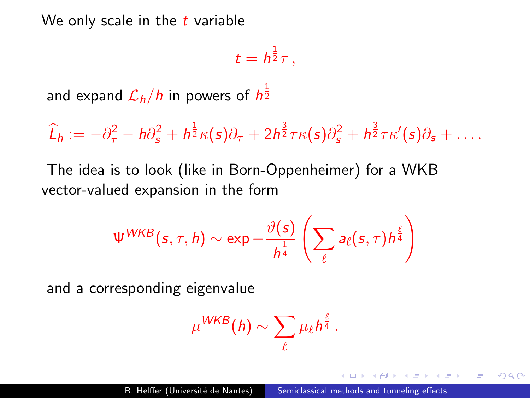We only scale in the  $t$  variable

$$
t=h^{\frac{1}{2}}\tau\,,
$$

and expand  ${\cal L}_h/h$  in powers of  $h^{\frac{1}{2}}$ 

 $\widehat{L}_h := -\partial_{\tau}^2 - h\partial_{\mathsf{s}}^2 + h^{\frac{1}{2}}\kappa(\mathsf{s})\partial_{\tau} + 2h^{\frac{3}{2}}\tau\kappa(\mathsf{s})\partial_{\mathsf{s}}^2 + h^{\frac{3}{2}}\tau\kappa'(\mathsf{s})\partial_{\mathsf{s}} + \ldots$ 

The idea is to look (like in Born-Oppenheimer) for a WKB vector-valued expansion in the form

$$
\Psi^{WKB}(s,\tau,h) \sim \exp -\frac{\vartheta(s)}{h^{\frac{1}{4}}} \left( \sum_{\ell} a_{\ell}(s,\tau) h^{\frac{\ell}{4}} \right)
$$

and a corresponding eigenvalue

$$
\mu^{WKB}(h) \sim \sum_{\ell} \mu_{\ell} h^{\frac{\ell}{4}}.
$$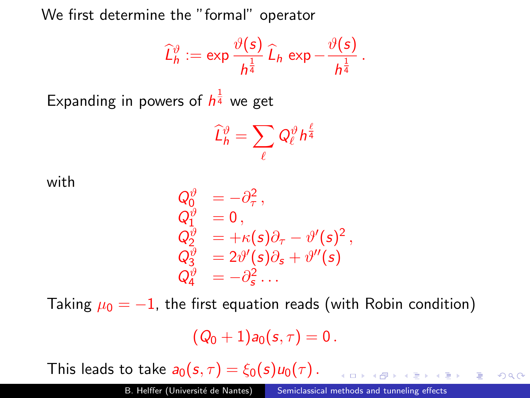We first determine the "formal" operator

$$
\widehat{L}_h^{\vartheta} := \exp \frac{\vartheta(s)}{h^{\frac{1}{4}}} \widehat{L}_h \exp - \frac{\vartheta(s)}{h^{\frac{1}{4}}}.
$$

Expanding in powers of  $h^{\frac{1}{4}}$  we get

$$
\widehat{L}_h^\vartheta = \sum_\ell Q_\ell^\vartheta h^{\frac{\ell}{4}}
$$

with

$$
\begin{array}{lll} Q_0^\vartheta&=-\partial_\tau^2\,,\\ Q_1^\vartheta&=0\,,\\ Q_2^\vartheta&=+\kappa(\mathfrak{s})\partial_\tau-\vartheta'(\mathfrak{s})^2\,,\\ Q_3^\vartheta&=2\vartheta'(\mathfrak{s})\partial_\mathfrak{s}+\vartheta''(\mathfrak{s})\\ Q_4^\vartheta&=-\partial_\mathfrak{s}^2\ldots\end{array}
$$

Taking  $\mu_0 = -1$ , the first equation reads (with Robin condition)

 $(Q_0 + 1)a_0(s, \tau) = 0$ .

This leads to take  $a_0(s, \tau) = \xi_0(s)u_0(\tau)$ .

 $\equiv$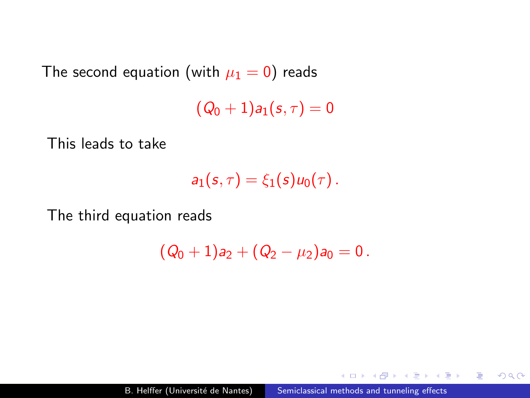The second equation (with  $\mu_1 = 0$ ) reads

 $(Q_0 + 1)a_1(s, \tau) = 0$ 

This leads to take

$$
a_1(s,\tau)=\xi_1(s)u_0(\tau).
$$

The third equation reads

$$
(Q_0+1)a_2+(Q_2-\mu_2)a_0=0\,.
$$

 $2990$ 

э

任

性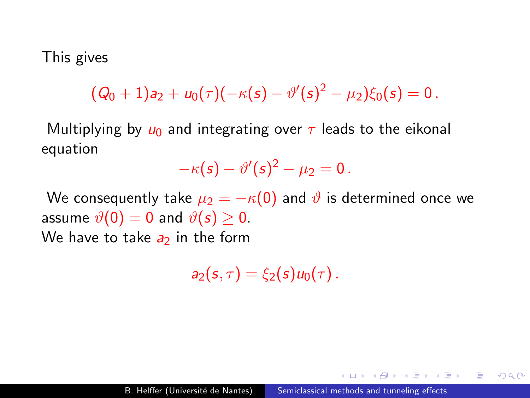#### This gives

 $(Q_0+1)a_2+u_0(\tau)(-\kappa(s)-\vartheta'(s)^2-\mu_2)\xi_0(s)=0$  .

Multiplying by  $u_0$  and integrating over  $\tau$  leads to the eikonal equation

$$
-\kappa(s)-\vartheta'(s)^2-\mu_2=0.
$$

We consequently take  $\mu_2 = -\kappa(0)$  and  $\vartheta$  is determined once we assume  $\vartheta(0) = 0$  and  $\vartheta(s) > 0$ . We have to take  $a_2$  in the form

 $a_2(s,\tau) = \xi_2(s)u_0(\tau)$ .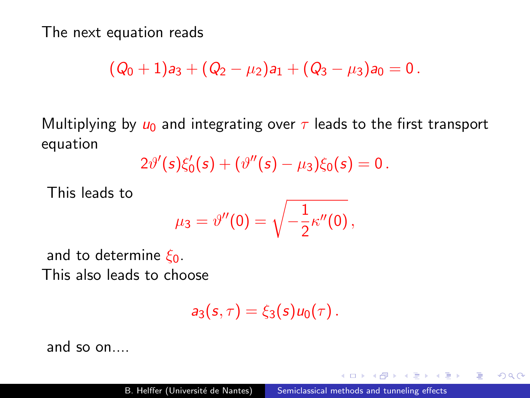The next equation reads

$$
(Q_0+1)a_3+(Q_2-\mu_2)a_1+(Q_3-\mu_3)a_0=0.
$$

Multiplying by  $u_0$  and integrating over  $\tau$  leads to the first transport equation

$$
2\vartheta'(s)\xi'_0(s) + (\vartheta''(s) - \mu_3)\xi_0(s) = 0.
$$

This leads to

$$
\mu_3=\vartheta''(0)=\sqrt{-\frac{1}{2}\kappa''(0)},
$$

and to determine  $\xi_0$ . This also leads to choose

$$
a_3(s,\tau)=\xi_3(s)u_0(\tau).
$$

and so on....

 $2990$ 

э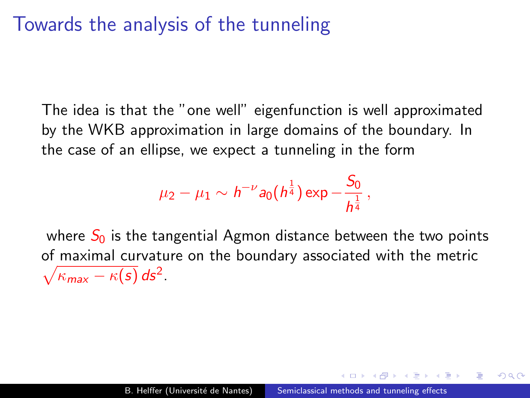## Towards the analysis of the tunneling

The idea is that the "one well" eigenfunction is well approximated by the WKB approximation in large domains of the boundary. In the case of an ellipse, we expect a tunneling in the form

$$
\mu_2 - \mu_1 \sim h^{-\nu} a_0(h^{\frac{1}{4}}) \exp{-\frac{S_0}{h^{\frac{1}{4}}}},
$$

where  $S_0$  is the tangential Agmon distance between the two points of maximal curvature on the boundary associated with the metric  $\sqrt{\kappa_{\text{max}}-\kappa(s)} ds^2$ .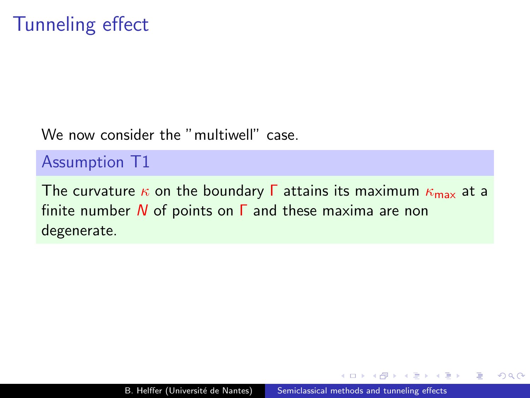We now consider the "multiwell" case

#### Assumption T1

The curvature  $\kappa$  on the boundary  $\Gamma$  attains its maximum  $\kappa_{\text{max}}$  at a finite number  $N$  of points on  $\Gamma$  and these maxima are non degenerate.

 $\Omega$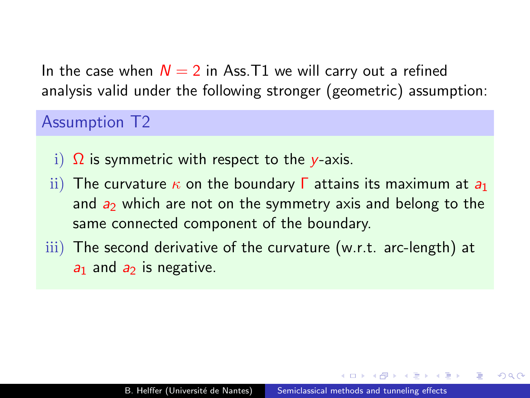In the case when  $N = 2$  in Ass. T1 we will carry out a refined analysis valid under the following stronger (geometric) assumption:

Assumption T2

- i)  $\Omega$  is symmetric with respect to the y-axis.
- ii) The curvature  $\kappa$  on the boundary  $\Gamma$  attains its maximum at  $a_1$ and  $a_2$  which are not on the symmetry axis and belong to the same connected component of the boundary.
- iii) The second derivative of the curvature (w.r.t. arc-length) at  $a_1$  and  $a_2$  is negative.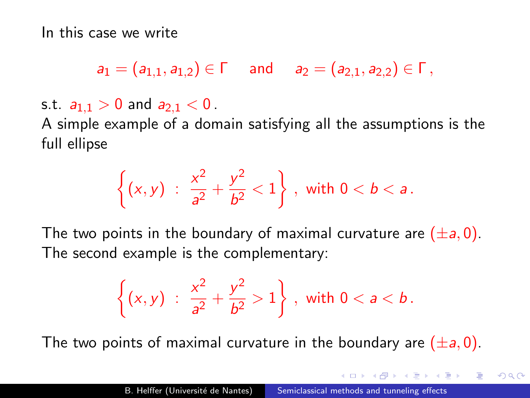In this case we write

 $a_1 = (a_{1,1}, a_{1,2}) \in \Gamma$  and  $a_2 = (a_{2,1}, a_{2,2}) \in \Gamma$ ,

s.t.  $a_{1,1} > 0$  and  $a_{2,1} < 0$ .

A simple example of a domain satisfying all the assumptions is the full ellipse

$$
\left\{ (x,y) \; : \; \frac{x^2}{a^2} + \frac{y^2}{b^2} < 1 \right\} \, , \text{ with } 0 < b < a \, .
$$

The two points in the boundary of maximal curvature are  $(\pm a, 0)$ . The second example is the complementary:

$$
\left\{ (x,y) \; : \; \frac{x^2}{a^2} + \frac{y^2}{b^2} > 1 \right\} \, , \text{ with } 0 < a < b \, .
$$

The two points of maximal curvature in the boundary are  $(\pm a, 0)$ .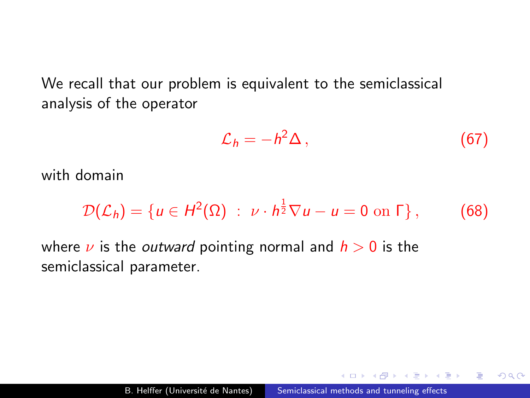We recall that our problem is equivalent to the semiclassical analysis of the operator

$$
\mathcal{L}_h = -h^2 \Delta \,, \tag{67}
$$

 $\Omega$ 

with domain

$$
\mathcal{D}(\mathcal{L}_h) = \{u \in H^2(\Omega) : \nu \cdot h^{\frac{1}{2}} \nabla u - u = 0 \text{ on } \Gamma\},\qquad(68)
$$

where  $\nu$  is the *outward* pointing normal and  $h > 0$  is the semiclassical parameter.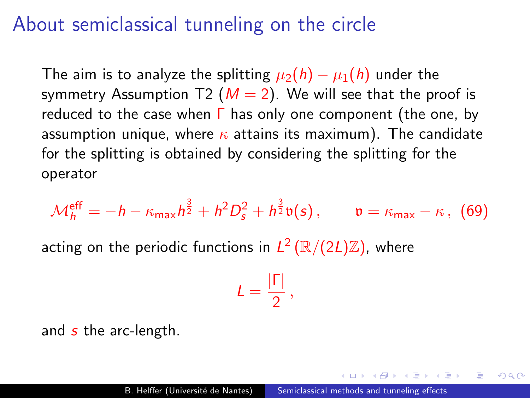### About semiclassical tunneling on the circle

The aim is to analyze the splitting  $\mu_2(h) - \mu_1(h)$  under the symmetry Assumption T2 ( $M = 2$ ). We will see that the proof is reduced to the case when  $\Gamma$  has only one component (the one, by assumption unique, where  $\kappa$  attains its maximum). The candidate for the splitting is obtained by considering the splitting for the operator

$$
\mathcal{M}_h^{\text{eff}} = -h - \kappa_{\text{max}} h^{\frac{3}{2}} + h^2 D_s^2 + h^{\frac{3}{2}} \mathfrak{v}(s) , \qquad \mathfrak{v} = \kappa_{\text{max}} - \kappa , \tag{69}
$$

acting on the periodic functions in  $L^2\left(\mathbb{R}/(2L)\mathbb{Z}\right)$ , where

$$
L=\frac{|\Gamma|}{2}\,,
$$

and  $s$  the arc-length.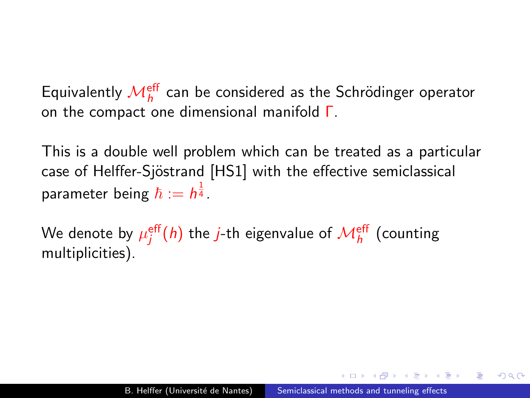Equivalently  ${\cal M}_h^{\rm eff}$  can be considered as the Schrödinger operator on the compact one dimensional manifold Γ.

This is a double well problem which can be treated as a particular case of Helffer-Sjöstrand [HS1] with the effective semiclassical parameter being  $\hbar := h^{\frac{1}{4}}$  .

We denote by  $\mu^{\mathsf{eff}}_j(h)$  the *j*-th eigenvalue of  $\mathcal{M}^{\mathsf{eff}}_h$  (counting multiplicities).

 $\Omega$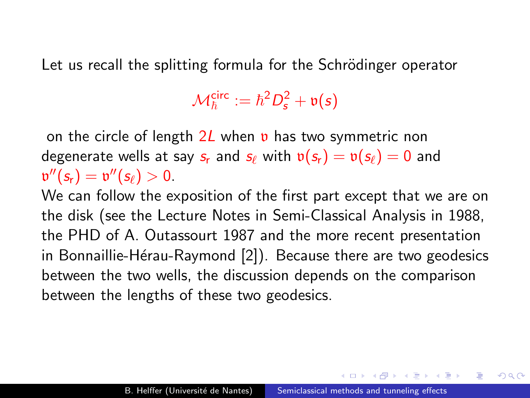Let us recall the splitting formula for the Schrödinger operator

 $\mathcal{M}^{\text{circ}}_{\hbar} := \hbar^2 D^2_{\mathbf{s}} + \mathfrak{v}(\mathbf{s})$ 

on the circle of length  $2L$  when **v** has two symmetric non degenerate wells at say  $s_r$  and  $s_\ell$  with  $v(s_r) = v(s_\ell) = 0$  and  $\mathfrak{v}''(s_{r}) = \mathfrak{v}''(s_{\ell}) > 0.$ 

We can follow the exposition of the first part except that we are on the disk (see the Lecture Notes in Semi-Classical Analysis in 1988, the PHD of A. Outassourt 1987 and the more recent presentation in Bonnaillie-Hérau-Raymond [\[2\]](#page-178-0)). Because there are two geodesics between the two wells, the discussion depends on the comparison between the lengths of these two geodesics.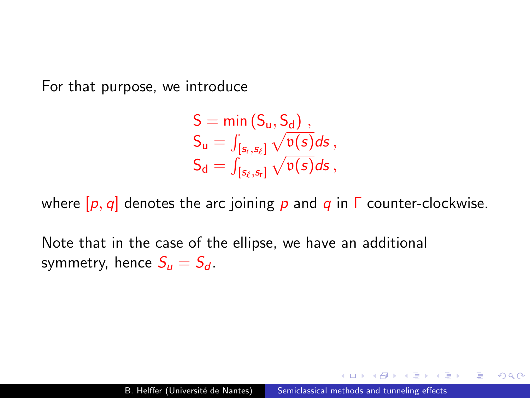For that purpose, we introduce

$$
\begin{array}{l} S = \text{min}\left(S_u, S_d\right)\,, \\ S_u = \int_{[s_r, s_\ell]} \sqrt{\mathfrak{v}(s)} ds\,, \\ S_d = \int_{[s_\ell, s_r]} \sqrt{\mathfrak{v}(s)} ds\,, \end{array}
$$

where  $[p, q]$  denotes the arc joining p and q in  $\Gamma$  counter-clockwise.

Note that in the case of the ellipse, we have an additional symmetry, hence  $S_u = S_d$ .

 $\Omega$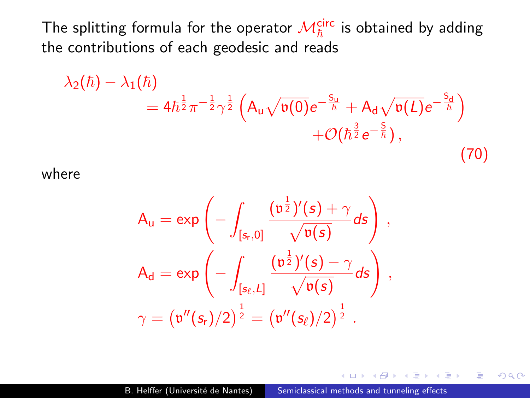The splitting formula for the operator  ${\mathcal M}_\hbar^{\mathsf{circ}}$  is obtained by adding the contributions of each geodesic and reads

$$
\lambda_2(\hbar) - \lambda_1(\hbar) = 4\hbar^{\frac{1}{2}} \pi^{-\frac{1}{2}} \gamma^{\frac{1}{2}} \left( A_u \sqrt{\mathfrak{v}(0)} e^{-\frac{S_u}{\hbar}} + A_d \sqrt{\mathfrak{v}(L)} e^{-\frac{S_d}{\hbar}} \right) + \mathcal{O}(\hbar^{\frac{3}{2}} e^{-\frac{S}{\hbar}}),
$$
\n(70)

where

$$
\begin{aligned} A_u&=\text{exp}\left(-\int_{[s_r,0]}\frac{(\mathfrak{v}^\frac{1}{2})'(s)+\gamma}{\sqrt{\mathfrak{v}(s)}}ds\right)\,,\\ A_d&=\text{exp}\left(-\int_{[s_\ell,L]}\frac{(\mathfrak{v}^\frac{1}{2})'(s)-\gamma}{\sqrt{\mathfrak{v}(s)}}ds\right)\,,\\ \gamma&=(\mathfrak{v}''(s_r)/2)^\frac{1}{2}=(\mathfrak{v}''(s_\ell)/2)^\frac{1}{2}\,. \end{aligned}
$$

 $QQ$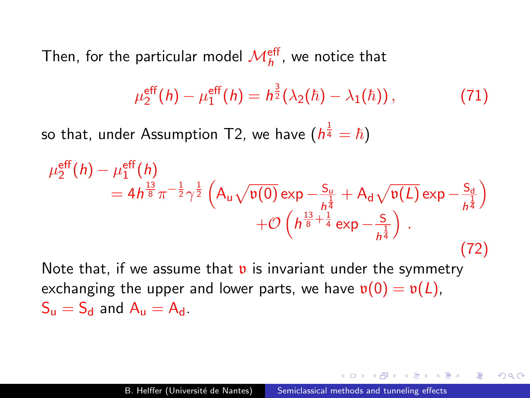Then, for the particular model  $\mathcal{M}_h^{\mathsf{eff}}$ , we notice that

$$
\mu_2^{\rm eff}(h) - \mu_1^{\rm eff}(h) = h^{\frac{3}{2}}(\lambda_2(\hbar) - \lambda_1(\hbar)), \qquad (71)
$$

so that, under Assumption T2, we have  $(h^{\frac{1}{4}} = \hbar)$ 

$$
\mu_2^{\text{eff}}(h) - \mu_1^{\text{eff}}(h) = 4h^{\frac{13}{8}}\pi^{-\frac{1}{2}}\gamma^{\frac{1}{2}} \left(A_u\sqrt{v(0)}\exp\left(-\frac{S_u}{h^{\frac{1}{4}}} + A_d\sqrt{v(L)}\exp\left(-\frac{S_d}{h^{\frac{1}{4}}}\right) + \mathcal{O}\left(h^{\frac{13}{8} + \frac{1}{4}}\exp\left(-\frac{S}{h^{\frac{1}{4}}}\right)\right)\right)
$$
\n(72)

Note that, if we assume that  $v$  is invariant under the symmetry exchanging the upper and lower parts, we have  $\mathfrak{v}(0) = \mathfrak{v}(L)$ ,  $S_{\rm u} = S_{\rm d}$  and  $A_{\rm u} = A_{\rm d}$ .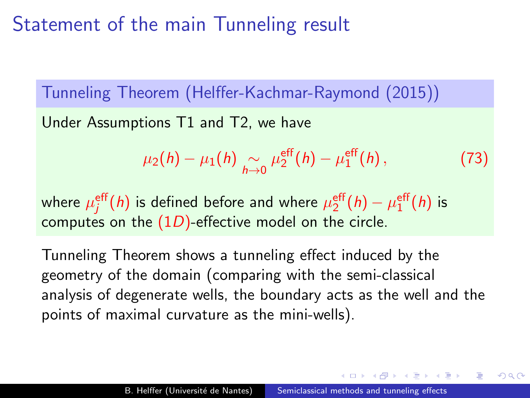# Statement of the main Tunneling result

Tunneling Theorem (Helffer-Kachmar-Raymond (2015))

Under Assumptions T1 and T2, we have

$$
\mu_2(h) - \mu_1(h) \underset{h \to 0}{\sim} \mu_2^{\rm eff}(h) - \mu_1^{\rm eff}(h) \,, \tag{73}
$$

where  $\mu^{\mathsf{eff}}_j(h)$  is defined before and where  $\mu^{\mathsf{eff}}_2(h) - \mu^{\mathsf{eff}}_1(h)$  is computes on the  $(1D)$ -effective model on the circle.

Tunneling Theorem shows a tunneling effect induced by the geometry of the domain (comparing with the semi-classical analysis of degenerate wells, the boundary acts as the well and the points of maximal curvature as the mini-wells).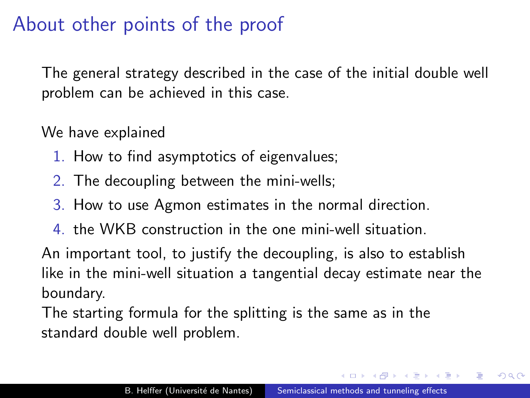# About other points of the proof

The general strategy described in the case of the initial double well problem can be achieved in this case.

We have explained

- 1. How to find asymptotics of eigenvalues;
- 2. The decoupling between the mini-wells;
- 3. How to use Agmon estimates in the normal direction.
- 4. the WKB construction in the one mini-well situation.

An important tool, to justify the decoupling, is also to establish like in the mini-well situation a tangential decay estimate near the boundary.

The starting formula for the splitting is the same as in the standard double well problem.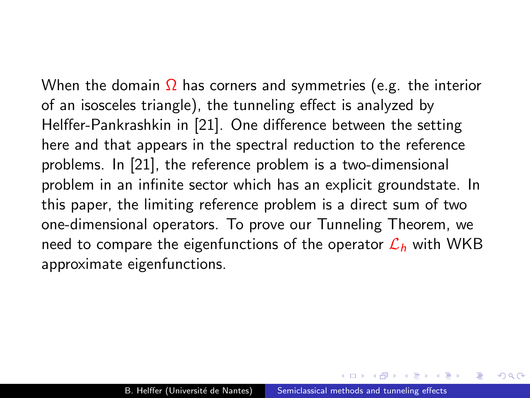When the domain  $\Omega$  has corners and symmetries (e.g. the interior of an isosceles triangle), the tunneling effect is analyzed by Helffer-Pankrashkin in [\[21\]](#page-184-0). One difference between the setting here and that appears in the spectral reduction to the reference problems. In [\[21\]](#page-184-0), the reference problem is a two-dimensional problem in an infinite sector which has an explicit groundstate. In this paper, the limiting reference problem is a direct sum of two one-dimensional operators. To prove our Tunneling Theorem, we need to compare the eigenfunctions of the operator  $\mathcal{L}_h$  with WKB approximate eigenfunctions.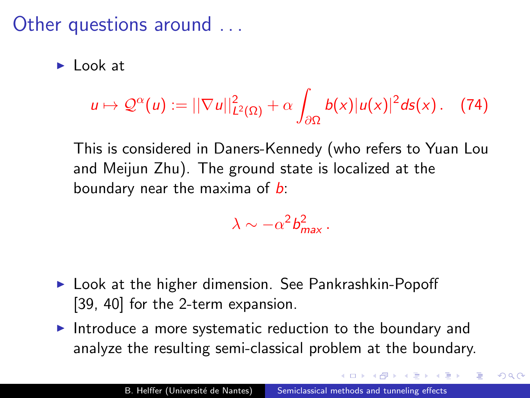### Other questions around ...

 $\blacktriangleright$  Look at

$$
u\mapsto \mathcal{Q}^{\alpha}(u):=||\nabla u||^2_{L^2(\Omega)}+\alpha\int_{\partial\Omega}b(x)|u(x)|^2ds(x). \quad (74)
$$

This is considered in Daners-Kennedy (who refers to Yuan Lou and Meijun Zhu). The ground state is localized at the boundary near the maxima of  $b$ :

$$
\lambda \sim -\alpha^2 b_{\text{max}}^2 \, .
$$

- $\blacktriangleright$  Look at the higher dimension. See Pankrashkin-Popoff [\[39,](#page-189-0) [40\]](#page-189-1) for the 2-term expansion.
- Introduce a more systematic reduction to the boundary and analyze the resulting semi-classical problem at the boundary.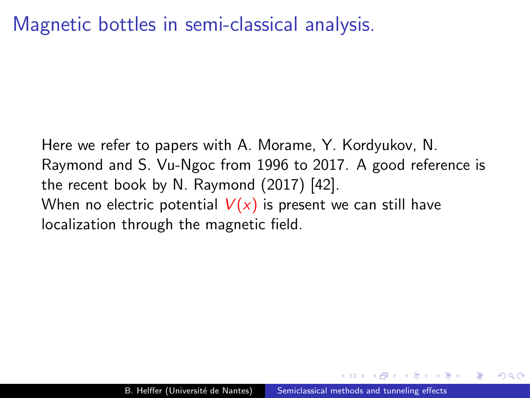Here we refer to papers with A. Morame, Y. Kordyukov, N. Raymond and S. Vu-Ngoc from 1996 to 2017. A good reference is the recent book by N. Raymond (2017) [\[42\]](#page-190-0). When no electric potential  $V(x)$  is present we can still have localization through the magnetic field.

 $\Omega$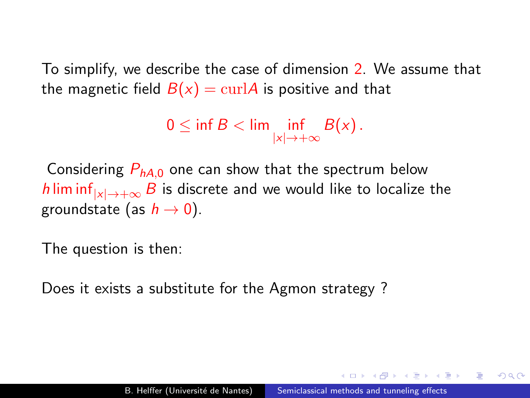To simplify, we describe the case of dimension 2. We assume that the magnetic field  $B(x) = \text{curl}A$  is positive and that

```
0 \leq \inf B < \lim \limits_{|x| \to +\infty} \mathrm{B}(x) .
```
Considering  $P_{hA,0}$  one can show that the spectrum below h lim inf<sub> $|x| \to +\infty$ </sub> B is discrete and we would like to localize the groundstate (as  $h \to 0$ ).

The question is then:

Does it exists a substitute for the Agmon strategy ?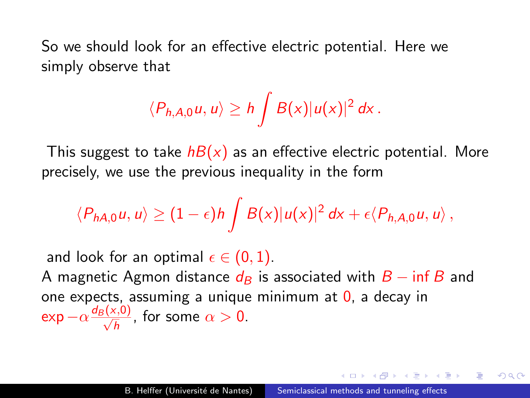So we should look for an effective electric potential. Here we simply observe that

$$
\langle P_{h,A,0}u,u\rangle\geq h\int B(x)|u(x)|^2 dx.
$$

This suggest to take  $h(x)$  as an effective electric potential. More precisely, we use the previous inequality in the form

$$
\langle P_{hA,0}u,u\rangle\geq (1-\epsilon)h\int B(x)|u(x)|^2 dx+\epsilon\langle P_{h,A,0}u,u\rangle,
$$

and look for an optimal  $\epsilon \in (0,1)$ . A magnetic Agmon distance  $d_B$  is associated with  $B - \inf B$  and one expects, assuming a unique minimum at  $\theta$ , a decay in  $\exp -\alpha \frac{d_B(x,0)}{\sqrt{h}}$ , for some  $\alpha > 0$ .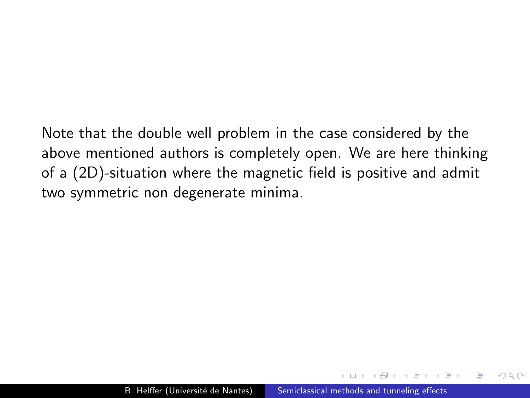Note that the double well problem in the case considered by the above mentioned authors is completely open. We are here thinking of a (2D)-situation where the magnetic field is positive and admit two symmetric non degenerate minima.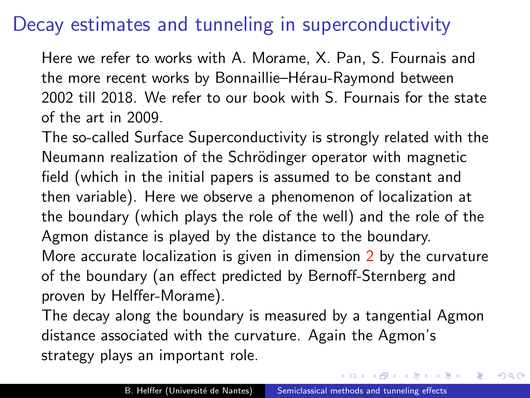## Decay estimates and tunneling in superconductivity

Here we refer to works with A. Morame, X. Pan, S. Fournais and the more recent works by Bonnaillie–Hérau-Raymond between 2002 till 2018. We refer to our book with S. Fournais for the state of the art in 2009.

The so-called Surface Superconductivity is strongly related with the Neumann realization of the Schrödinger operator with magnetic field (which in the initial papers is assumed to be constant and then variable). Here we observe a phenomenon of localization at the boundary (which plays the role of the well) and the role of the Agmon distance is played by the distance to the boundary. More accurate localization is given in dimension 2 by the curvature of the boundary (an effect predicted by Bernoff-Sternberg and proven by Helffer-Morame).

The decay along the boundary is measured by a tangential Agmon distance associated with the curvature. Again the Agmon's strategy plays an important role.

つくい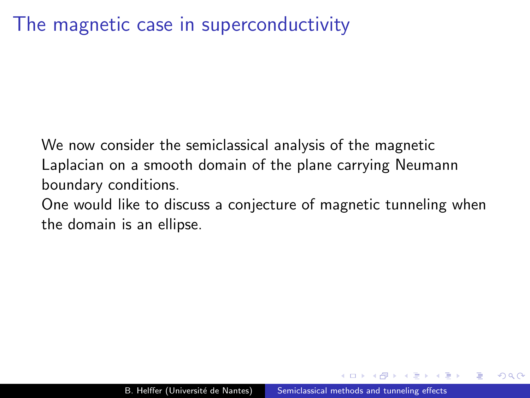We now consider the semiclassical analysis of the magnetic Laplacian on a smooth domain of the plane carrying Neumann boundary conditions.

One would like to discuss a conjecture of magnetic tunneling when the domain is an ellipse.

つくい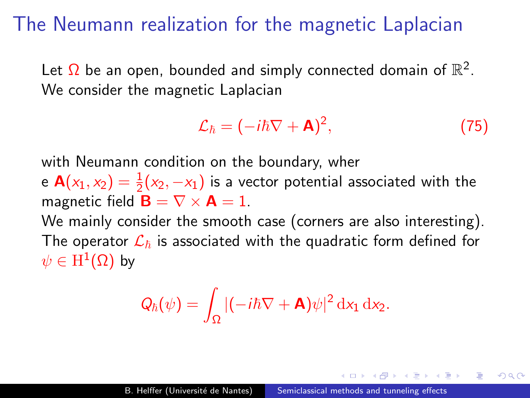### The Neumann realization for the magnetic Laplacian

Let  $\Omega$  be an open, bounded and simply connected domain of  $\mathbb{R}^2$ . We consider the magnetic Laplacian

$$
\mathcal{L}_{\hbar} = (-i\hbar \nabla + \mathbf{A})^2, \tag{75}
$$

つくい

with Neumann condition on the boundary, wher

e  $\mathbf{A}(x_1, x_2) = \frac{1}{2}(x_2, -x_1)$  is a vector potential associated with the magnetic field  $\mathbf{B} = \nabla \times \mathbf{A} = 1$ .

We mainly consider the smooth case (corners are also interesting). The operator  $\mathcal{L}_{\hbar}$  is associated with the quadratic form defined for  $\psi \in \mathrm{H}^1(\Omega)$  by

$$
Q_{\hbar}(\psi) = \int_{\Omega} |(-i\hbar \nabla + \mathbf{A})\psi|^2 \, \mathrm{d}x_1 \, \mathrm{d}x_2.
$$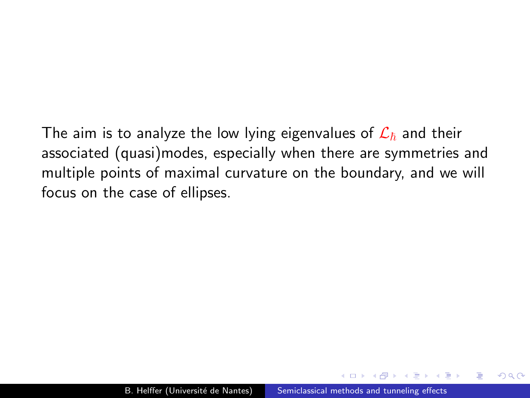The aim is to analyze the low lying eigenvalues of  $\mathcal{L}_{\hbar}$  and their associated (quasi)modes, especially when there are symmetries and multiple points of maximal curvature on the boundary, and we will focus on the case of ellipses.

つくい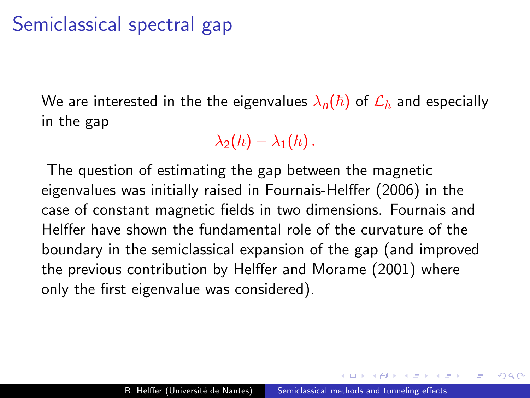# Semiclassical spectral gap

We are interested in the the eigenvalues  $\lambda_n(\hbar)$  of  $\mathcal{L}_{\hbar}$  and especially in the gap

 $\lambda_2(\hbar) - \lambda_1(\hbar)$ .

The question of estimating the gap between the magnetic eigenvalues was initially raised in Fournais-Helffer (2006) in the case of constant magnetic fields in two dimensions. Fournais and Helffer have shown the fundamental role of the curvature of the boundary in the semiclassical expansion of the gap (and improved the previous contribution by Helffer and Morame (2001) where only the first eigenvalue was considered).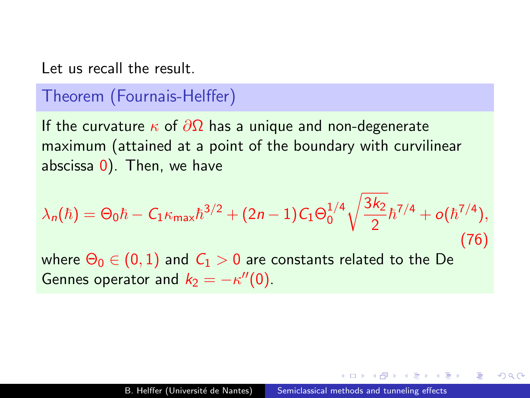Let us recall the result.

### Theorem (Fournais-Helffer)

If the curvature  $\kappa$  of  $\partial\Omega$  has a unique and non-degenerate maximum (attained at a point of the boundary with curvilinear abscissa 0). Then, we have

$$
\lambda_n(\hbar) = \Theta_0 \hbar - C_1 \kappa_{\max} \hbar^{3/2} + (2n - 1) C_1 \Theta_0^{1/4} \sqrt{\frac{3k_2}{2}} \hbar^{7/4} + o(\hbar^{7/4}),
$$
\n(76)  
\nwhere  $\Theta_0 \in (0, 1)$  and  $C_1 > 0$  are constants related to the De  
\nGennes operator and  $k_2 = -\kappa''(0)$ .

つくへ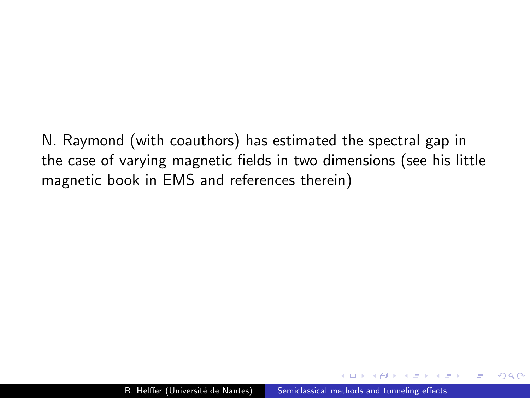N. Raymond (with coauthors) has estimated the spectral gap in the case of varying magnetic fields in two dimensions (see his little magnetic book in EMS and references therein)

 $\Omega$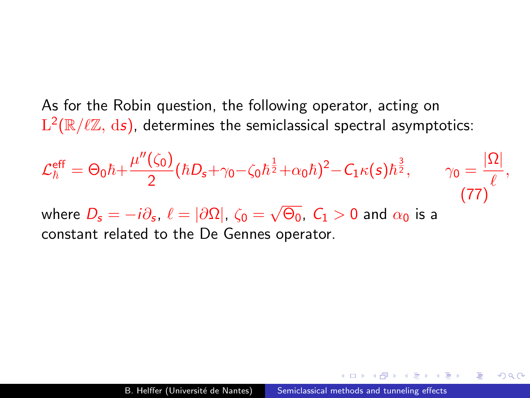As for the Robin question, the following operator, acting on  $\mathrm{L}^2(\mathbb{R}/\ell\mathbb{Z},\,\mathrm{d}s)$ , determines the semiclassical spectral asymptotics:

<span id="page-146-0"></span>
$$
\mathcal{L}_{\hbar}^{\text{eff}} = \Theta_0 \hbar + \frac{\mu''(\zeta_0)}{2} (\hbar D_s + \gamma_0 - \zeta_0 \hbar^{\frac{1}{2}} + \alpha_0 \hbar)^2 - C_1 \kappa(s) \hbar^{\frac{3}{2}}, \qquad \gamma_0 = \frac{|\Omega|}{\ell},
$$
  
where  $D_s = -i\partial_s$ ,  $\ell = |\partial\Omega|$ ,  $\zeta_0 = \sqrt{\Theta_0}$ ,  $C_1 > 0$  and  $\alpha_0$  is a constant related to the De Gennes operator. (77)

医单侧 医单侧

э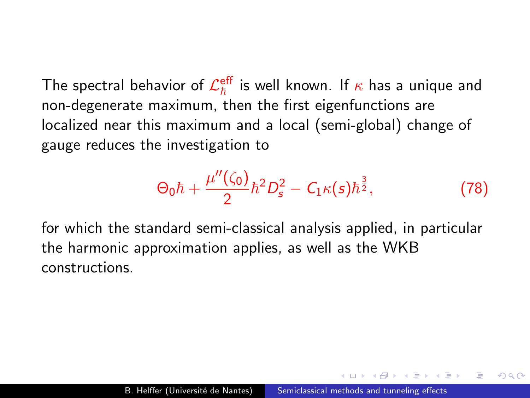The spectral behavior of  $\mathcal{L}_{\hbar}^{\mathsf{eff}}$  is well known. If  $\kappa$  has a unique and non-degenerate maximum, then the first eigenfunctions are localized near this maximum and a local (semi-global) change of gauge reduces the investigation to

$$
\Theta_0 \hbar + \frac{\mu''(\zeta_0)}{2} \hbar^2 D_s^2 - C_1 \kappa(s) \hbar^{\frac{3}{2}}, \tag{78}
$$

for which the standard semi-classical analysis applied, in particular the harmonic approximation applies, as well as the WKB constructions.

 $\Omega$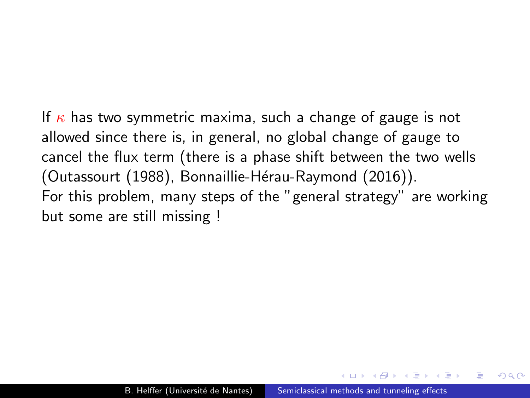If  $\kappa$  has two symmetric maxima, such a change of gauge is not allowed since there is, in general, no global change of gauge to cancel the flux term (there is a phase shift between the two wells (Outassourt (1988), Bonnaillie-Hérau-Raymond (2016)). For this problem, many steps of the "general strategy" are working but some are still missing !

 $\Omega$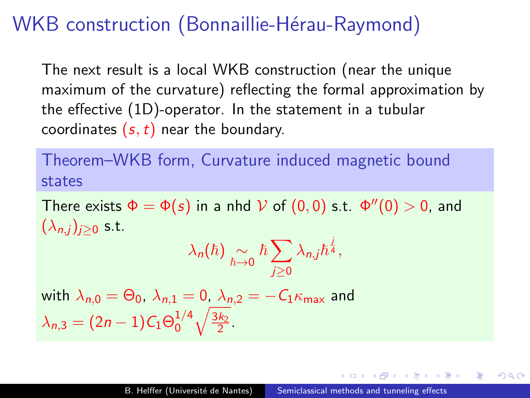# WKB construction (Bonnaillie-Hérau-Raymond)

The next result is a local WKB construction (near the unique maximum of the curvature) reflecting the formal approximation by the effective (1D)-operator. In the statement in a tubular coordinates  $(s, t)$  near the boundary.

## Theorem–WKB form, Curvature induced magnetic bound states

There exists  $\Phi = \Phi(s)$  in a nhd  $V$  of  $(0,0)$  s.t.  $\Phi''(0) > 0$ , and  $(\lambda_{n,i})_{i>0}$  s.t.

$$
\lambda_n(\hbar)\underset{\hbar\to 0}{\sim}\hbar\sum_{j\geq 0}\lambda_{n,j}\hbar^{\frac{1}{4}},
$$

with 
$$
\lambda_{n,0} = \Theta_0
$$
,  $\lambda_{n,1} = 0$ ,  $\lambda_{n,2} = -C_1 \kappa_{\text{max}}$  and  $\lambda_{n,3} = (2n-1)C_1 \Theta_0^{1/4} \sqrt{\frac{3k_2}{2}}$ .

つくへ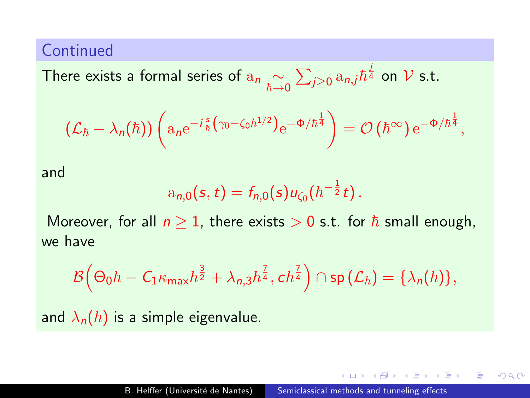#### **Continued**

There exists a formal series of  $a_n \underset{\hbar \to 0}{\sim} \sum_{j \geq 0} a_{n,j} \hbar^{\frac{j}{4}}$  on  ${\cal V}$  s.t.

$$
(\mathcal{L}_{\hbar} - \lambda_n(\hbar)) \left( a_n e^{-i \frac{s}{\hbar} \left( \gamma_0 - \zeta_0 \hbar^{1/2} \right)} e^{-\Phi/\hbar^{\frac{1}{4}}} \right) = \mathcal{O} \left( \hbar^{\infty} \right) e^{-\Phi/\hbar^{\frac{1}{4}}},
$$

and

$$
a_{n,0}(s,t)=f_{n,0}(s)u_{\zeta_0}(\hbar^{-\frac{1}{2}}t).
$$

Moreover, for all  $n \geq 1$ , there exists  $> 0$  s.t. for  $\hbar$  small enough, we have

$$
\mathcal{B}\Big(\Theta_0\hbar-C_1\kappa_{\mathsf{max}}\hbar^{\frac{3}{2}}+\lambda_{\mathsf{n},3}\hbar^{\frac{7}{4}},\mathsf{c}\hbar^{\frac{7}{4}}\Big)\cap\mathsf{sp}\big(\mathcal{L}_\hbar\big)=\{\lambda_\mathsf{n}(\hbar)\},
$$

and  $\lambda_n(\hbar)$  is a simple eigenvalue.

つくへ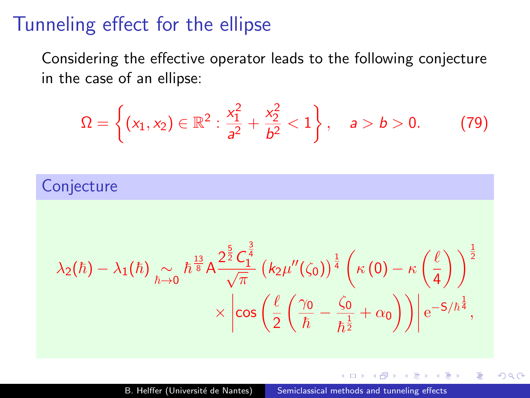## Tunneling effect for the ellipse

Considering the effective operator leads to the following conjecture in the case of an ellipse:

$$
\Omega = \left\{ (x_1, x_2) \in \mathbb{R}^2 : \frac{x_1^2}{a^2} + \frac{x_2^2}{b^2} < 1 \right\}, \quad a > b > 0.
$$
 (79)

### **Conjecture**

$$
\begin{aligned} \lambda_2(\hbar)-\lambda_1(\hbar) &\underset{\hbar\rightarrow 0}{\sim} \hbar^{\frac{13}{8}}A\frac{2^\frac{5}{2}C_1^\frac{3}{4}}{\sqrt{\pi}}\left(k_2\mu''(\zeta_0)\right)^\frac{1}{4}\left(\kappa\left(0\right)-\kappa\left(\frac{\ell}{4}\right)\right)^\frac{1}{2}\\ &\times\left|\cos\left(\frac{\ell}{2}\left(\frac{\gamma_0}{\hbar}-\frac{\zeta_0}{\hbar^\frac{1}{2}}+\alpha_0\right)\right)\right|\mathrm{e}^{-\mathsf{S}/\hbar^\frac{1}{4}}, \end{aligned}
$$

 $QQ$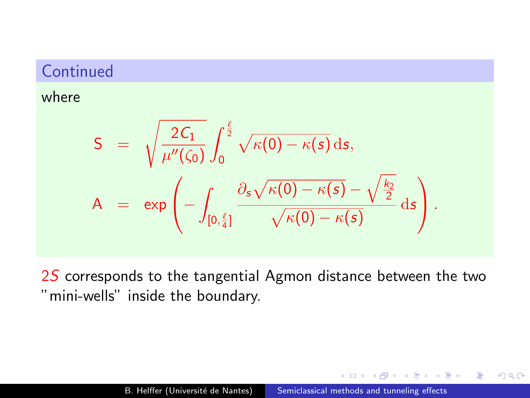### **Continued**

#### where

$$
S = \sqrt{\frac{2C_1}{\mu''(\zeta_0)}} \int_0^{\frac{\ell}{2}} \sqrt{\kappa(0) - \kappa(s)} ds,
$$
  
\n
$$
A = \exp\left(-\int_{[0,\frac{\ell}{4}]} \frac{\partial_s \sqrt{\kappa(0) - \kappa(s)} - \sqrt{\frac{k_2}{2}}}{\sqrt{\kappa(0) - \kappa(s)}} ds\right).
$$

2S corresponds to the tangential Agmon distance between the two "mini-wells" inside the boundary.

 $200$ 

∢ ≡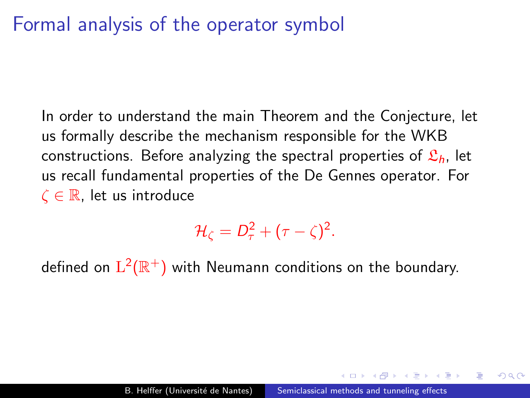In order to understand the main Theorem and the Conjecture, let us formally describe the mechanism responsible for the WKB constructions. Before analyzing the spectral properties of  $\mathfrak{L}_h$ , let us recall fundamental properties of the De Gennes operator. For  $\zeta \in \mathbb{R}$ , let us introduce

 $\mathcal{H}_{\zeta}=D_{\tau}^2+(\tau-\zeta)^2.$ 

defined on  $\mathrm{L}^2(\mathbb{R}^+)$  with Neumann conditions on the boundary.

つくへ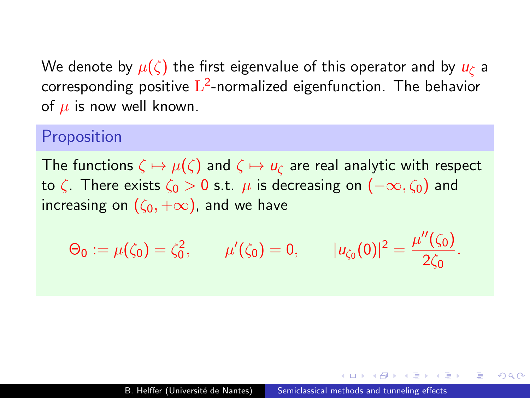We denote by  $\mu(\zeta)$  the first eigenvalue of this operator and by  $u_{\zeta}$  a corresponding positive  $\mathrm{L}^2$ -normalized eigenfunction. The behavior of  $\mu$  is now well known.

#### Proposition

The functions  $\zeta \mapsto \mu(\zeta)$  and  $\zeta \mapsto u_{\zeta}$  are real analytic with respect to  $\zeta$ . There exists  $\zeta_0 > 0$  s.t.  $\mu$  is decreasing on  $(-\infty, \zeta_0)$  and increasing on  $(\zeta_0, +\infty)$ , and we have

$$
\Theta_0 := \mu(\zeta_0) = \zeta_0^2, \qquad \mu'(\zeta_0) = 0, \qquad |u_{\zeta_0}(0)|^2 = \frac{\mu''(\zeta_0)}{2\zeta_0}.
$$

つくへ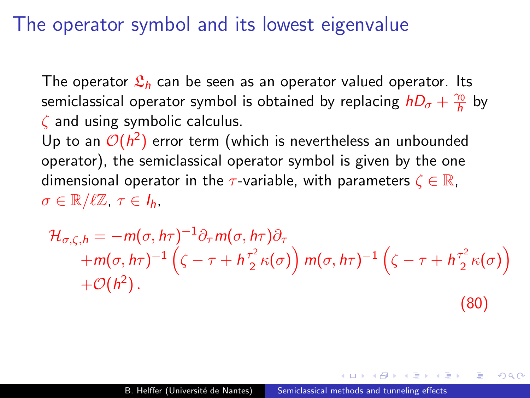## The operator symbol and its lowest eigenvalue

The operator  $\mathfrak{L}_h$  can be seen as an operator valued operator. Its semiclassical operator symbol is obtained by replacing  $hD_{\sigma} + \frac{\gamma_0}{h}$  by  $\zeta$  and using symbolic calculus.

Up to an  $\mathcal{O}(h^2)$  error term (which is nevertheless an unbounded operator), the semiclassical operator symbol is given by the one dimensional operator in the  $\tau$ -variable, with parameters  $\zeta \in \mathbb{R}$ ,  $\sigma \in \mathbb{R}/\ell\mathbb{Z}, \tau \in I_h$ 

$$
\mathcal{H}_{\sigma,\zeta,h} = -m(\sigma,h\tau)^{-1}\partial_{\tau}m(\sigma,h\tau)\partial_{\tau}+m(\sigma,h\tau)^{-1}\left(\zeta-\tau+h\frac{\tau^2}{2}\kappa(\sigma)\right)m(\sigma,h\tau)^{-1}\left(\zeta-\tau+h\frac{\tau^2}{2}\kappa(\sigma)\right)+\mathcal{O}(h^2).
$$
\n(80)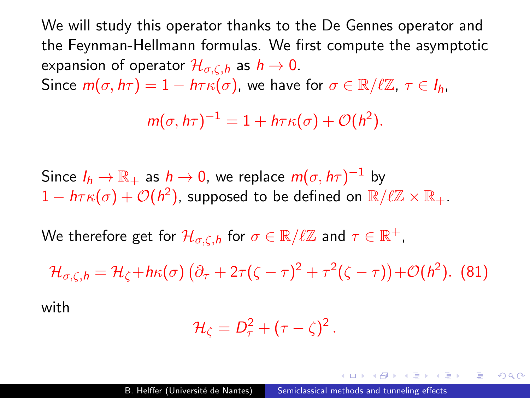We will study this operator thanks to the De Gennes operator and the Feynman-Hellmann formulas. We first compute the asymptotic expansion of operator  $\mathcal{H}_{\sigma,\zeta,h}$  as  $h \to 0$ . Since  $m(\sigma, h\tau) = 1 - h\tau \kappa(\sigma)$ , we have for  $\sigma \in \mathbb{R}/\ell\mathbb{Z}, \tau \in I_h$ ,

$$
m(\sigma, h\tau)^{-1} = 1 + h\tau \kappa(\sigma) + \mathcal{O}(h^2).
$$

Since  $I_h \to \mathbb{R}_+$  as  $h \to 0$ , we replace  $m(\sigma, h\tau)^{-1}$  by  $1 - h \tau \kappa(\sigma) + \mathcal{O}(h^2)$ , supposed to be defined on  $\mathbb{R}/\ell\mathbb{Z} \times \mathbb{R}_+.$ 

We therefore get for  $\mathcal{H}_{\sigma, \zeta, h}$  for  $\sigma \in \mathbb{R}/\ell\mathbb{Z}$  and  $\tau \in \mathbb{R}^+,$ 

 $\mathcal{H}_{\sigma,\zeta,h}=\mathcal{H}_{\zeta}+h\kappa(\sigma)\left(\partial_{\tau}+2\tau(\zeta-\tau)^{2}+\tau^{2}(\zeta-\tau)\right)+\mathcal{O}(h^{2}).$  (81)

with

$$
\mathcal{H}_{\zeta}=D_{\tau}^2+(\tau-\zeta)^2.
$$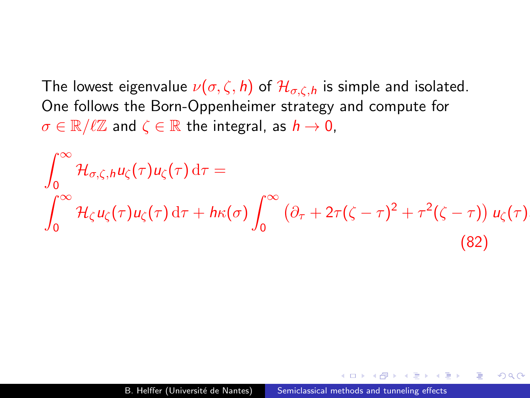The lowest eigenvalue  $\nu(\sigma, \zeta, h)$  of  $\mathcal{H}_{\sigma, \zeta, h}$  is simple and isolated. One follows the Born-Oppenheimer strategy and compute for  $\sigma \in \mathbb{R}/\ell\mathbb{Z}$  and  $\zeta \in \mathbb{R}$  the integral, as  $h \to 0$ ,

<span id="page-157-0"></span>
$$
\int_0^\infty \mathcal{H}_{\sigma,\zeta,h} u_\zeta(\tau) u_\zeta(\tau) d\tau =
$$
\n
$$
\int_0^\infty \mathcal{H}_{\zeta} u_\zeta(\tau) u_\zeta(\tau) d\tau + h\kappa(\sigma) \int_0^\infty \left(\partial_\tau + 2\tau(\zeta - \tau)^2 + \tau^2(\zeta - \tau)\right) u_\zeta(\tau).
$$
\n(82)

 $2990$ 

э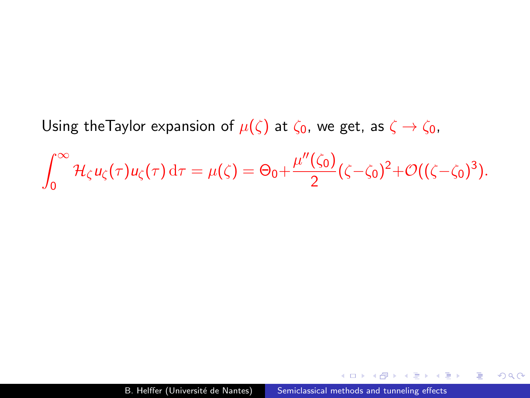Using theTaylor expansion of  $\mu(\zeta)$  at  $\zeta_0$ , we get, as  $\zeta \to \zeta_0$ ,

$$
\int_0^\infty \mathcal{H}_\zeta u_\zeta(\tau) u_\zeta(\tau) d\tau = \mu(\zeta) = \Theta_0 + \frac{\mu''(\zeta_0)}{2} (\zeta - \zeta_0)^2 + \mathcal{O}((\zeta - \zeta_0)^3).
$$

 $\sim$   $\sim$ 

κÞ

化重 经一 重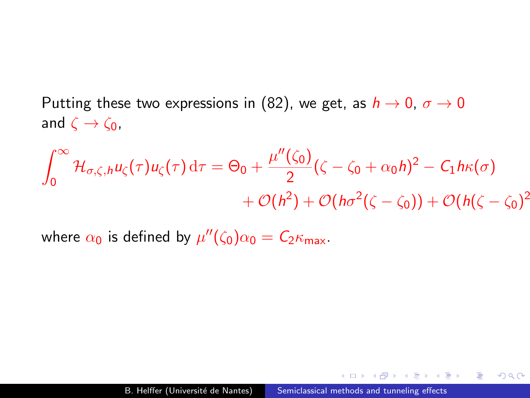Putting these two expressions in [\(82\)](#page-157-0), we get, as  $h \to 0$ ,  $\sigma \to 0$ and  $\zeta \rightarrow \zeta_0$ ,

$$
\int_0^\infty \mathcal{H}_{\sigma,\zeta,h} u_\zeta(\tau) u_\zeta(\tau) d\tau = \Theta_0 + \frac{\mu''(\zeta_0)}{2} (\zeta - \zeta_0 + \alpha_0 h)^2 - C_1 h \kappa(\sigma) + \mathcal{O}(h^2) + \mathcal{O}(h\sigma^2(\zeta - \zeta_0)) + \mathcal{O}(h(\zeta - \zeta_0)^2)
$$

where  $\alpha_0$  is defined by  $\mu''(\zeta_0)\alpha_0 = \mathcal{C}_2\kappa_{\mathsf{max}}$ .

 $299$ 

4 国 ド

重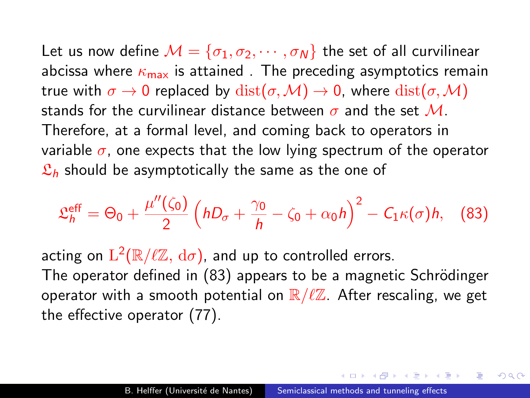Let us now define  $M = {\sigma_1, \sigma_2, \cdots, \sigma_N}$  the set of all curvilinear abcissa where  $\kappa_{\text{max}}$  is attained. The preceding asymptotics remain true with  $\sigma \to 0$  replaced by  $dist(\sigma, \mathcal{M}) \to 0$ , where  $dist(\sigma, \mathcal{M})$ stands for the curvilinear distance between  $\sigma$  and the set M. Therefore, at a formal level, and coming back to operators in variable  $\sigma$ , one expects that the low lying spectrum of the operator  $\mathfrak{L}_h$  should be asymptotically the same as the one of

<span id="page-160-0"></span>
$$
\mathfrak{L}_{h}^{\text{eff}}=\Theta_{0}+\frac{\mu''(\zeta_{0})}{2}\left(hD_{\sigma}+\frac{\gamma_{0}}{h}-\zeta_{0}+\alpha_{0}h\right)^{2}-C_{1}\kappa(\sigma)h, \quad (83)
$$

acting on  $\mathrm{L}^2(\mathbb{R}/\ell\mathbb{Z},\,\mathrm{d}\sigma)$ , and up to controlled errors. The operator defined in [\(83\)](#page-160-0) appears to be a magnetic Schrödinger operator with a smooth potential on  $\mathbb{R}/\ell\mathbb{Z}$ . After rescaling, we get the effective operator [\(77\)](#page-146-0).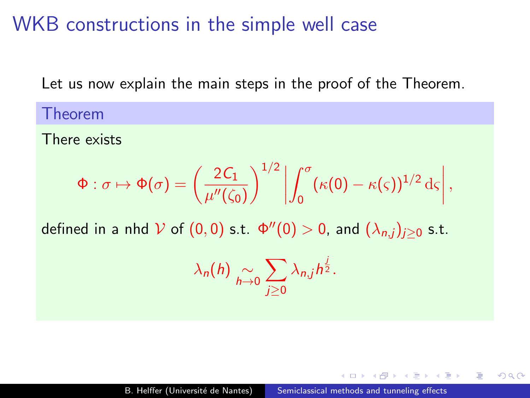WKB constructions in the simple well case

Let us now explain the main steps in the proof of the Theorem.

Theorem

There exists

$$
\Phi: \sigma \mapsto \Phi(\sigma) = \left(\frac{2C_1}{\mu''(\zeta_0)}\right)^{1/2} \left| \int_0^{\sigma} (\kappa(0) - \kappa(\varsigma))^{1/2} d\varsigma \right|,
$$

defined in a nhd  $\mathcal V$  of  $(0,0)$  s.t.  $\Phi''(0)>0$ , and  $(\lambda_{n,j})_{j\geq 0}$  s.t.

$$
\lambda_n(h) \underset{h\to 0}{\sim} \sum_{j\geq 0} \lambda_{n,j} h^{\frac{j}{2}}.
$$

つくい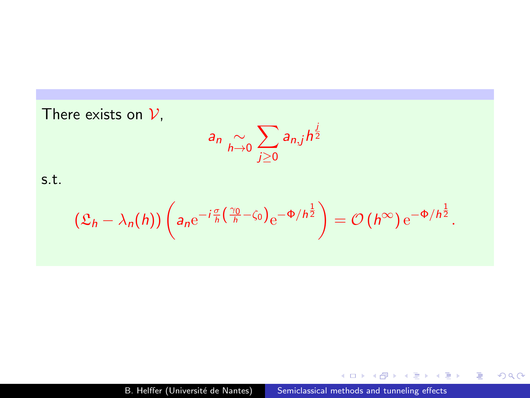There exists on  $V$ , a<sub>n</sub>  $\sim$ <sub>h→0</sub>  $\sum$ j≥0  $a_{n,j}h^{\frac{j}{2}}$ s.t.  $\left( \mathfrak{L}_h - \lambda_n(h) \right) \left( a_n \mathrm{e}^{-i \frac{\sigma}{h} \left( \frac{\gamma_0}{h} - \zeta_0 \right)} \mathrm{e}^{- \Phi/h^{\frac{1}{2}}} \right) = \mathcal{O} \left( h^{\infty} \right) \mathrm{e}^{- \Phi/h^{\frac{1}{2}}}.$ 

 $\sim$   $\sim$ 

 $290$ 

э

医阿雷氏阿雷氏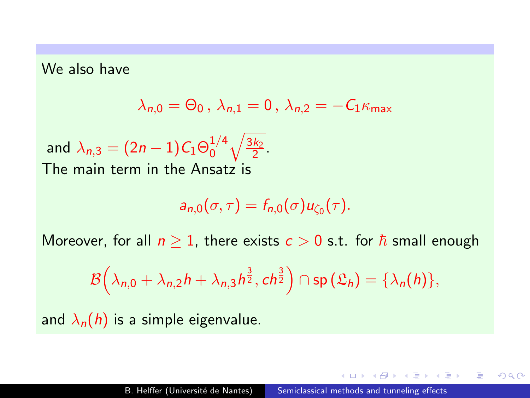We also have

$$
\lambda_{n,0}=\Theta_0\,,\,\lambda_{n,1}=0\,,\,\lambda_{n,2}=-\mathcal{C}_1\kappa_{\text{max}}
$$

and  $\lambda_{n,3}=(2n-1) \mathcal{C}_1 \Theta_0^{1/4}$  $\frac{1}{4} \sqrt{\frac{3k_2}{2}}$ . The main term in the Ansatz is

$$
a_{n,0}(\sigma,\tau)=f_{n,0}(\sigma)u_{\zeta_0}(\tau).
$$

Moreover, for all  $n > 1$ , there exists  $c > 0$  s.t. for  $\hbar$  small enough

$$
\mathcal{B}\Big(\lambda_{n,0}+\lambda_{n,2}h+\lambda_{n,3}h^{\frac{3}{2}},ch^{\frac{3}{2}}\Big)\cap\textsf{sp}\left(\mathfrak{L}_h\right)=\{\lambda_n(h)\},\
$$

and  $\lambda_n(h)$  is a simple eigenvalue.

医阿里氏阿里

つくい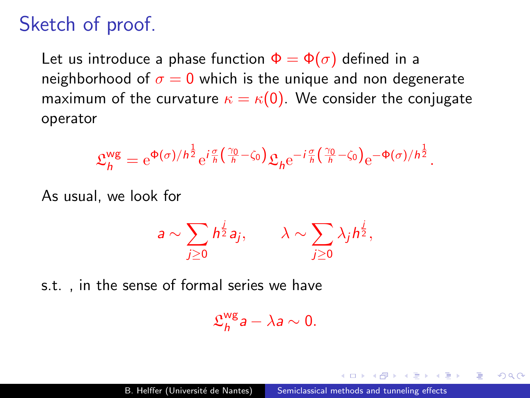# Sketch of proof.

Let us introduce a phase function  $\Phi = \Phi(\sigma)$  defined in a neighborhood of  $\sigma = 0$  which is the unique and non degenerate maximum of the curvature  $\kappa = \kappa(0)$ . We consider the conjugate operator

$$
\mathfrak{L}_{h}^{\mathsf{wg}} = e^{\Phi(\sigma)/h^{\frac{1}{2}}} e^{i\frac{\sigma}{h} \left(\frac{\gamma_0}{h} - \zeta_0\right)} \mathfrak{L}_{h} e^{-i\frac{\sigma}{h} \left(\frac{\gamma_0}{h} - \zeta_0\right)} e^{-\Phi(\sigma)/h^{\frac{1}{2}}}.
$$

As usual, we look for

$$
a \sim \sum_{j\geq 0} h^{\frac{j}{2}} a_j, \qquad \lambda \sim \sum_{j\geq 0} \lambda_j h^{\frac{j}{2}},
$$

s.t. , in the sense of formal series we have

$$
\mathfrak{L}^{\text{wg}}_h a - \lambda a \sim 0.
$$

つくい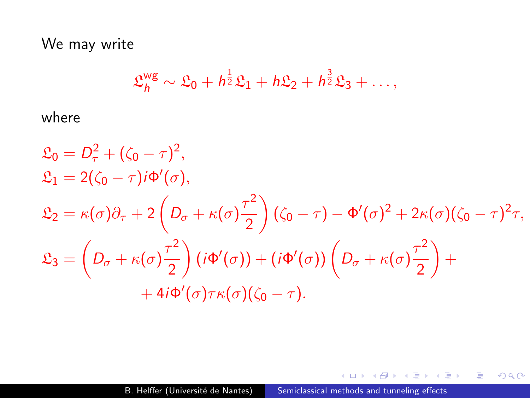We may write

$$
\mathfrak{L}_h^{\text{wg}} \sim \mathfrak{L}_0 + h^{\frac{1}{2}} \mathfrak{L}_1 + h \mathfrak{L}_2 + h^{\frac{3}{2}} \mathfrak{L}_3 + \ldots,
$$

where

$$
\mathfrak{L}_0 = D_\tau^2 + (\zeta_0 - \tau)^2,
$$
  
\n
$$
\mathfrak{L}_1 = 2(\zeta_0 - \tau)i\Phi'(\sigma),
$$
  
\n
$$
\mathfrak{L}_2 = \kappa(\sigma)\partial_\tau + 2\left(D_\sigma + \kappa(\sigma)\frac{\tau^2}{2}\right)(\zeta_0 - \tau) - \Phi'(\sigma)^2 + 2\kappa(\sigma)(\zeta_0 - \tau)^2\tau,
$$
  
\n
$$
\mathfrak{L}_3 = \left(D_\sigma + \kappa(\sigma)\frac{\tau^2}{2}\right)(i\Phi'(\sigma)) + (i\Phi'(\sigma))\left(D_\sigma + \kappa(\sigma)\frac{\tau^2}{2}\right) +
$$
  
\n
$$
+ 4i\Phi'(\sigma)\tau\kappa(\sigma)(\zeta_0 - \tau).
$$

メロメ メ御 メメ きょくきょう

活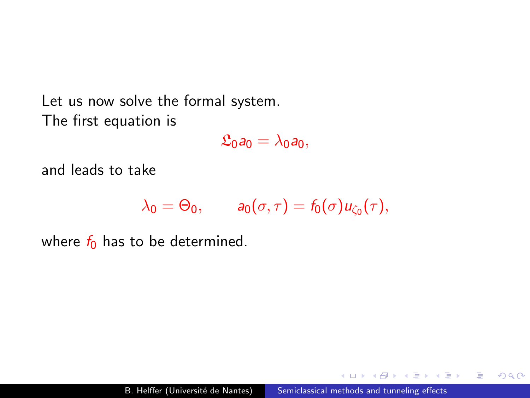Let us now solve the formal system. The first equation is

 $\mathfrak{L}_0a_0 = \lambda_0a_0$ 

and leads to take

$$
\lambda_0 = \Theta_0, \qquad a_0(\sigma, \tau) = f_0(\sigma)u_{\zeta_0}(\tau),
$$

where  $f_0$  has to be determined.

 $2990$ 

э

ミッ i al T≣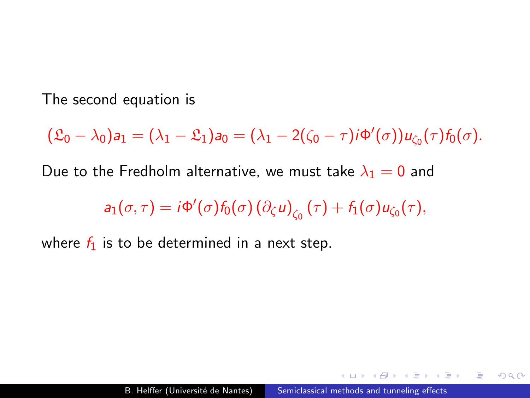The second equation is

 $(\mathfrak{L}_0 - \lambda_0) a_1 = (\lambda_1 - \mathfrak{L}_1) a_0 = (\lambda_1 - 2(\zeta_0 - \tau) i \Phi'(\sigma)) u_{\zeta_0}(\tau) f_0(\sigma).$ 

Due to the Fredholm alternative, we must take  $\lambda_1 = 0$  and

 $a_1(\sigma,\tau) = i\Phi'(\sigma) f_0(\sigma) (\partial_\zeta u)_{\zeta_0}(\tau) + f_1(\sigma) u_{\zeta_0}(\tau),$ 

where  $f_1$  is to be determined in a next step.

重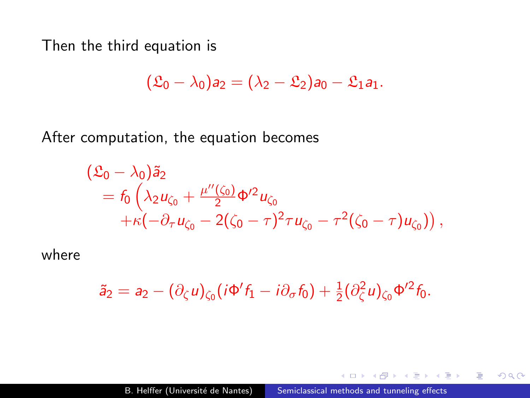Then the third equation is

$$
(\mathfrak{L}_0-\lambda_0)a_2=(\lambda_2-\mathfrak{L}_2)a_0-\mathfrak{L}_1a_1.
$$

After computation, the equation becomes

$$
\begin{aligned} (\mathfrak{L}_0 - \lambda_0) \tilde{a}_2 \\ &= f_0 \left( \lambda_2 u_{\zeta_0} + \frac{\mu''(\zeta_0)}{2} \Phi'^2 u_{\zeta_0} \right. \\ &\left. + \kappa \left( -\partial_\tau u_{\zeta_0} - 2(\zeta_0 - \tau)^2 \tau u_{\zeta_0} - \tau^2 (\zeta_0 - \tau) u_{\zeta_0} \right) \right), \end{aligned}
$$

where

$$
\tilde{a}_2 = a_2 - (\partial_\zeta u)_{\zeta_0} (i\Phi' f_1 - i\partial_\sigma f_0) + \frac{1}{2} (\partial_\zeta^2 u)_{\zeta_0} \Phi'^2 f_0.
$$

 $\sim$   $\sim$ 

G.  $\sim$ 重  $\sim$ 重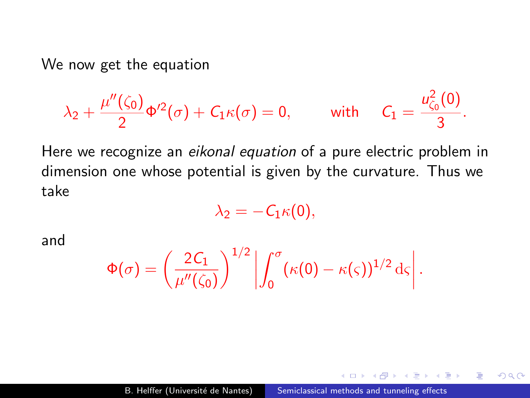We now get the equation

$$
\lambda_2+\frac{\mu''(\zeta_0)}{2}\Phi'^2(\sigma)+C_1\kappa(\sigma)=0,\qquad\text{ with }\quad C_1=\frac{u_{\zeta_0}^2(0)}{3}.
$$

Here we recognize an eikonal equation of a pure electric problem in dimension one whose potential is given by the curvature. Thus we take

$$
\lambda_2=-C_1\kappa(0),
$$

and

$$
\Phi(\sigma) = \left(\frac{2\mathcal{C}_1}{\mu''(\zeta_0)}\right)^{1/2} \left| \int_0^{\sigma} (\kappa(0) - \kappa(\varsigma))^{1/2} d\varsigma \right|.
$$

 $\Omega$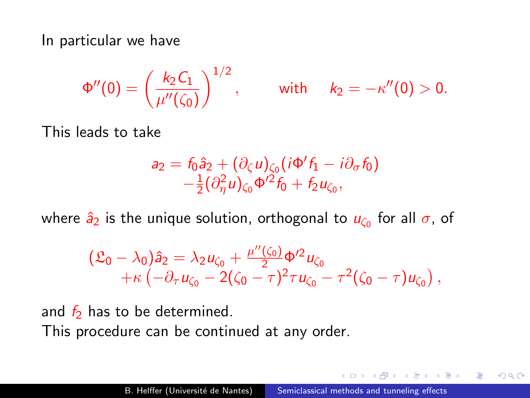In particular we have

$$
\Phi''(0) = \left(\frac{k_2 C_1}{\mu''(\zeta_0)}\right)^{1/2}, \qquad \text{ with } \quad k_2 = -\kappa''(0) > 0.
$$

This leads to take

$$
a_2 = f_0 \hat{a}_2 + (\partial_\zeta u)_{\zeta_0} (i\Phi' f_1 - i\partial_\sigma f_0)
$$
  
 
$$
-\frac{1}{2} (\partial_\eta^2 u)_{\zeta_0} \Phi'^2 f_0 + f_2 u_{\zeta_0},
$$

where  $\hat{\textit{a}}_{2}$  is the unique solution, orthogonal to  $\textit{u}_{\zeta_{0}}$  for all  $\sigma$ , of

$$
\begin{array}{l} (\mathfrak{L}_0 - \lambda_0) \hat{a}_2 = \lambda_2 u_{\zeta_0} + \frac{\mu''(\zeta_0)}{2} \Phi'^2 u_{\zeta_0} \\qquad \qquad + \kappa \left( - \partial_\tau u_{\zeta_0} - 2(\zeta_0 - \tau)^2 \tau u_{\zeta_0} - \tau^2 (\zeta_0 - \tau) u_{\zeta_0} \right), \end{array}
$$

and  $f_2$  has to be determined. This procedure can be continued at any order.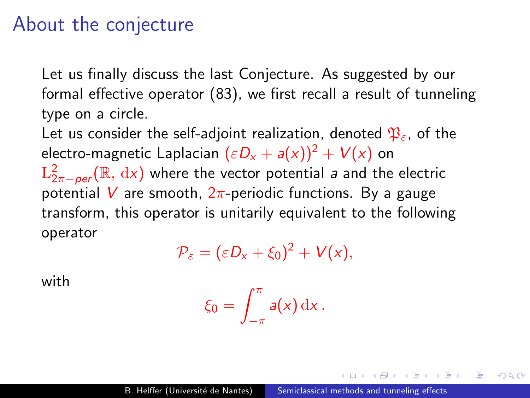## About the conjecture

Let us finally discuss the last Conjecture. As suggested by our formal effective operator [\(83\)](#page-160-0), we first recall a result of tunneling type on a circle.

Let us consider the self-adjoint realization, denoted  $\mathfrak{P}_{\varepsilon}$ , of the electro-magnetic Laplacian  $(\varepsilon D_x + a(x))^2 + V(x)$  on  $\mathrm{L}^2_{2\pi-per}(\mathbb{R},\,\mathrm{d} x)$  where the vector potential  $s$  and the electric potential V are smooth,  $2\pi$ -periodic functions. By a gauge transform, this operator is unitarily equivalent to the following operator

$$
\mathcal{P}_{\varepsilon}=(\varepsilon D_{x}+\xi_{0})^{2}+V(x),
$$

with

$$
\xi_0=\int_{-\pi}^{\pi}a(x)\,\mathrm{d} x\,.
$$

つくい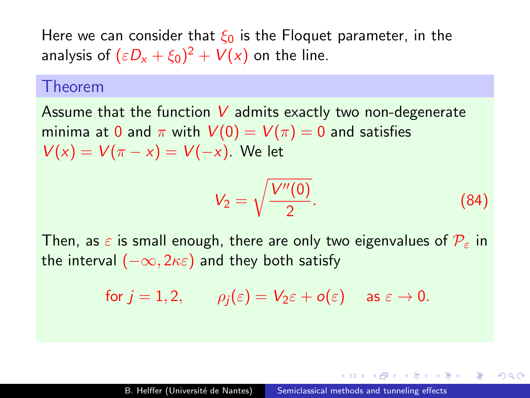Here we can consider that  $\xi_0$  is the Floquet parameter, in the analysis of  $(\varepsilon D_{x} + \xi_0)^2 + V(x)$  on the line.

#### Theorem

Assume that the function  $V$  admits exactly two non-degenerate minima at 0 and  $\pi$  with  $V(0) = V(\pi) = 0$  and satisfies  $V(x) = V(\pi - x) = V(-x)$ . We let

$$
V_2 = \sqrt{\frac{V''(0)}{2}}.
$$
 (84)

つくい

Then, as  $\varepsilon$  is small enough, there are only two eigenvalues of  $P_{\varepsilon}$  in the interval  $(-\infty, 2\kappa\varepsilon)$  and they both satisfy

for 
$$
j = 1, 2
$$
,  $\rho_j(\varepsilon) = V_{2}\varepsilon + o(\varepsilon)$  as  $\varepsilon \to 0$ .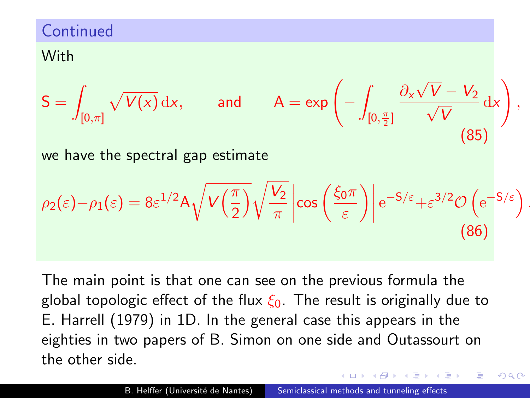#### **Continued**

#### With

$$
S = \int_{[0,\pi]} \sqrt{V(x)} dx, \quad \text{and} \quad A = \exp\left(-\int_{[0,\frac{\pi}{2}]} \frac{\partial_x \sqrt{V} - V_2}{\sqrt{V}} dx\right),\tag{85}
$$

we have the spectral gap estimate

$$
\rho_2(\varepsilon) - \rho_1(\varepsilon) = 8\varepsilon^{1/2} A \sqrt{V\left(\frac{\pi}{2}\right)} \sqrt{\frac{V_2}{\pi}} \left| \cos\left(\frac{\xi_0 \pi}{\varepsilon}\right) \right| e^{-S/\varepsilon} + \varepsilon^{3/2} \mathcal{O}\left(e^{-S/\varepsilon}\right).
$$
\n(86)

The main point is that one can see on the previous formula the global topologic effect of the flux  $\xi_0$ . The result is originally due to E. Harrell (1979) in 1D. In the general case this appears in the eighties in two papers of B. Simon on one side and Outassourt on the other side.

つくい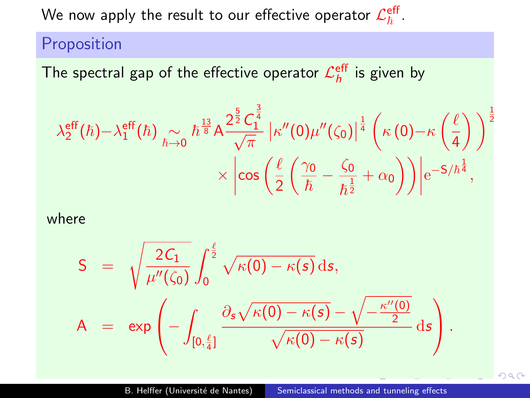We now apply the result to our effective operator  $\mathcal{L}_{\hbar}^{\text{eff}}$  .

Proposition

The spectral gap of the effective operator  $\mathcal{L}_h^{\text{eff}}$  is given by

$$
\lambda_2^{\text{eff}}(\hbar) - \lambda_1^{\text{eff}}(\hbar) \underset{\hbar \to 0}{\sim} \hbar^{\frac{13}{8}} A \frac{2^{\frac{5}{2}} C_1^{\frac{3}{4}}}{\sqrt{\pi}} \left| \kappa''(0) \mu''(\zeta_0) \right|^{\frac{1}{4}} \left( \kappa(0) - \kappa\left(\frac{\ell}{4}\right) \right)^{\frac{1}{2}} \\ \times \left| \cos\left(\frac{\ell}{2}\left(\frac{\gamma_0}{\hbar} - \frac{\zeta_0}{\hbar^{\frac{1}{2}}} + \alpha_0\right) \right) \right| e^{-5/\hbar^{\frac{1}{4}}},
$$

where

$$
S = \sqrt{\frac{2C_1}{\mu''(\zeta_0)}} \int_0^{\frac{\ell}{2}} \sqrt{\kappa(0) - \kappa(s)} ds,
$$
  
\n
$$
A = \exp\left(-\int_{[0,\frac{\ell}{4}]} \frac{\partial_s \sqrt{\kappa(0) - \kappa(s)} - \sqrt{-\frac{\kappa''(0)}{2}}}{\sqrt{\kappa(0) - \kappa(s)}} ds\right).
$$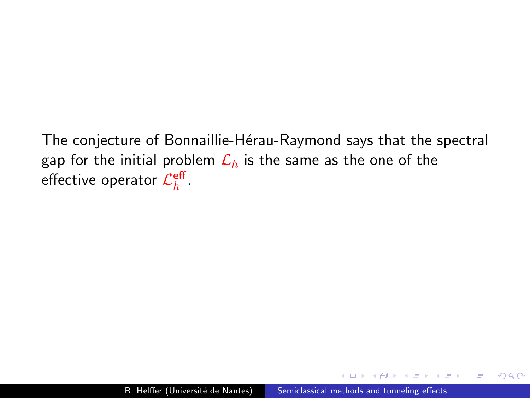The conjecture of Bonnaillie-Hérau-Raymond says that the spectral gap for the initial problem  $\mathcal{L}_{\hbar}$  is the same as the one of the effective operator  $\mathcal{L}_{\hbar}^{\mathsf{eff}}$  .

曲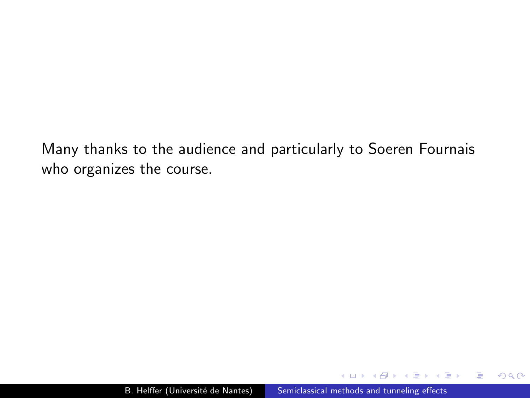<span id="page-176-0"></span>Many thanks to the audience and particularly to Soeren Fournais who organizes the course.

 $299$ 

э

重  $\sim$ э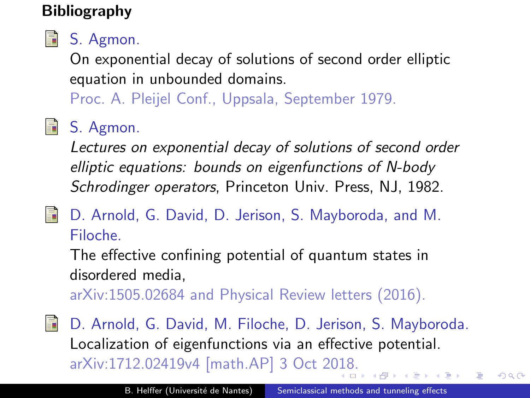## Bibliography



On exponential decay of solutions of second order elliptic equation in unbounded domains.

Proc. A. Pleijel Conf., Uppsala, September 1979.

# **B** S. Agmon.

Lectures on exponential decay of solutions of second order elliptic equations: bounds on eigenfunctions of N-body Schrodinger operators, Princeton Univ. Press, NJ, 1982.

F

D. Arnold, G. David, D. Jerison, S. Mayboroda, and M. Filoche.

The effective confining potential of quantum states in disordered media,

arXiv:1505.02684 and Physical Review letters (2016).

Ħ D. Arnold, G. David, M. Filoche, D. Jerison, S. Mayboroda. Localization of eigenfunctions via an effective potential. arXiv:1712.02419v4 [math.AP] 3 Oct 2[018](#page-176-0)[.](#page-178-0)

 $QQ$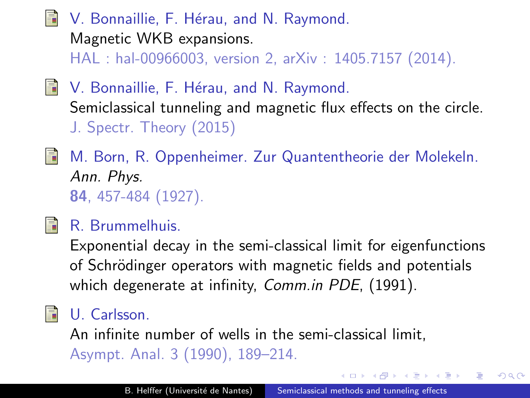<span id="page-178-0"></span>V. Bonnaillie, F. Hérau, and N. Raymond. Magnetic WKB expansions. HAL : hal-00966003, version 2, arXiv : 1405.7157 (2014).

V. Bonnaillie, F. Hérau, and N. Raymond. Semiclassical tunneling and magnetic flux effects on the circle. J. Spectr. Theory (2015)



**M. Born, R. Oppenheimer. Zur Quantentheorie der Molekeln.** Ann. Phys. 84, 457-484 (1927).



## R. Brummelhuis.

Exponential decay in the semi-classical limit for eigenfunctions of Schrödinger operators with magnetic fields and potentials which degenerate at infinity, Comm.in PDE, (1991).

## U. Carlsson.

An infinite number of wells in the semi-classical limit, Asympt. Anal. 3 (1990), 189–214.

つくい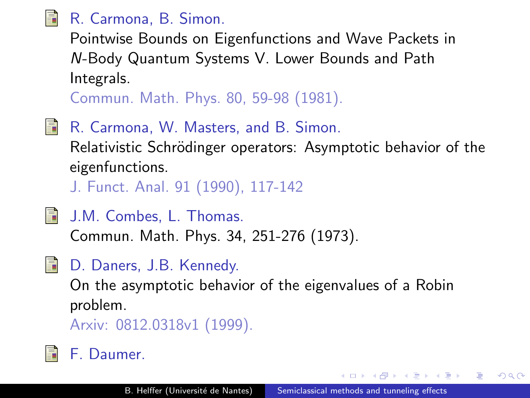

## R. Carmona, B. Simon.

Pointwise Bounds on Eigenfunctions and Wave Packets in N-Body Quantum Systems V. Lower Bounds and Path Integrals.

Commun. Math. Phys. 80, 59-98 (1981).

R. Carmona, W. Masters, and B. Simon. Relativistic Schrödinger operators: Asymptotic behavior of the eigenfunctions.

J. Funct. Anal. 91 (1990), 117-142

- 歸 J.M. Combes, L. Thomas. Commun. Math. Phys. 34, 251-276 (1973).
- D. Daners, J.B. Kennedy.

On the asymptotic behavior of the eigenvalues of a Robin problem.

Arxiv: 0812.0318v1 (1999).

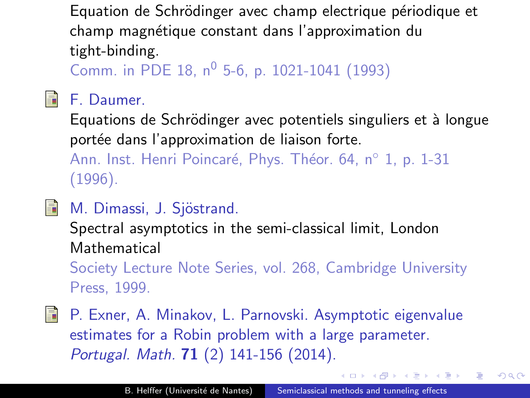Equation de Schrödinger avec champ electrique périodique et champ magnétique constant dans l'approximation du tight-binding.

Comm. in PDE 18,  $n^0$  5-6, p. 1021-1041 (1993)

#### F. Daumer.

靠

Equations de Schrödinger avec potentiels singuliers et à longue portée dans l'approximation de liaison forte.

Ann. Inst. Henri Poincaré, Phys. Théor. 64, n° 1, p. 1-31 (1996).

# M. Dimassi, J. Sjöstrand.

Spectral asymptotics in the semi-classical limit, London **Mathematical** 

Society Lecture Note Series, vol. 268, Cambridge University Press, 1999.

F. P. Exner, A. Minakov, L. Parnovski. Asymptotic eigenvalue estimates for a Robin problem with a large parameter. Portugal. Math. 71 (2) 141-156 (2014).

 $QQ$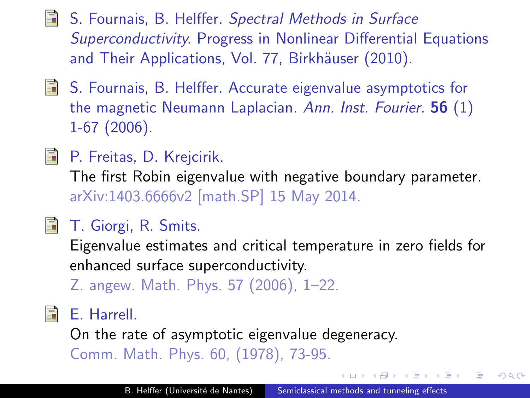- **S.** Fournais, B. Helffer. Spectral Methods in Surface Superconductivity. Progress in Nonlinear Differential Equations and Their Applications, Vol. 77, Birkhäuser (2010).
- **S.** Fournais, B. Helffer. Accurate eigenvalue asymptotics for the magnetic Neumann Laplacian. Ann. Inst. Fourier. 56 (1) 1-67 (2006).
- **P.** Freitas, D. Krejcirik.

The first Robin eigenvalue with negative boundary parameter. arXiv:1403.6666v2 [math.SP] 15 May 2014.

# T. Giorgi, R. Smits.

Eigenvalue estimates and critical temperature in zero fields for enhanced surface superconductivity.

Z. angew. Math. Phys. 57 (2006), 1–22.

# **■E. Harrell.**

On the rate of asymptotic eigenvalue degeneracy. Comm. Math. Phys. 60, (1978), 73-95.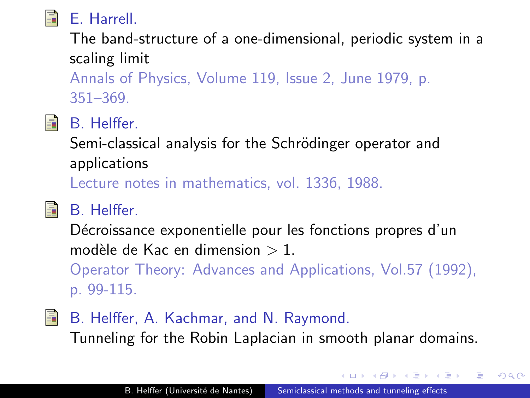

The band-structure of a one-dimensional, periodic system in a scaling limit

Annals of Physics, Volume 119, Issue 2, June 1979, p. 351–369.



# B. Helffer.

Semi-classical analysis for the Schrödinger operator and applications

Lecture notes in mathematics, vol. 1336, 1988.

**FRIDA** 

# B. Helffer.

Décroissance exponentielle pour les fonctions propres d'un modèle de Kac en dimension  $> 1$ .

Operator Theory: Advances and Applications, Vol.57 (1992), p. 99-115.

F. B. Helffer, A. Kachmar, and N. Raymond. Tunneling for the Robin Laplacian in smooth planar domains.

**CARD AREA**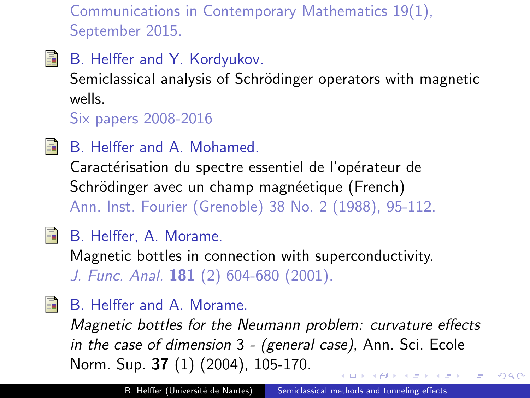Communications in Contemporary Mathematics 19(1), September 2015.

**Fill** B. Helffer and Y. Kordyukov.

> Semiclassical analysis of Schrödinger operators with magnetic wells.

Six papers 2008-2016

- **SEPTEMBER** 
	- B. Helffer and A. Mohamed.

Caractérisation du spectre essentiel de l'opérateur de Schrödinger avec un champ magnéetique (French) Ann. Inst. Fourier (Grenoble) 38 No. 2 (1988), 95-112.

#### 暈 B. Helffer, A. Morame.

Magnetic bottles in connection with superconductivity. J. Func. Anal. 181 (2) 604-680 (2001).

**SEPTEMBER** B. Helffer and A. Morame.

> Magnetic bottles for the Neumann problem: curvature effects in the case of dimension 3 - (general case), Ann. Sci. Ecole Norm. Sup. 37 (1) (2004), 105-170.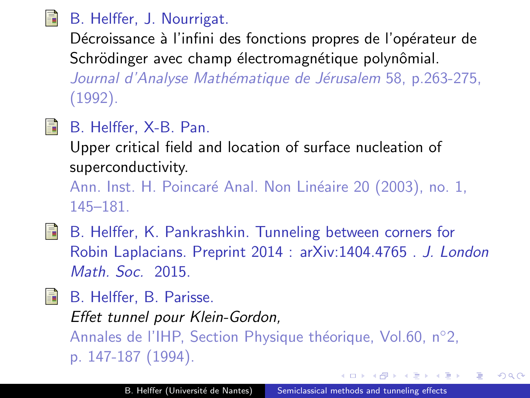#### 螶 B. Helffer, J. Nourrigat.

Décroissance à l'infini des fonctions propres de l'opérateur de Schrödinger avec champ électromagnétique polynômial. Journal d'Analyse Mathématique de Jérusalem 58, p.263-275, (1992).

H B. Helffer, X-B. Pan.

Upper critical field and location of surface nucleation of superconductivity.

Ann. Inst. H. Poincaré Anal. Non Linéaire 20 (2003), no. 1, 145–181.

- B. Helffer, K. Pankrashkin. Tunneling between corners for Robin Laplacians. Preprint 2014 : arXiv:1404.4765 . J. London Math. Soc. 2015.
- B. Helffer, B. Parisse.

Effet tunnel pour Klein-Gordon, Annales de l'IHP, Section Physique théorique, Vol.60, n $^{\circ}$ 2, p. 147-187 (1994).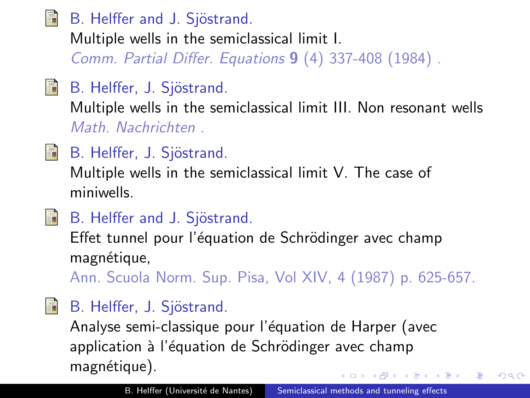螶 B. Helffer and J. Sjöstrand.

Multiple wells in the semiclassical limit I.

Comm. Partial Differ. Equations 9 (4) 337-408 (1984) .

F. B. Helffer, J. Sjöstrand.

Multiple wells in the semiclassical limit III. Non resonant wells Math. Nachrichten .

F B. Helffer, J. Sjöstrand.

Multiple wells in the semiclassical limit V. The case of miniwells.

Ħ B. Helffer and J. Sjöstrand.

Effet tunnel pour l'équation de Schrödinger avec champ magnétique,

Ann. Scuola Norm. Sup. Pisa, Vol XIV, 4 (1987) p. 625-657.

**FRIDA** 

## B. Helffer, J. Sjöstrand.

Analyse semi-classique pour l'équation de Harper (avec application à l'équation de Schrödinger avec champ magnétique).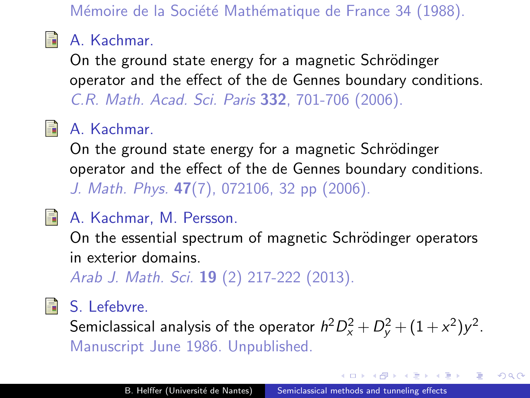Mémoire de la Société Mathématique de France 34 (1988).



## **A.** Kachmar.

On the ground state energy for a magnetic Schrödinger operator and the effect of the de Gennes boundary conditions. C.R. Math. Acad. Sci. Paris 332, 701-706 (2006).

# **A.** Kachmar.

On the ground state energy for a magnetic Schrödinger operator and the effect of the de Gennes boundary conditions. J. Math. Phys. 47(7), 072106, 32 pp (2006).

## **A. Kachmar, M. Persson.**

On the essential spectrum of magnetic Schrödinger operators in exterior domains.

Arab J. Math. Sci. **19** (2) 217-222 (2013).

### **B** S. Lefebvre.

Semiclassical analysis of the operator  $h^2D_x^2+D_y^2+(1+x^2)y^2$ . Manuscript June 1986. Unpublished.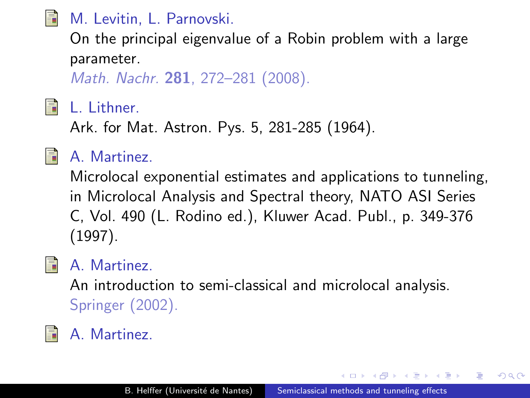## M. Levitin, L. Parnovski.

On the principal eigenvalue of a Robin problem with a large parameter.

Math. Nachr. 281, 272–281 (2008).

### L. Lithner.

Ark. for Mat. Astron. Pys. 5, 281-285 (1964).



S.

## A. Martinez.

Microlocal exponential estimates and applications to tunneling, in Microlocal Analysis and Spectral theory, NATO ASI Series C, Vol. 490 (L. Rodino ed.), Kluwer Acad. Publ., p. 349-376 (1997).



### A. Martinez.

An introduction to semi-classical and microlocal analysis. Springer (2002).

# A. Martinez.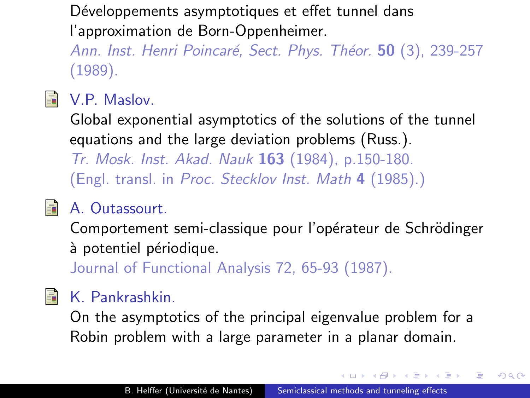<span id="page-188-0"></span>Développements asymptotiques et effet tunnel dans l'approximation de Born-Oppenheimer.

Ann. Inst. Henri Poincaré, Sect. Phys. Théor. 50 (3), 239-257 (1989).



#### V.P. Maslov.

Global exponential asymptotics of the solutions of the tunnel equations and the large deviation problems (Russ.).

Tr. Mosk. Inst. Akad. Nauk 163 (1984), p.150-180. (Engl. transl. in Proc. Stecklov Inst. Math 4 (1985).)



## A. Outassourt.

Comportement semi-classique pour l'opérateur de Schrödinger à potentiel périodique.

Journal of Functional Analysis 72, 65-93 (1987).

# K. Pankrashkin.

On the asymptotics of the principal eigenvalue problem for a Robin problem with a large parameter in a planar domain.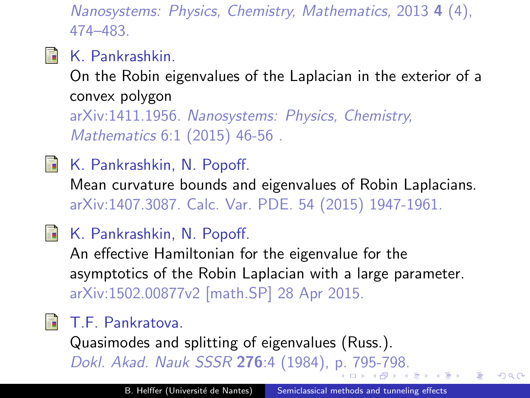Nanosystems: Physics, Chemistry, Mathematics, 2013 4 (4), 474–483.

**A.** K. Pankrashkin.

On the Robin eigenvalues of the Laplacian in the exterior of a convex polygon arXiv:1411.1956. Nanosystems: Physics, Chemistry,

Mathematics 6:1 (2015) 46-56 .

F K. Pankrashkin, N. Popoff.

> Mean curvature bounds and eigenvalues of Robin Laplacians. arXiv:1407.3087. Calc. Var. PDE. 54 (2015) 1947-1961.

K. Pankrashkin, N. Popoff.

An effective Hamiltonian for the eigenvalue for the asymptotics of the Robin Laplacian with a large parameter. arXiv:1502.00877v2 [math.SP] 28 Apr 2015.

T.F. Pankratova.

Quasimodes and splitting of eigenvalues (Russ.). Dokl. Akad. Nauk SSSR 276:4 (1984), [p.](#page-188-0) [79](#page-190-0)[5](#page-175-0)[-7](#page-176-0)[9](#page-177-0)[8.](#page-0-0)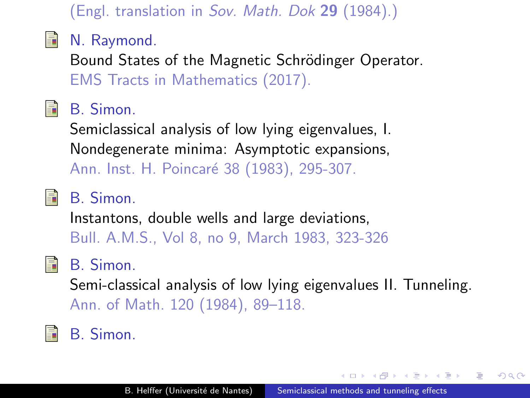#### (Engl. translation in Sov. Math. Dok 29 (1984).)

#### <span id="page-190-0"></span>N. Raymond. 暈

Bound States of the Magnetic Schrödinger Operator. EMS Tracts in Mathematics (2017).

#### B. Simon. 螶

Semiclassical analysis of low lying eigenvalues, I. Nondegenerate minima: Asymptotic expansions, Ann. Inst. H. Poincaré 38 (1983), 295-307.

螶

## B. Simon.

Instantons, double wells and large deviations, Bull. A.M.S., Vol 8, no 9, March 1983, 323-326

#### B. Simon. F.

Semi-classical analysis of low lying eigenvalues II. Tunneling. Ann. of Math. 120 (1984), 89–118.

# B. Simon.